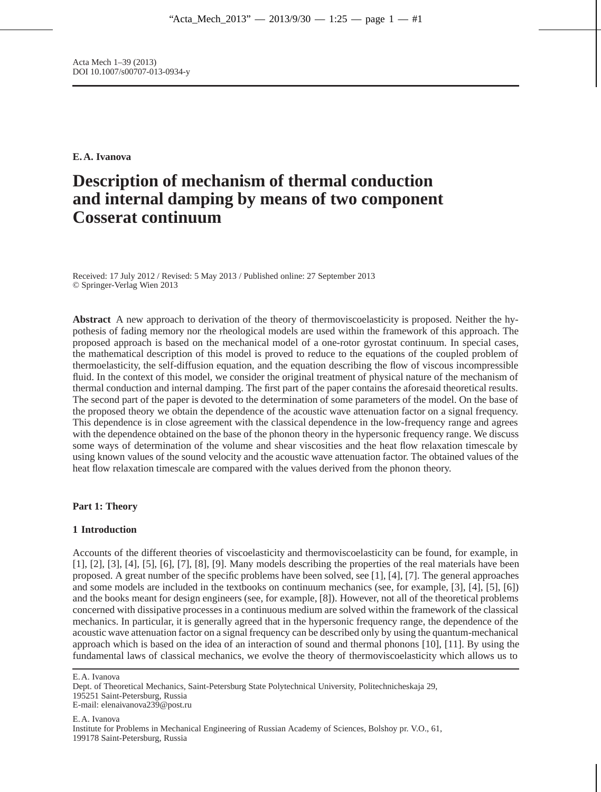Acta Mech 1–39 (2013) DOI 10.1007/s00707-013-0934-y

# **E. A. Ivanova**

# **Description of mechanism of thermal conduction and internal damping by means of two component Cosserat continuum**

Received: 17 July 2012 / Revised: 5 May 2013 / Published online: 27 September 2013 © Springer-Verlag Wien 2013

**Abstract** A new approach to derivation of the theory of thermoviscoelasticity is proposed. Neither the hypothesis of fading memory nor the rheological models are used within the framework of this approach. The proposed approach is based on the mechanical model of a one-rotor gyrostat continuum. In special cases, the mathematical description of this model is proved to reduce to the equations of the coupled problem of thermoelasticity, the self-diffusion equation, and the equation describing the flow of viscous incompressible fluid. In the context of this model, we consider the original treatment of physical nature of the mechanism of thermal conduction and internal damping. The first part of the paper contains the aforesaid theoretical results. The second part of the paper is devoted to the determination of some parameters of the model. On the base of the proposed theory we obtain the dependence of the acoustic wave attenuation factor on a signal frequency. This dependence is in close agreement with the classical dependence in the low-frequency range and agrees with the dependence obtained on the base of the phonon theory in the hypersonic frequency range. We discuss some ways of determination of the volume and shear viscosities and the heat flow relaxation timescale by using known values of the sound velocity and the acoustic wave attenuation factor. The obtained values of the heat flow relaxation timescale are compared with the values derived from the phonon theory.

# **Part 1: Theory**

#### **1 Introduction**

Accounts of the different theories of viscoelasticity and thermoviscoelasticity can be found, for example, in [1], [2], [3], [4], [5], [6], [7], [8], [9]. Many models describing the properties of the real materials have been proposed. A great number of the specific problems have been solved, see [1], [4], [7]. The general approaches and some models are included in the textbooks on continuum mechanics (see, for example, [3], [4], [5], [6]) and the books meant for design engineers (see, for example, [8]). However, not all of the theoretical problems concerned with dissipative processes in a continuous medium are solved within the framework of the classical mechanics. In particular, it is generally agreed that in the hypersonic frequency range, the dependence of the acoustic wave attenuation factor on a signal frequency can be described only by using the quantum-mechanical approach which is based on the idea of an interaction of sound and thermal phonons [10], [11]. By using the fundamental laws of classical mechanics, we evolve the theory of thermoviscoelasticity which allows us to

E.A. Ivanova

E.A. Ivanova Institute for Problems in Mechanical Engineering of Russian Academy of Sciences, Bolshoy pr. V.O., 61, 199178 Saint-Petersburg, Russia

Dept. of Theoretical Mechanics, Saint-Petersburg State Polytechnical University, Politechnicheskaja 29, 195251 Saint-Petersburg, Russia E-mail: elenaivanova239@post.ru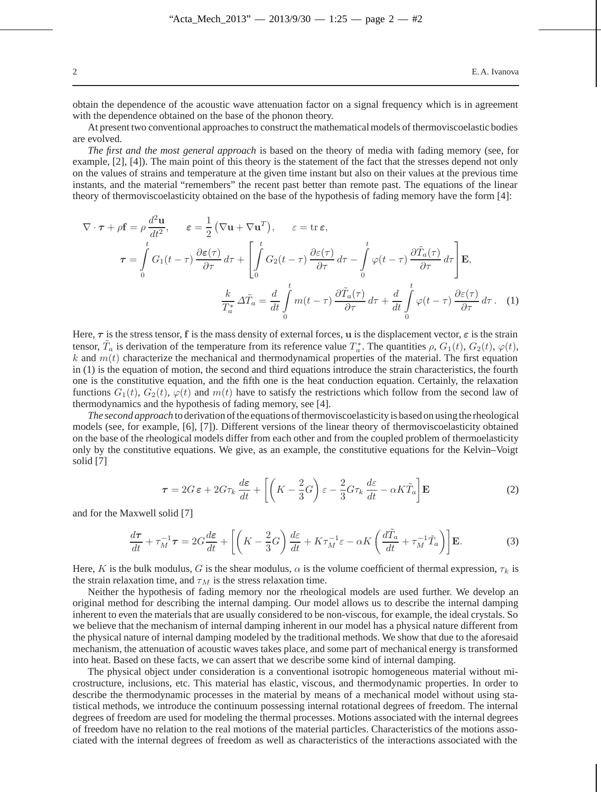obtain the dependence of the acoustic wave attenuation factor on a signal frequency which is in agreement with the dependence obtained on the base of the phonon theory.

At present two conventional approaches to construct the mathematical models of thermoviscoelastic bodies are evolved.

*The first and the most general approach* is based on the theory of media with fading memory (see, for example, [2], [4]). The main point of this theory is the statement of the fact that the stresses depend not only on the values of strains and temperature at the given time instant but also on their values at the previous time instants, and the material "remembers" the recent past better than remote past. The equations of the linear theory of thermoviscoelasticity obtained on the base of the hypothesis of fading memory have the form [4]:

$$
\nabla \cdot \boldsymbol{\tau} + \rho \mathbf{f} = \rho \frac{d^2 \mathbf{u}}{dt^2}, \qquad \varepsilon = \frac{1}{2} (\nabla \mathbf{u} + \nabla \mathbf{u}^T), \qquad \varepsilon = \text{tr} \, \varepsilon,
$$

$$
\boldsymbol{\tau} = \int_0^t G_1(t - \tau) \frac{\partial \varepsilon(\tau)}{\partial \tau} d\tau + \left[ \int_0^t G_2(t - \tau) \frac{\partial \varepsilon(\tau)}{\partial \tau} d\tau - \int_0^t \varphi(t - \tau) \frac{\partial \tilde{T}_a(\tau)}{\partial \tau} d\tau \right] \mathbf{E},
$$

$$
\frac{k}{T_a^*} \Delta \tilde{T}_a = \frac{d}{dt} \int_0^t m(t - \tau) \frac{\partial \tilde{T}_a(\tau)}{\partial \tau} d\tau + \frac{d}{dt} \int_0^t \varphi(t - \tau) \frac{\partial \varepsilon(\tau)}{\partial \tau} d\tau. \tag{1}
$$

Here,  $\tau$  is the stress tensor, **f** is the mass density of external forces, **u** is the displacement vector,  $\varepsilon$  is the strain tensor,  $\tilde{T}_a$  is derivation of the temperature from its reference value  $T_a^*$ . The quantities  $\rho$ ,  $G_1(t)$ ,  $G_2(t)$ ,  $\varphi(t)$ , k and  $m(t)$  characterize the mechanical and thermodynamical properties of the material. The first equation in (1) is the equation of motion, the second and third equations introduce the strain characteristics, the fourth one is the constitutive equation, and the fifth one is the heat conduction equation. Certainly, the relaxation functions  $G_1(t)$ ,  $G_2(t)$ ,  $\varphi(t)$  and  $m(t)$  have to satisfy the restrictions which follow from the second law of thermodynamics and the hypothesis of fading memory, see [4].

*The second approach* to derivation of the equations of thermoviscoelasticity is based on using the rheological models (see, for example, [6], [7]). Different versions of the linear theory of thermoviscoelasticity obtained on the base of the rheological models differ from each other and from the coupled problem of thermoelasticity only by the constitutive equations. We give, as an example, the constitutive equations for the Kelvin–Voigt solid [7]

$$
\tau = 2G\varepsilon + 2G\tau_k \frac{d\varepsilon}{dt} + \left[ \left( K - \frac{2}{3}G \right) \varepsilon - \frac{2}{3}G\tau_k \frac{d\varepsilon}{dt} - \alpha K \tilde{T}_a \right] \mathbf{E}
$$
 (2)

and for the Maxwell solid [7]

$$
\frac{d\tau}{dt} + \tau_M^{-1}\tau = 2G\frac{d\varepsilon}{dt} + \left[ \left( K - \frac{2}{3}G \right) \frac{d\varepsilon}{dt} + K\tau_M^{-1}\varepsilon - \alpha K \left( \frac{d\tilde{T}_a}{dt} + \tau_M^{-1}\tilde{T}_a \right) \right] \mathbf{E}.
$$
 (3)

Here, K is the bulk modulus, G is the shear modulus,  $\alpha$  is the volume coefficient of thermal expression,  $\tau_k$  is the strain relaxation time, and  $\tau_M$  is the stress relaxation time.

Neither the hypothesis of fading memory nor the rheological models are used further. We develop an original method for describing the internal damping. Our model allows us to describe the internal damping inherent to even the materials that are usually considered to be non-viscous, for example, the ideal crystals. So we believe that the mechanism of internal damping inherent in our model has a physical nature different from the physical nature of internal damping modeled by the traditional methods. We show that due to the aforesaid mechanism, the attenuation of acoustic waves takes place, and some part of mechanical energy is transformed into heat. Based on these facts, we can assert that we describe some kind of internal damping.

The physical object under consideration is a conventional isotropic homogeneous material without microstructure, inclusions, etc. This material has elastic, viscous, and thermodynamic properties. In order to describe the thermodynamic processes in the material by means of a mechanical model without using statistical methods, we introduce the continuum possessing internal rotational degrees of freedom. The internal degrees of freedom are used for modeling the thermal processes. Motions associated with the internal degrees of freedom have no relation to the real motions of the material particles. Characteristics of the motions associated with the internal degrees of freedom as well as characteristics of the interactions associated with the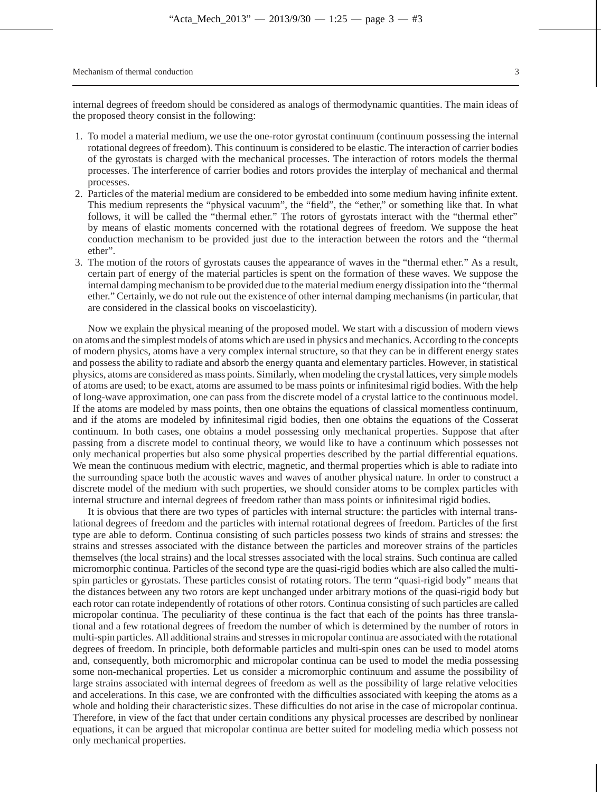internal degrees of freedom should be considered as analogs of thermodynamic quantities. The main ideas of the proposed theory consist in the following:

- 1. To model a material medium, we use the one-rotor gyrostat continuum (continuum possessing the internal rotational degrees of freedom). This continuum is considered to be elastic. The interaction of carrier bodies of the gyrostats is charged with the mechanical processes. The interaction of rotors models the thermal processes. The interference of carrier bodies and rotors provides the interplay of mechanical and thermal processes.
- 2. Particles of the material medium are considered to be embedded into some medium having infinite extent. This medium represents the "physical vacuum", the "field", the "ether," or something like that. In what follows, it will be called the "thermal ether." The rotors of gyrostats interact with the "thermal ether" by means of elastic moments concerned with the rotational degrees of freedom. We suppose the heat conduction mechanism to be provided just due to the interaction between the rotors and the "thermal ether".
- 3. The motion of the rotors of gyrostats causes the appearance of waves in the "thermal ether." As a result, certain part of energy of the material particles is spent on the formation of these waves. We suppose the internal damping mechanism to be provided due to the material medium energy dissipation into the "thermal ether." Certainly, we do not rule out the existence of other internal damping mechanisms (in particular, that are considered in the classical books on viscoelasticity).

Now we explain the physical meaning of the proposed model. We start with a discussion of modern views on atoms and the simplest models of atoms which are used in physics and mechanics. According to the concepts of modern physics, atoms have a very complex internal structure, so that they can be in different energy states and possess the ability to radiate and absorb the energy quanta and elementary particles. However, in statistical physics, atoms are considered as mass points. Similarly, when modeling the crystal lattices, very simple models of atoms are used; to be exact, atoms are assumed to be mass points or infinitesimal rigid bodies. With the help of long-wave approximation, one can pass from the discrete model of a crystal lattice to the continuous model. If the atoms are modeled by mass points, then one obtains the equations of classical momentless continuum, and if the atoms are modeled by infinitesimal rigid bodies, then one obtains the equations of the Cosserat continuum. In both cases, one obtains a model possessing only mechanical properties. Suppose that after passing from a discrete model to continual theory, we would like to have a continuum which possesses not only mechanical properties but also some physical properties described by the partial differential equations. We mean the continuous medium with electric, magnetic, and thermal properties which is able to radiate into the surrounding space both the acoustic waves and waves of another physical nature. In order to construct a discrete model of the medium with such properties, we should consider atoms to be complex particles with internal structure and internal degrees of freedom rather than mass points or infinitesimal rigid bodies.

It is obvious that there are two types of particles with internal structure: the particles with internal translational degrees of freedom and the particles with internal rotational degrees of freedom. Particles of the first type are able to deform. Continua consisting of such particles possess two kinds of strains and stresses: the strains and stresses associated with the distance between the particles and moreover strains of the particles themselves (the local strains) and the local stresses associated with the local strains. Such continua are called micromorphic continua. Particles of the second type are the quasi-rigid bodies which are also called the multispin particles or gyrostats. These particles consist of rotating rotors. The term "quasi-rigid body" means that the distances between any two rotors are kept unchanged under arbitrary motions of the quasi-rigid body but each rotor can rotate independently of rotations of other rotors. Continua consisting of such particles are called micropolar continua. The peculiarity of these continua is the fact that each of the points has three translational and a few rotational degrees of freedom the number of which is determined by the number of rotors in multi-spin particles. All additional strains and stresses in micropolar continua are associated with the rotational degrees of freedom. In principle, both deformable particles and multi-spin ones can be used to model atoms and, consequently, both micromorphic and micropolar continua can be used to model the media possessing some non-mechanical properties. Let us consider a micromorphic continuum and assume the possibility of large strains associated with internal degrees of freedom as well as the possibility of large relative velocities and accelerations. In this case, we are confronted with the difficulties associated with keeping the atoms as a whole and holding their characteristic sizes. These difficulties do not arise in the case of micropolar continua. Therefore, in view of the fact that under certain conditions any physical processes are described by nonlinear equations, it can be argued that micropolar continua are better suited for modeling media which possess not only mechanical properties.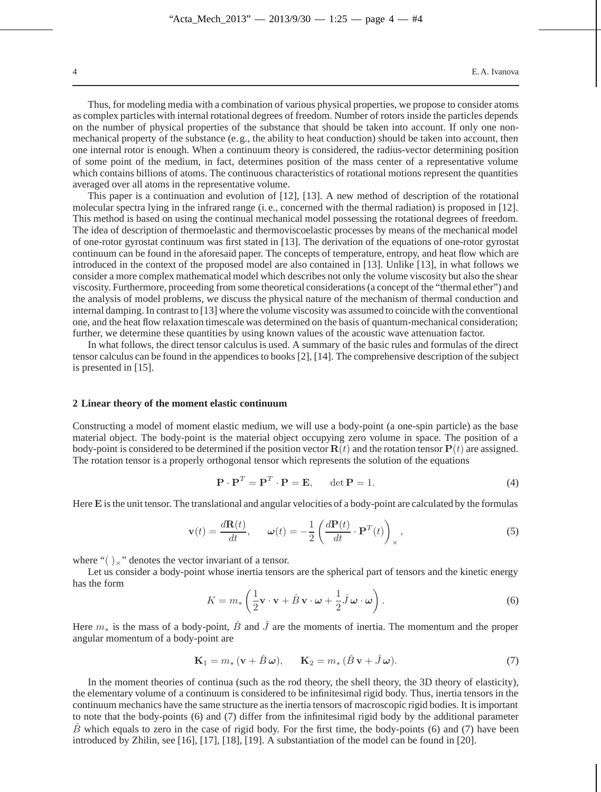Thus, for modeling media with a combination of various physical properties, we propose to consider atoms as complex particles with internal rotational degrees of freedom. Number of rotors inside the particles depends on the number of physical properties of the substance that should be taken into account. If only one nonmechanical property of the substance (e. g., the ability to heat conduction) should be taken into account, then one internal rotor is enough. When a continuum theory is considered, the radius-vector determining position of some point of the medium, in fact, determines position of the mass center of a representative volume which contains billions of atoms. The continuous characteristics of rotational motions represent the quantities averaged over all atoms in the representative volume.

This paper is a continuation and evolution of [12], [13]. A new method of description of the rotational molecular spectra lying in the infrared range (i. e., concerned with the thermal radiation) is proposed in [12]. This method is based on using the continual mechanical model possessing the rotational degrees of freedom. The idea of description of thermoelastic and thermoviscoelastic processes by means of the mechanical model of one-rotor gyrostat continuum was first stated in [13]. The derivation of the equations of one-rotor gyrostat continuum can be found in the aforesaid paper. The concepts of temperature, entropy, and heat flow which are introduced in the context of the proposed model are also contained in [13]. Unlike [13], in what follows we consider a more complex mathematical model which describes not only the volume viscosity but also the shear viscosity. Furthermore, proceeding from some theoretical considerations (a concept of the "thermal ether") and the analysis of model problems, we discuss the physical nature of the mechanism of thermal conduction and internal damping. In contrast to [13] where the volume viscosity was assumed to coincide with the conventional one, and the heat flow relaxation timescale was determined on the basis of quantum-mechanical consideration; further, we determine these quantities by using known values of the acoustic wave attenuation factor.

In what follows, the direct tensor calculus is used. A summary of the basic rules and formulas of the direct tensor calculus can be found in the appendices to books [2], [14]. The comprehensive description of the subject is presented in [15].

#### **2 Linear theory of the moment elastic continuum**

Constructing a model of moment elastic medium, we will use a body-point (a one-spin particle) as the base material object. The body-point is the material object occupying zero volume in space. The position of a body-point is considered to be determined if the position vector  $\mathbf{R}(t)$  and the rotation tensor  $\mathbf{P}(t)$  are assigned. The rotation tensor is a properly orthogonal tensor which represents the solution of the equations

$$
\mathbf{P} \cdot \mathbf{P}^T = \mathbf{P}^T \cdot \mathbf{P} = \mathbf{E}, \quad \det \mathbf{P} = 1.
$$
 (4)

Here **E** is the unit tensor. The translational and angular velocities of a body-point are calculated by the formulas

$$
\mathbf{v}(t) = \frac{d\mathbf{R}(t)}{dt}, \qquad \boldsymbol{\omega}(t) = -\frac{1}{2} \left( \frac{d\mathbf{P}(t)}{dt} \cdot \mathbf{P}^T(t) \right)_{\times}, \tag{5}
$$

where " $(\ )_{\times}$ " denotes the vector invariant of a tensor.

Let us consider a body-point whose inertia tensors are the spherical part of tensors and the kinetic energy has the form

$$
K = m_* \left( \frac{1}{2} \mathbf{v} \cdot \mathbf{v} + \hat{B} \mathbf{v} \cdot \boldsymbol{\omega} + \frac{1}{2} \hat{J} \boldsymbol{\omega} \cdot \boldsymbol{\omega} \right).
$$
 (6)

Here  $m_*$  is the mass of a body-point,  $\hat{B}$  and  $\hat{J}$  are the moments of inertia. The momentum and the proper angular momentum of a body-point are

$$
\mathbf{K}_1 = m_* \left( \mathbf{v} + \hat{B} \, \boldsymbol{\omega} \right), \qquad \mathbf{K}_2 = m_* \left( \hat{B} \, \mathbf{v} + \hat{J} \, \boldsymbol{\omega} \right).
$$
 (7)

In the moment theories of continua (such as the rod theory, the shell theory, the 3D theory of elasticity), the elementary volume of a continuum is considered to be infinitesimal rigid body. Thus, inertia tensors in the continuum mechanics have the same structure as the inertia tensors of macroscopic rigid bodies. It is important to note that the body-points (6) and (7) differ from the infinitesimal rigid body by the additional parameter  $\hat{B}$  which equals to zero in the case of rigid body. For the first time, the body-points (6) and (7) have been introduced by Zhilin, see [16], [17], [18], [19]. A substantiation of the model can be found in [20].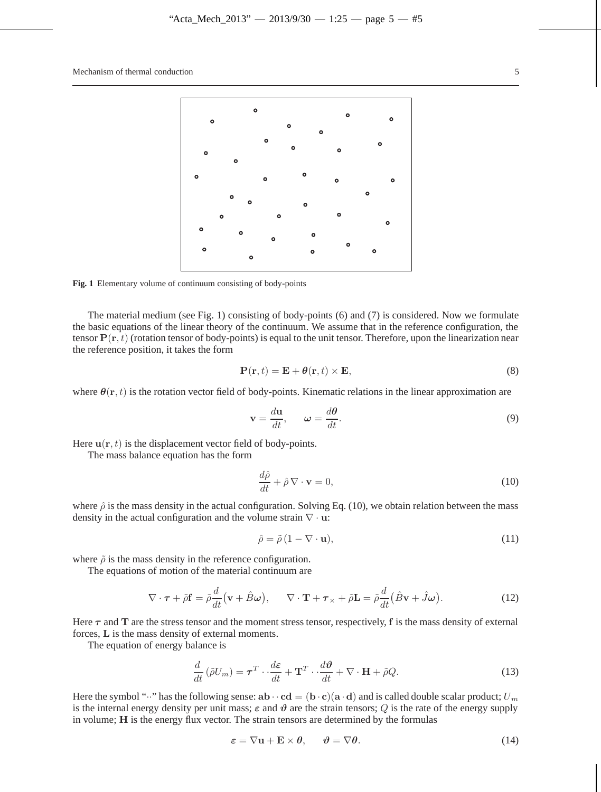

**Fig. 1** Elementary volume of continuum consisting of body-points

The material medium (see Fig. 1) consisting of body-points (6) and (7) is considered. Now we formulate the basic equations of the linear theory of the continuum. We assume that in the reference configuration, the tensor  $P(\mathbf{r}, t)$  (rotation tensor of body-points) is equal to the unit tensor. Therefore, upon the linearization near the reference position, it takes the form

$$
\mathbf{P}(\mathbf{r},t) = \mathbf{E} + \boldsymbol{\theta}(\mathbf{r},t) \times \mathbf{E},\tag{8}
$$

where  $\theta(r, t)$  is the rotation vector field of body-points. Kinematic relations in the linear approximation are

$$
\mathbf{v} = \frac{d\mathbf{u}}{dt}, \qquad \boldsymbol{\omega} = \frac{d\boldsymbol{\theta}}{dt}.
$$
 (9)

Here  $\mathbf{u}(\mathbf{r}, t)$  is the displacement vector field of body-points.

The mass balance equation has the form

$$
\frac{d\hat{\rho}}{dt} + \hat{\rho} \nabla \cdot \mathbf{v} = 0,\tag{10}
$$

where  $\hat{\rho}$  is the mass density in the actual configuration. Solving Eq. (10), we obtain relation between the mass density in the actual configuration and the volume strain ∇ · **<sup>u</sup>**:

$$
\hat{\rho} = \tilde{\rho} \left( 1 - \nabla \cdot \mathbf{u} \right),\tag{11}
$$

where  $\tilde{\rho}$  is the mass density in the reference configuration.

The equations of motion of the material continuum are

$$
\nabla \cdot \boldsymbol{\tau} + \tilde{\rho} \mathbf{f} = \tilde{\rho} \frac{d}{dt} (\mathbf{v} + \hat{B}\boldsymbol{\omega}), \qquad \nabla \cdot \mathbf{T} + \boldsymbol{\tau}_{\times} + \tilde{\rho} \mathbf{L} = \tilde{\rho} \frac{d}{dt} (\hat{B}\mathbf{v} + \hat{J}\boldsymbol{\omega}). \tag{12}
$$

Here *τ* and **T** are the stress tensor and the moment stress tensor, respectively, **f** is the mass density of external forces, **L** is the mass density of external moments.

The equation of energy balance is

$$
\frac{d}{dt}(\tilde{\rho}U_m) = \boldsymbol{\tau}^T \cdot \frac{d\boldsymbol{\varepsilon}}{dt} + \mathbf{T}^T \cdot \frac{d\boldsymbol{\vartheta}}{dt} + \nabla \cdot \mathbf{H} + \tilde{\rho}Q. \tag{13}
$$

Here the symbol "··" has the following sense:  $ab \cdot cd = (b \cdot c)(a \cdot d)$  and is called double scalar product;  $U_m$ is the internal energy density per unit mass;  $\varepsilon$  and  $\vartheta$  are the strain tensors;  $Q$  is the rate of the energy supply in volume; **H** is the energy flux vector. The strain tensors are determined by the formulas

$$
\varepsilon = \nabla \mathbf{u} + \mathbf{E} \times \boldsymbol{\theta}, \qquad \boldsymbol{\vartheta} = \nabla \boldsymbol{\theta}.
$$
 (14)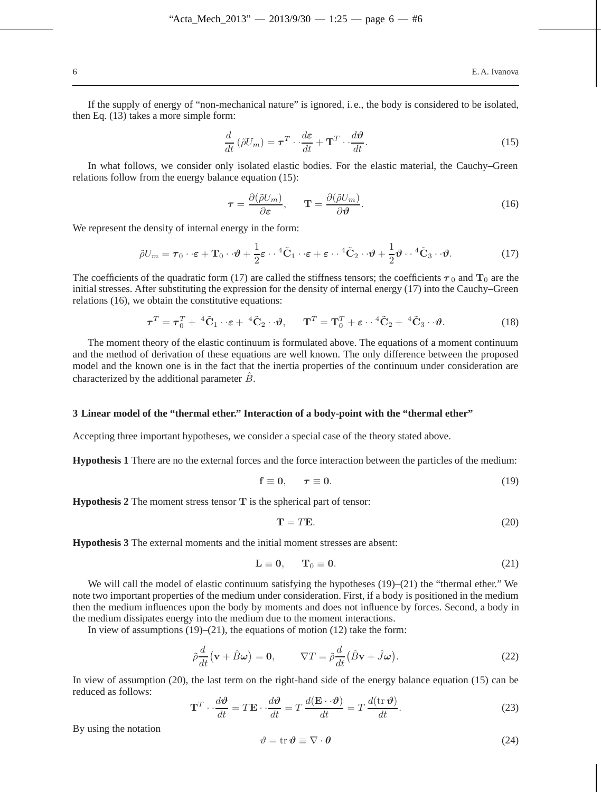6 E.A. Ivanova

If the supply of energy of "non-mechanical nature" is ignored, i. e., the body is considered to be isolated, then Eq. (13) takes a more simple form:

$$
\frac{d}{dt}(\tilde{\rho}U_m) = \boldsymbol{\tau}^T \cdot \frac{d\boldsymbol{\varepsilon}}{dt} + \mathbf{T}^T \cdot \frac{d\boldsymbol{\vartheta}}{dt}.
$$
\n(15)

In what follows, we consider only isolated elastic bodies. For the elastic material, the Cauchy–Green relations follow from the energy balance equation (15):

$$
\tau = \frac{\partial(\tilde{\rho}U_m)}{\partial \varepsilon}, \qquad \mathbf{T} = \frac{\partial(\tilde{\rho}U_m)}{\partial \theta}.
$$
 (16)

We represent the density of internal energy in the form:

$$
\tilde{\rho}U_m = \boldsymbol{\tau}_0 \cdot \boldsymbol{\varepsilon} + \mathbf{T}_0 \cdot \boldsymbol{\vartheta} + \frac{1}{2} \boldsymbol{\varepsilon} \cdot \boldsymbol{\varepsilon}^4 \tilde{\mathbf{C}}_1 \cdot \boldsymbol{\varepsilon} + \boldsymbol{\varepsilon} \cdot \boldsymbol{\varepsilon}^4 \tilde{\mathbf{C}}_2 \cdot \boldsymbol{\vartheta} + \frac{1}{2} \boldsymbol{\vartheta} \cdot \boldsymbol{\varepsilon}^4 \tilde{\mathbf{C}}_3 \cdot \boldsymbol{\vartheta}.
$$
 (17)

The coefficients of the quadratic form (17) are called the stiffness tensors; the coefficients  $\tau_0$  and  $T_0$  are the initial stresses. After substituting the expression for the density of internal energy (17) into the Cauchy–Green relations (16), we obtain the constitutive equations:

$$
\boldsymbol{\tau}^T = \boldsymbol{\tau}_0^T + {}^4 \tilde{\mathbf{C}}_1 \cdot \boldsymbol{\epsilon} + {}^4 \tilde{\mathbf{C}}_2 \cdot \boldsymbol{\vartheta}, \qquad \mathbf{T}^T = \mathbf{T}_0^T + \boldsymbol{\epsilon} \cdot {}^4 \tilde{\mathbf{C}}_2 + {}^4 \tilde{\mathbf{C}}_3 \cdot \boldsymbol{\vartheta}.
$$
 (18)

The moment theory of the elastic continuum is formulated above. The equations of a moment continuum and the method of derivation of these equations are well known. The only difference between the proposed model and the known one is in the fact that the inertia properties of the continuum under consideration are characterized by the additional parameter  $\hat{B}$ .

# **3 Linear model of the "thermal ether." Interaction of a body-point with the "thermal ether"**

Accepting three important hypotheses, we consider a special case of the theory stated above.

**Hypothesis 1** There are no the external forces and the force interaction between the particles of the medium:

$$
\mathbf{f} \equiv \mathbf{0}, \qquad \tau \equiv \mathbf{0}.\tag{19}
$$

**Hypothesis 2** The moment stress tensor **T** is the spherical part of tensor:

$$
\mathbf{T} = T\mathbf{E}.\tag{20}
$$

**Hypothesis 3** The external moments and the initial moment stresses are absent:

$$
\mathbf{L} \equiv \mathbf{0}, \qquad \mathbf{T}_0 \equiv \mathbf{0}.
$$
 (21)

We will call the model of elastic continuum satisfying the hypotheses (19)–(21) the "thermal ether." We note two important properties of the medium under consideration. First, if a body is positioned in the medium then the medium influences upon the body by moments and does not influence by forces. Second, a body in the medium dissipates energy into the medium due to the moment interactions.

In view of assumptions  $(19)$ – $(21)$ , the equations of motion  $(12)$  take the form:

$$
\tilde{\rho}\frac{d}{dt}(\mathbf{v} + \hat{B}\boldsymbol{\omega}) = \mathbf{0}, \qquad \nabla T = \tilde{\rho}\frac{d}{dt}(\hat{B}\mathbf{v} + \hat{J}\boldsymbol{\omega}).
$$
\n(22)

In view of assumption (20), the last term on the right-hand side of the energy balance equation (15) can be reduced as follows:

$$
\mathbf{T}^T \cdot \frac{d\boldsymbol{\vartheta}}{dt} = T\mathbf{E} \cdot \frac{d\boldsymbol{\vartheta}}{dt} = T\frac{d(\mathbf{E} \cdot \boldsymbol{\vartheta})}{dt} = T\frac{d(\mathrm{tr}\,\boldsymbol{\vartheta})}{dt}.
$$
 (23)

By using the notation

$$
\vartheta = \operatorname{tr} \vartheta \equiv \nabla \cdot \theta \tag{24}
$$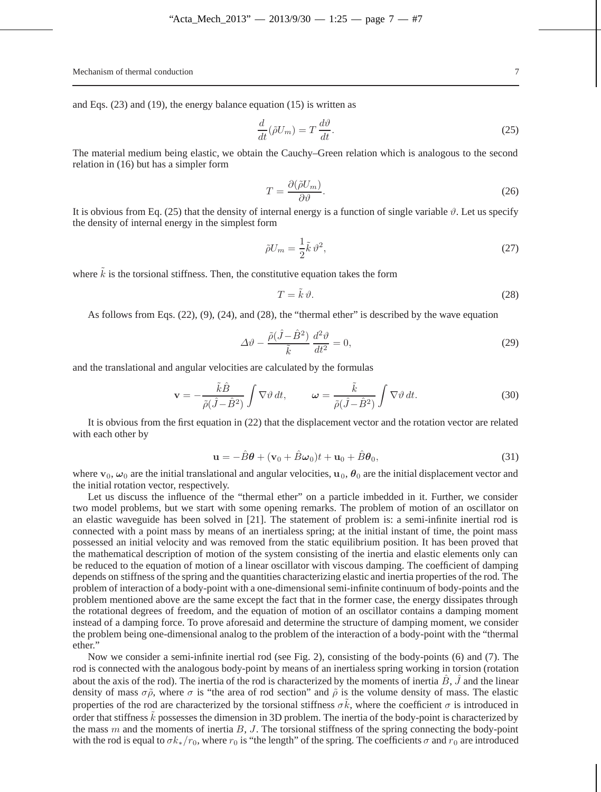and Eqs. (23) and (19), the energy balance equation (15) is written as

$$
\frac{d}{dt}(\tilde{\rho}U_m) = T\frac{d\vartheta}{dt}.\tag{25}
$$

The material medium being elastic, we obtain the Cauchy–Green relation which is analogous to the second relation in (16) but has a simpler form

$$
T = \frac{\partial(\tilde{\rho}U_m)}{\partial \vartheta}.
$$
\n(26)

It is obvious from Eq. (25) that the density of internal energy is a function of single variable  $\vartheta$ . Let us specify the density of internal energy in the simplest form

$$
\tilde{\rho}U_m = \frac{1}{2}\tilde{k}\,\vartheta^2,\tag{27}
$$

where  $\tilde{k}$  is the torsional stiffness. Then, the constitutive equation takes the form

$$
T = \tilde{k}\,\vartheta.\tag{28}
$$

As follows from Eqs. (22), (9), (24), and (28), the "thermal ether" is described by the wave equation

$$
\Delta\vartheta - \frac{\tilde{\rho}(\hat{J} - \hat{B}^2)}{\tilde{k}} \frac{d^2\vartheta}{dt^2} = 0,
$$
\n(29)

and the translational and angular velocities are calculated by the formulas

$$
\mathbf{v} = -\frac{\tilde{k}\hat{B}}{\tilde{\rho}(\hat{J} - \hat{B}^2)} \int \nabla \vartheta \, dt, \qquad \omega = \frac{\tilde{k}}{\tilde{\rho}(\hat{J} - \hat{B}^2)} \int \nabla \vartheta \, dt. \tag{30}
$$

It is obvious from the first equation in (22) that the displacement vector and the rotation vector are related with each other by

$$
\mathbf{u} = -\hat{B}\boldsymbol{\theta} + (\mathbf{v}_0 + \hat{B}\boldsymbol{\omega}_0)t + \mathbf{u}_0 + \hat{B}\boldsymbol{\theta}_0, \tag{31}
$$

where  $\mathbf{v}_0$ ,  $\omega_0$  are the initial translational and angular velocities,  $\mathbf{u}_0$ ,  $\theta_0$  are the initial displacement vector and the initial rotation vector, respectively.

Let us discuss the influence of the "thermal ether" on a particle imbedded in it. Further, we consider two model problems, but we start with some opening remarks. The problem of motion of an oscillator on an elastic waveguide has been solved in [21]. The statement of problem is: a semi-infinite inertial rod is connected with a point mass by means of an inertialess spring; at the initial instant of time, the point mass possessed an initial velocity and was removed from the static equilibrium position. It has been proved that the mathematical description of motion of the system consisting of the inertia and elastic elements only can be reduced to the equation of motion of a linear oscillator with viscous damping. The coefficient of damping depends on stiffness of the spring and the quantities characterizing elastic and inertia properties of the rod. The problem of interaction of a body-point with a one-dimensional semi-infinite continuum of body-points and the problem mentioned above are the same except the fact that in the former case, the energy dissipates through the rotational degrees of freedom, and the equation of motion of an oscillator contains a damping moment instead of a damping force. To prove aforesaid and determine the structure of damping moment, we consider the problem being one-dimensional analog to the problem of the interaction of a body-point with the "thermal ether."

Now we consider a semi-infinite inertial rod (see Fig. 2), consisting of the body-points (6) and (7). The rod is connected with the analogous body-point by means of an inertialess spring working in torsion (rotation about the axis of the rod). The inertia of the rod is characterized by the moments of inertia  $\hat{B}$ ,  $\hat{J}$  and the linear density of mass  $\sigma\tilde{\rho}$ , where  $\sigma$  is "the area of rod section" and  $\tilde{\rho}$  is the volume density of mass. The elastic properties of the rod are characterized by the torsional stiffness  $\sigma \tilde{k}$ , where the coefficient  $\sigma$  is introduced in order that stiffness  $\vec{k}$  possesses the dimension in 3D problem. The inertia of the body-point is characterized by the mass m and the moments of inertia  $B$ , J. The torsional stiffness of the spring connecting the body-point with the rod is equal to  $\sigma k_*/r_0$ , where  $r_0$  is "the length" of the spring. The coefficients  $\sigma$  and  $r_0$  are introduced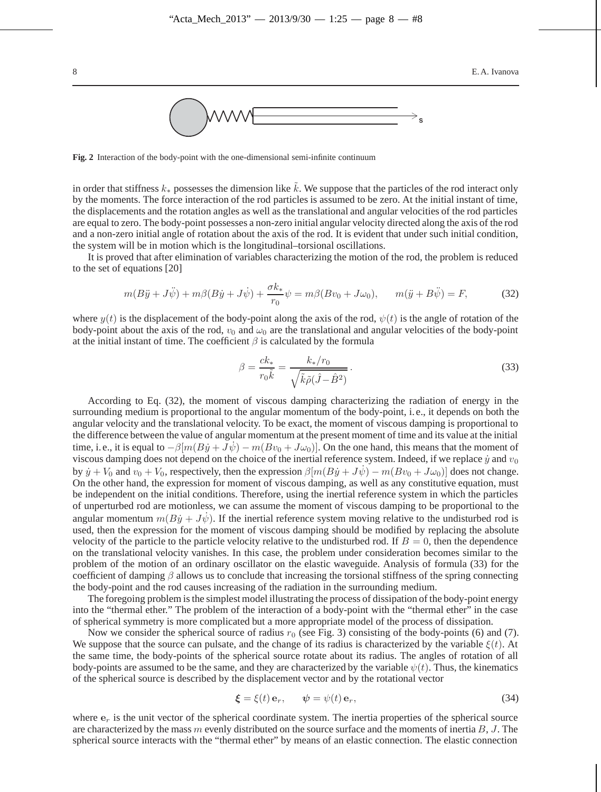8 E.A. Ivanova



**Fig. 2** Interaction of the body-point with the one-dimensional semi-infinite continuum

in order that stiffness  $k_*$  possesses the dimension like  $\tilde{k}$ . We suppose that the particles of the rod interact only by the moments. The force interaction of the rod particles is assumed to be zero. At the initial instant of time, the displacements and the rotation angles as well as the translational and angular velocities of the rod particles are equal to zero. The body-point possesses a non-zero initial angular velocity directed along the axis of the rod and a non-zero initial angle of rotation about the axis of the rod. It is evident that under such initial condition, the system will be in motion which is the longitudinal–torsional oscillations.

It is proved that after elimination of variables characterizing the motion of the rod, the problem is reduced to the set of equations [20]

$$
m(B\ddot{y} + J\ddot{\psi}) + m\beta(B\dot{y} + J\dot{\psi}) + \frac{\sigma k_*}{r_0} \psi = m\beta(Bv_0 + J\omega_0), \qquad m(\ddot{y} + B\ddot{\psi}) = F,\tag{32}
$$

where  $y(t)$  is the displacement of the body-point along the axis of the rod,  $\psi(t)$  is the angle of rotation of the body-point about the axis of the rod,  $v_0$  and  $\omega_0$  are the translational and angular velocities of the body-point at the initial instant of time. The coefficient  $\beta$  is calculated by the formula

$$
\beta = \frac{ck_*}{r_0 \tilde{k}} = \frac{k_*/r_0}{\sqrt{\tilde{k}\tilde{\rho}(\hat{J}-\hat{B}^2)}}.
$$
\n(33)

According to Eq. (32), the moment of viscous damping characterizing the radiation of energy in the surrounding medium is proportional to the angular momentum of the body-point, i. e., it depends on both the angular velocity and the translational velocity. To be exact, the moment of viscous damping is proportional to the difference between the value of angular momentum at the present moment of time and its value at the initial time, i.e., it is equal to  $-\beta[m(B\dot{y}+J\dot{\psi})-m(Bv_0+J\omega_0)]$ . On the one hand, this means that the moment of viscous damping does not depend on the choice of the inertial reference system. Indeed, if we replace  $\dot{y}$  and  $v_0$ by  $\dot{y} + V_0$  and  $v_0 + V_0$ , respectively, then the expression  $\beta[m(B\dot{y} + J\dot{\psi}) - m(Bv_0 + J\omega_0)]$  does not change. On the other hand, the expression for moment of viscous damping, as well as any constitutive equation, must be independent on the initial conditions. Therefore, using the inertial reference system in which the particles of unperturbed rod are motionless, we can assume the moment of viscous damping to be proportional to the angular momentum  $m(B\dot{y} + J\dot{\psi})$ . If the inertial reference system moving relative to the undisturbed rod is used, then the expression for the moment of viscous damping should be modified by replacing the absolute velocity of the particle to the particle velocity relative to the undisturbed rod. If  $B = 0$ , then the dependence on the translational velocity vanishes. In this case, the problem under consideration becomes similar to the problem of the motion of an ordinary oscillator on the elastic waveguide. Analysis of formula (33) for the coefficient of damping  $\beta$  allows us to conclude that increasing the torsional stiffness of the spring connecting the body-point and the rod causes increasing of the radiation in the surrounding medium.

The foregoing problem is the simplest model illustrating the process of dissipation of the body-point energy into the "thermal ether." The problem of the interaction of a body-point with the "thermal ether" in the case of spherical symmetry is more complicated but a more appropriate model of the process of dissipation.

Now we consider the spherical source of radius  $r_0$  (see Fig. 3) consisting of the body-points (6) and (7). We suppose that the source can pulsate, and the change of its radius is characterized by the variable  $\xi(t)$ . At the same time, the body-points of the spherical source rotate about its radius. The angles of rotation of all body-points are assumed to be the same, and they are characterized by the variable  $\psi(t)$ . Thus, the kinematics of the spherical source is described by the displacement vector and by the rotational vector

$$
\boldsymbol{\xi} = \xi(t) \mathbf{e}_r, \qquad \boldsymbol{\psi} = \psi(t) \mathbf{e}_r,\tag{34}
$$

where  $e_r$  is the unit vector of the spherical coordinate system. The inertia properties of the spherical source are characterized by the mass m evenly distributed on the source surface and the moments of inertia  $B$ ,  $J$ . The spherical source interacts with the "thermal ether" by means of an elastic connection. The elastic connection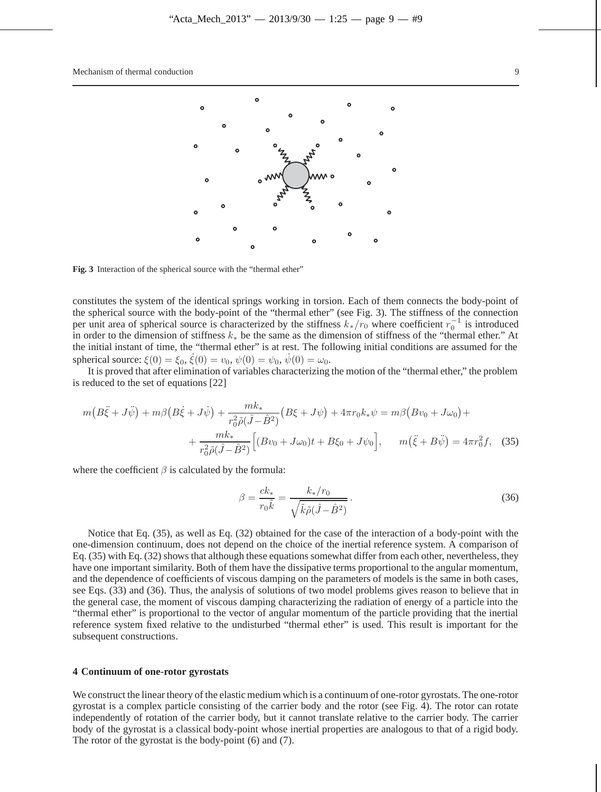

**Fig. 3** Interaction of the spherical source with the "thermal ether"

constitutes the system of the identical springs working in torsion. Each of them connects the body-point of the spherical source with the body-point of the "thermal ether" (see Fig. 3). The stiffness of the connection per unit area of spherical source is characterized by the stiffness  $k_*/r_0$  where coefficient  $r_0^{-1}$  is introduced in order to the dimension of stiffness <sup>k</sup><sup>∗</sup> be the same as the dimension of stiffness of the "thermal ether." At the initial instant of time, the "thermal ether" is at rest. The following initial conditions are assumed for the spherical source:  $\xi(0) = \xi_0$ ,  $\dot{\xi}(0) = v_0$ ,  $\psi(0) = \psi_0$ ,  $\dot{\psi}(0) = \omega_0$ .

It is proved that after elimination of variables characterizing the motion of the "thermal ether," the problem is reduced to the set of equations [22]

$$
m(B\ddot{\xi} + J\ddot{\psi}) + m\beta(B\dot{\xi} + J\dot{\psi}) + \frac{mk_*}{r_0^2 \tilde{\rho}(\hat{J} - \hat{B}^2)}(B\xi + J\psi) + 4\pi r_0 k_* \psi = m\beta(Bv_0 + J\omega_0) +
$$
  
+ 
$$
\frac{mk_*}{r_0^2 \tilde{\rho}(\hat{J} - \hat{B}^2)} \Big[ (Bv_0 + J\omega_0)t + B\xi_0 + J\psi_0 \Big], \qquad m(\ddot{\xi} + B\ddot{\psi}) = 4\pi r_0^2 f, \quad (35)
$$

where the coefficient  $\beta$  is calculated by the formula:

$$
\beta = \frac{ck_*}{r_0 \tilde{k}} = \frac{k_*/r_0}{\sqrt{\tilde{k}\tilde{\rho}(\hat{J}-\hat{B}^2)}}.
$$
\n(36)

Notice that Eq. (35), as well as Eq. (32) obtained for the case of the interaction of a body-point with the one-dimension continuum, does not depend on the choice of the inertial reference system. A comparison of Eq. (35) with Eq. (32) shows that although these equations somewhat differ from each other, nevertheless, they have one important similarity. Both of them have the dissipative terms proportional to the angular momentum, and the dependence of coefficients of viscous damping on the parameters of models is the same in both cases, see Eqs. (33) and (36). Thus, the analysis of solutions of two model problems gives reason to believe that in the general case, the moment of viscous damping characterizing the radiation of energy of a particle into the "thermal ether" is proportional to the vector of angular momentum of the particle providing that the inertial reference system fixed relative to the undisturbed "thermal ether" is used. This result is important for the subsequent constructions.

#### **4 Continuum of one-rotor gyrostats**

We construct the linear theory of the elastic medium which is a continuum of one-rotor gyrostats. The one-rotor gyrostat is a complex particle consisting of the carrier body and the rotor (see Fig. 4). The rotor can rotate independently of rotation of the carrier body, but it cannot translate relative to the carrier body. The carrier body of the gyrostat is a classical body-point whose inertial properties are analogous to that of a rigid body. The rotor of the gyrostat is the body-point (6) and (7).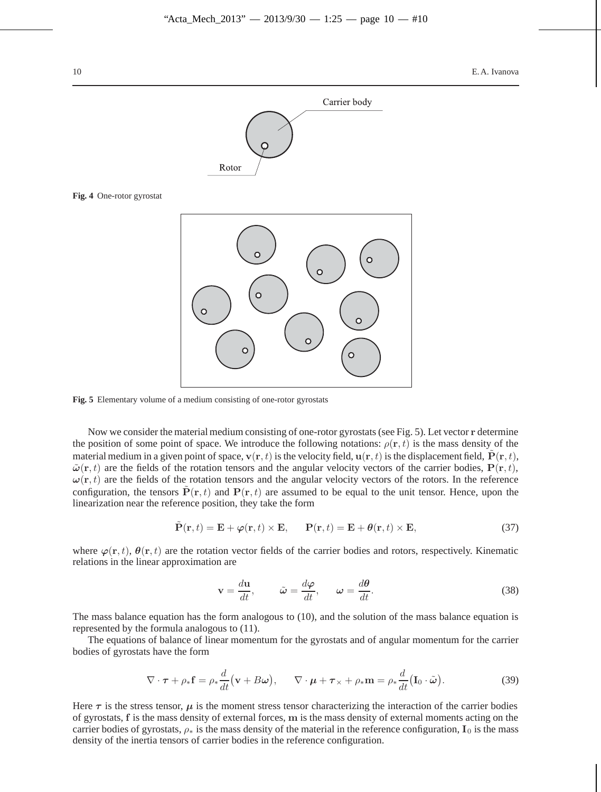

**Fig. 4** One-rotor gyrostat



**Fig. 5** Elementary volume of a medium consisting of one-rotor gyrostats

Now we consider the material medium consisting of one-rotor gyrostats (see Fig. 5). Let vector **r** determine the position of some point of space. We introduce the following notations:  $\rho(\mathbf{r},t)$  is the mass density of the material medium in a given point of space,  $\mathbf{v}(\mathbf{r}, t)$  is the velocity field,  $\mathbf{u}(\mathbf{r}, t)$  is the displacement field,  $\mathbf{P}(\mathbf{r}, t)$ ,  $\tilde{\omega}(\mathbf{r},t)$  are the fields of the rotation tensors and the angular velocity vectors of the carrier bodies,  $\mathbf{P}(\mathbf{r},t)$ ,  $\omega(\mathbf{r},t)$  are the fields of the rotation tensors and the angular velocity vectors of the rotors. In the reference configuration, the tensors  $\tilde{P}(\mathbf{r}, t)$  and  $P(\mathbf{r}, t)$  are assumed to be equal to the unit tensor. Hence, upon the linearization near the reference position, they take the form

$$
\tilde{\mathbf{P}}(\mathbf{r},t) = \mathbf{E} + \boldsymbol{\varphi}(\mathbf{r},t) \times \mathbf{E}, \qquad \mathbf{P}(\mathbf{r},t) = \mathbf{E} + \boldsymbol{\theta}(\mathbf{r},t) \times \mathbf{E}, \tag{37}
$$

where  $\varphi(\mathbf{r}, t)$ ,  $\theta(\mathbf{r}, t)$  are the rotation vector fields of the carrier bodies and rotors, respectively. Kinematic relations in the linear approximation are

$$
\mathbf{v} = \frac{d\mathbf{u}}{dt}, \qquad \tilde{\boldsymbol{\omega}} = \frac{d\boldsymbol{\varphi}}{dt}, \qquad \boldsymbol{\omega} = \frac{d\boldsymbol{\theta}}{dt}.
$$
 (38)

The mass balance equation has the form analogous to (10), and the solution of the mass balance equation is represented by the formula analogous to (11).

The equations of balance of linear momentum for the gyrostats and of angular momentum for the carrier bodies of gyrostats have the form

$$
\nabla \cdot \boldsymbol{\tau} + \rho_* \mathbf{f} = \rho_* \frac{d}{dt} (\mathbf{v} + B\boldsymbol{\omega}), \qquad \nabla \cdot \boldsymbol{\mu} + \boldsymbol{\tau}_* + \rho_* \mathbf{m} = \rho_* \frac{d}{dt} (\mathbf{I}_0 \cdot \tilde{\boldsymbol{\omega}}).
$$
 (39)

Here  $\tau$  is the stress tensor,  $\mu$  is the moment stress tensor characterizing the interaction of the carrier bodies of gyrostats, **f** is the mass density of external forces, **m** is the mass density of external moments acting on the carrier bodies of gyrostats,  $\rho_*$  is the mass density of the material in the reference configuration,  $I_0$  is the mass density of the inertia tensors of carrier bodies in the reference configuration.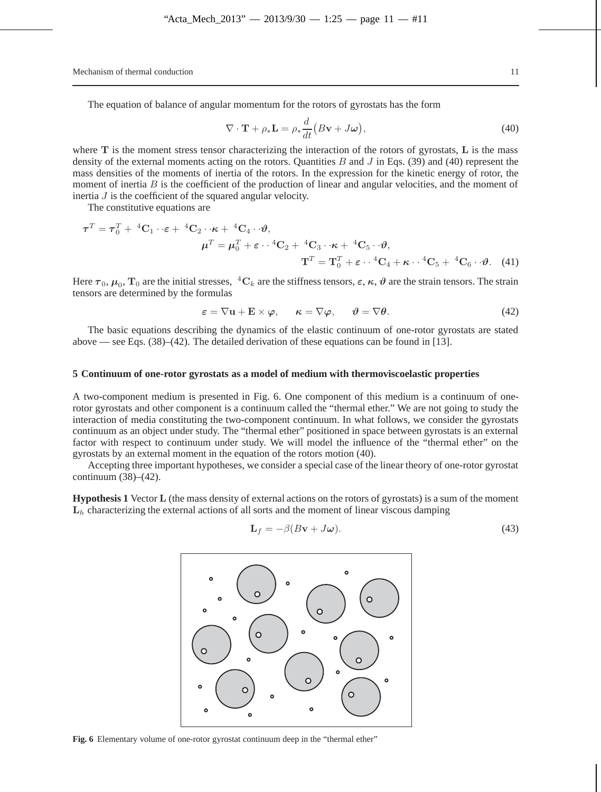The equation of balance of angular momentum for the rotors of gyrostats has the form

$$
\nabla \cdot \mathbf{T} + \rho_* \mathbf{L} = \rho_* \frac{d}{dt} \big( B \mathbf{v} + J \boldsymbol{\omega} \big),\tag{40}
$$

where **T** is the moment stress tensor characterizing the interaction of the rotors of gyrostats, **L** is the mass density of the external moments acting on the rotors. Quantities  $B$  and  $J$  in Eqs. (39) and (40) represent the mass densities of the moments of inertia of the rotors. In the expression for the kinetic energy of rotor, the moment of inertia  $B$  is the coefficient of the production of linear and angular velocities, and the moment of inertia J is the coefficient of the squared angular velocity.

The constitutive equations are

$$
\boldsymbol{\tau}^T = \boldsymbol{\tau}_0^T + {}^{4}\mathbf{C}_1 \cdot \boldsymbol{\epsilon} + {}^{4}\mathbf{C}_2 \cdot \boldsymbol{\kappa} + {}^{4}\mathbf{C}_4 \cdot \boldsymbol{\vartheta},
$$
  

$$
\boldsymbol{\mu}^T = \boldsymbol{\mu}_0^T + \boldsymbol{\epsilon} \cdot {}^{4}\mathbf{C}_2 + {}^{4}\mathbf{C}_3 \cdot \boldsymbol{\kappa} + {}^{4}\mathbf{C}_5 \cdot \boldsymbol{\vartheta},
$$
  

$$
\mathbf{T}^T = \mathbf{T}_0^T + \boldsymbol{\epsilon} \cdot {}^{4}\mathbf{C}_4 + \boldsymbol{\kappa} \cdot {}^{4}\mathbf{C}_5 + {}^{4}\mathbf{C}_6 \cdot \boldsymbol{\vartheta}. \tag{41}
$$

Here  $\tau_0$ ,  $\mu_0$ ,  $\tau_0$  are the initial stresses, <sup>4</sup>C<sub>k</sub> are the stiffness tensors,  $\varepsilon$ ,  $\kappa$ ,  $\vartheta$  are the strain tensors. The strain tensors are determined by the formulas

$$
\varepsilon = \nabla \mathbf{u} + \mathbf{E} \times \boldsymbol{\varphi}, \qquad \kappa = \nabla \boldsymbol{\varphi}, \qquad \boldsymbol{\vartheta} = \nabla \boldsymbol{\theta}.
$$
 (42)

The basic equations describing the dynamics of the elastic continuum of one-rotor gyrostats are stated above — see Eqs. (38)–(42). The detailed derivation of these equations can be found in [13].

#### **5 Continuum of one-rotor gyrostats as a model of medium with thermoviscoelastic properties**

A two-component medium is presented in Fig. 6. One component of this medium is a continuum of onerotor gyrostats and other component is a continuum called the "thermal ether." We are not going to study the interaction of media constituting the two-component continuum. In what follows, we consider the gyrostats continuum as an object under study. The "thermal ether" positioned in space between gyrostats is an external factor with respect to continuum under study. We will model the influence of the "thermal ether" on the gyrostats by an external moment in the equation of the rotors motion (40).

Accepting three important hypotheses, we consider a special case of the linear theory of one-rotor gyrostat continuum (38)–(42).

**Hypothesis 1** Vector **L** (the mass density of external actions on the rotors of gyrostats) is a sum of the moment  $L<sub>h</sub>$  characterizing the external actions of all sorts and the moment of linear viscous damping

$$
\mathbf{L}_f = -\beta (B\mathbf{v} + J\boldsymbol{\omega}).\tag{43}
$$



**Fig. 6** Elementary volume of one-rotor gyrostat continuum deep in the "thermal ether"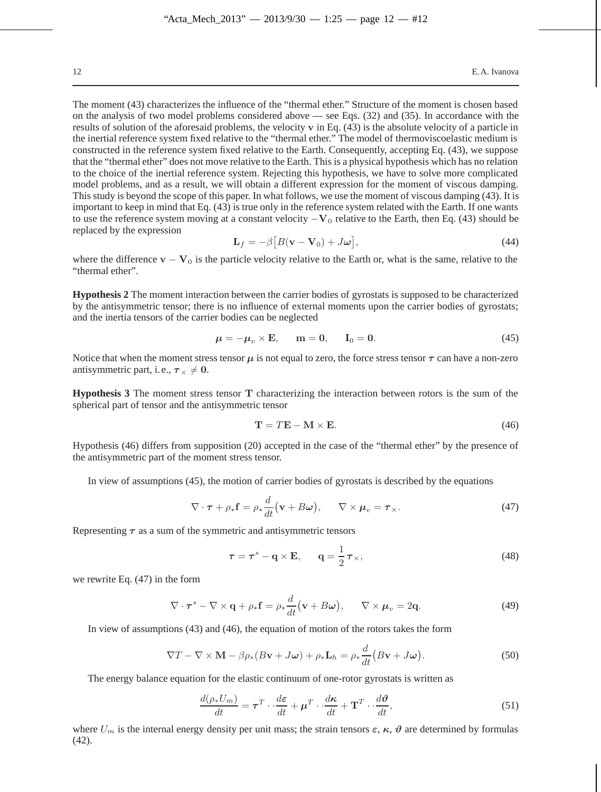12 E.A. Ivanova

The moment (43) characterizes the influence of the "thermal ether." Structure of the moment is chosen based on the analysis of two model problems considered above — see Eqs. (32) and (35). In accordance with the results of solution of the aforesaid problems, the velocity **v** in Eq. (43) is the absolute velocity of a particle in the inertial reference system fixed relative to the "thermal ether." The model of thermoviscoelastic medium is constructed in the reference system fixed relative to the Earth. Consequently, accepting Eq. (43), we suppose that the "thermal ether" does not move relative to the Earth. This is a physical hypothesis which has no relation to the choice of the inertial reference system. Rejecting this hypothesis, we have to solve more complicated model problems, and as a result, we will obtain a different expression for the moment of viscous damping. This study is beyond the scope of this paper. In what follows, we use the moment of viscous damping (43). It is important to keep in mind that Eq. (43) is true only in the reference system related with the Earth. If one wants to use the reference system moving at a constant velocity <sup>−</sup>**V**<sup>0</sup> relative to the Earth, then Eq. (43) should be replaced by the expression

$$
\mathbf{L}_f = -\beta \left[ B(\mathbf{v} - \mathbf{V}_0) + J\boldsymbol{\omega} \right],\tag{44}
$$

where the difference  $\mathbf{v} - \mathbf{V}_0$  is the particle velocity relative to the Earth or, what is the same, relative to the "thermal ether".

**Hypothesis 2** The moment interaction between the carrier bodies of gyrostats is supposed to be characterized by the antisymmetric tensor; there is no influence of external moments upon the carrier bodies of gyrostats; and the inertia tensors of the carrier bodies can be neglected

$$
\mu = -\mu_v \times \mathbf{E}, \qquad \mathbf{m} = \mathbf{0}, \qquad \mathbf{I}_0 = \mathbf{0}.
$$
 (45)

Notice that when the moment stress tensor  $\mu$  is not equal to zero, the force stress tensor  $\tau$  can have a non-zero antisymmetric part, i.e.,  $\tau_{\times} \neq 0$ .

**Hypothesis 3** The moment stress tensor **T** characterizing the interaction between rotors is the sum of the spherical part of tensor and the antisymmetric tensor

$$
\mathbf{T} = T\mathbf{E} - \mathbf{M} \times \mathbf{E}.\tag{46}
$$

Hypothesis (46) differs from supposition (20) accepted in the case of the "thermal ether" by the presence of the antisymmetric part of the moment stress tensor.

In view of assumptions (45), the motion of carrier bodies of gyrostats is described by the equations

$$
\nabla \cdot \boldsymbol{\tau} + \rho_* \mathbf{f} = \rho_* \frac{d}{dt} (\mathbf{v} + B\boldsymbol{\omega}), \qquad \nabla \times \boldsymbol{\mu}_v = \boldsymbol{\tau}_\times.
$$
 (47)

Representing  $\tau$  as a sum of the symmetric and antisymmetric tensors

$$
\tau = \tau^s - \mathbf{q} \times \mathbf{E}, \qquad \mathbf{q} = \frac{1}{2} \tau_{\times}, \tag{48}
$$

we rewrite Eq. (47) in the form

$$
\nabla \cdot \boldsymbol{\tau}^s - \nabla \times \mathbf{q} + \rho_* \mathbf{f} = \rho_* \frac{d}{dt} (\mathbf{v} + B\boldsymbol{\omega}), \qquad \nabla \times \boldsymbol{\mu}_v = 2\mathbf{q}. \tag{49}
$$

In view of assumptions (43) and (46), the equation of motion of the rotors takes the form

$$
\nabla T - \nabla \times \mathbf{M} - \beta \rho_*(B\mathbf{v} + J\boldsymbol{\omega}) + \rho_* \mathbf{L}_h = \rho_* \frac{d}{dt} (B\mathbf{v} + J\boldsymbol{\omega}). \tag{50}
$$

The energy balance equation for the elastic continuum of one-rotor gyrostats is written as

$$
\frac{d(\rho_* U_m)}{dt} = \tau^T \cdot \frac{d\varepsilon}{dt} + \mu^T \cdot \frac{d\kappa}{dt} + \mathbf{T}^T \cdot \frac{d\vartheta}{dt},\tag{51}
$$

where  $U_m$  is the internal energy density per unit mass; the strain tensors  $\varepsilon$ ,  $\kappa$ ,  $\vartheta$  are determined by formulas (42).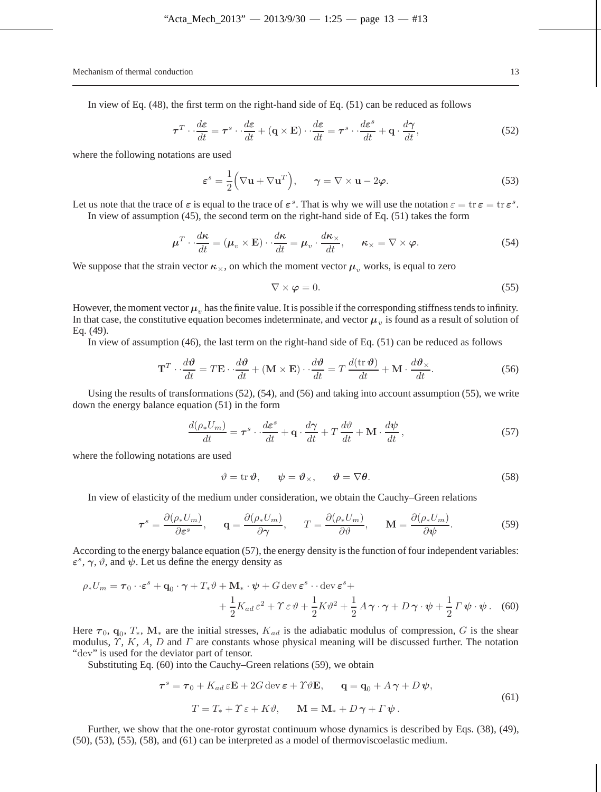In view of Eq. (48), the first term on the right-hand side of Eq. (51) can be reduced as follows

$$
\boldsymbol{\tau}^T \cdot \frac{d\boldsymbol{\varepsilon}}{dt} = \boldsymbol{\tau}^s \cdot \frac{d\boldsymbol{\varepsilon}}{dt} + (\mathbf{q} \times \mathbf{E}) \cdot \frac{d\boldsymbol{\varepsilon}}{dt} = \boldsymbol{\tau}^s \cdot \frac{d\boldsymbol{\varepsilon}^s}{dt} + \mathbf{q} \cdot \frac{d\boldsymbol{\gamma}}{dt},
$$
(52)

where the following notations are used

$$
\varepsilon^{s} = \frac{1}{2} (\nabla \mathbf{u} + \nabla \mathbf{u}^{T}), \quad \gamma = \nabla \times \mathbf{u} - 2\varphi.
$$
 (53)

Let us note that the trace of  $\varepsilon$  is equal to the trace of  $\varepsilon^s$ . That is why we will use the notation  $\varepsilon = \text{tr} \, \varepsilon = \text{tr} \, \varepsilon^s$ . In view of assumption (45), the second term on the right-hand side of Eq. (51) takes the form

$$
\boldsymbol{\mu}^T \cdot \frac{d\boldsymbol{\kappa}}{dt} = (\boldsymbol{\mu}_v \times \mathbf{E}) \cdot \frac{d\boldsymbol{\kappa}}{dt} = \boldsymbol{\mu}_v \cdot \frac{d\boldsymbol{\kappa}_\times}{dt}, \qquad \boldsymbol{\kappa}_\times = \nabla \times \boldsymbol{\varphi}.\tag{54}
$$

We suppose that the strain vector  $\kappa_{\times}$ , on which the moment vector  $\mu_{v}$  works, is equal to zero

$$
\nabla \times \varphi = 0. \tag{55}
$$

However, the moment vector  $\mu$ <sub>n</sub>, has the finite value. It is possible if the corresponding stiffness tends to infinity. In that case, the constitutive equation becomes indeterminate, and vector  $\mu_v$  is found as a result of solution of Eq. (49).

In view of assumption (46), the last term on the right-hand side of Eq. (51) can be reduced as follows

$$
\mathbf{T}^T \cdot \frac{d\boldsymbol{\vartheta}}{dt} = T\mathbf{E} \cdot \frac{d\boldsymbol{\vartheta}}{dt} + (\mathbf{M} \times \mathbf{E}) \cdot \frac{d\boldsymbol{\vartheta}}{dt} = T\frac{d(\mathrm{tr}\,\boldsymbol{\vartheta})}{dt} + \mathbf{M} \cdot \frac{d\boldsymbol{\vartheta}_{\times}}{dt}.
$$
 (56)

Using the results of transformations (52), (54), and (56) and taking into account assumption (55), we write down the energy balance equation (51) in the form

$$
\frac{d(\rho_* U_m)}{dt} = \boldsymbol{\tau}^s \cdot \frac{d\boldsymbol{\varepsilon}^s}{dt} + \mathbf{q} \cdot \frac{d\boldsymbol{\gamma}}{dt} + T \frac{d\vartheta}{dt} + \mathbf{M} \cdot \frac{d\boldsymbol{\psi}}{dt},\tag{57}
$$

where the following notations are used

$$
\vartheta = \text{tr}\,\vartheta, \qquad \psi = \vartheta_{\times}, \qquad \vartheta = \nabla\theta. \tag{58}
$$

In view of elasticity of the medium under consideration, we obtain the Cauchy–Green relations

$$
\boldsymbol{\tau}^{s} = \frac{\partial(\rho_{*} U_{m})}{\partial \boldsymbol{\varepsilon}^{s}}, \quad \mathbf{q} = \frac{\partial(\rho_{*} U_{m})}{\partial \boldsymbol{\gamma}}, \quad T = \frac{\partial(\rho_{*} U_{m})}{\partial \boldsymbol{\vartheta}}, \quad \mathbf{M} = \frac{\partial(\rho_{*} U_{m})}{\partial \boldsymbol{\psi}}.
$$
(59)

According to the energy balance equation (57), the energy density is the function of four independent variables:  $\varepsilon^{s}$ ,  $\gamma$ ,  $\vartheta$ , and  $\psi$ . Let us define the energy density as

$$
\rho_* U_m = \tau_0 \cdot \varepsilon^s + \mathbf{q}_0 \cdot \boldsymbol{\gamma} + T_* \vartheta + \mathbf{M}_* \cdot \boldsymbol{\psi} + G \operatorname{dev} \varepsilon^s \cdot \operatorname{dev} \varepsilon^s + + \frac{1}{2} K_{ad} \varepsilon^2 + \Upsilon \varepsilon \vartheta + \frac{1}{2} K \vartheta^2 + \frac{1}{2} A \boldsymbol{\gamma} \cdot \boldsymbol{\gamma} + D \boldsymbol{\gamma} \cdot \boldsymbol{\psi} + \frac{1}{2} \Gamma \boldsymbol{\psi} \cdot \boldsymbol{\psi}.
$$
 (60)

Here  $\tau_0$ ,  $\mathbf{q}_0$ ,  $T_*$ ,  $\mathbf{M}_*$  are the initial stresses,  $K_{ad}$  is the adiabatic modulus of compression, G is the shear modulus,  $\Gamma$ , K, A, D and  $\Gamma$  are constants whose physical meaning will be discussed further. The notation "dev" is used for the deviator part of tensor.

Substituting Eq. (60) into the Cauchy–Green relations (59), we obtain

$$
\tau^{s} = \tau_{0} + K_{ad} \varepsilon \mathbf{E} + 2G \operatorname{dev} \varepsilon + \Upsilon \vartheta \mathbf{E}, \qquad \mathbf{q} = \mathbf{q}_{0} + A \gamma + D \psi,
$$
  
\n
$$
T = T_{*} + \Upsilon \varepsilon + K \vartheta, \qquad \mathbf{M} = \mathbf{M}_{*} + D \gamma + \Gamma \psi.
$$
\n(61)

Further, we show that the one-rotor gyrostat continuum whose dynamics is described by Eqs. (38), (49), (50), (53), (55), (58), and (61) can be interpreted as a model of thermoviscoelastic medium.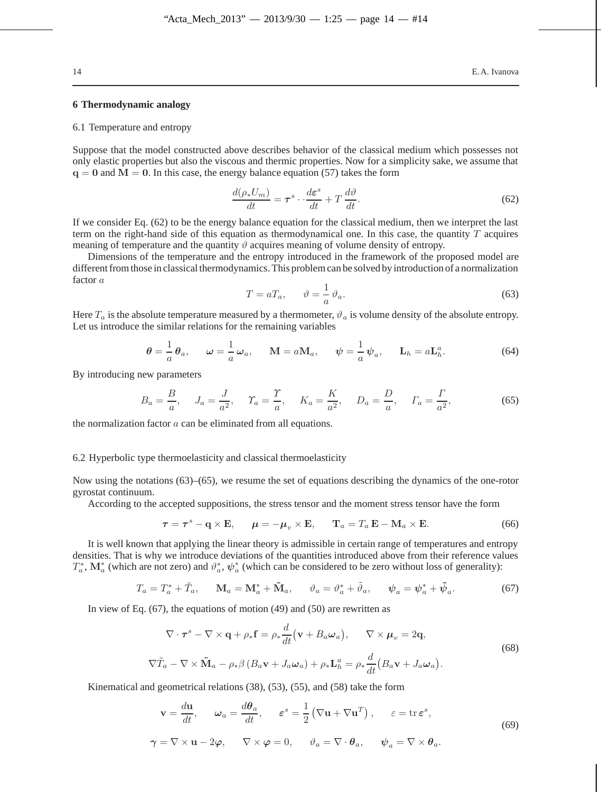#### **6 Thermodynamic analogy**

#### 6.1 Temperature and entropy

Suppose that the model constructed above describes behavior of the classical medium which possesses not only elastic properties but also the viscous and thermic properties. Now for a simplicity sake, we assume that  $q = 0$  and  $M = 0$ . In this case, the energy balance equation (57) takes the form

$$
\frac{d(\rho_* U_m)}{dt} = \tau^s \cdot \frac{d\varepsilon^s}{dt} + T \frac{d\vartheta}{dt}.
$$
\n(62)

If we consider Eq. (62) to be the energy balance equation for the classical medium, then we interpret the last term on the right-hand side of this equation as thermodynamical one. In this case, the quantity T acquires meaning of temperature and the quantity  $\vartheta$  acquires meaning of volume density of entropy.

Dimensions of the temperature and the entropy introduced in the framework of the proposed model are different from those in classical thermodynamics. This problem can be solved by introduction of a normalization factor a

$$
T = aT_a, \qquad \vartheta = \frac{1}{a}\vartheta_a.
$$
\n(63)

Here  $T_a$  is the absolute temperature measured by a thermometer,  $\vartheta_a$  is volume density of the absolute entropy. Let us introduce the similar relations for the remaining variables

$$
\theta = \frac{1}{a} \theta_a, \qquad \omega = \frac{1}{a} \omega_a, \qquad \mathbf{M} = a \mathbf{M}_a, \qquad \psi = \frac{1}{a} \psi_a, \qquad \mathbf{L}_h = a \mathbf{L}_h^a.
$$
 (64)

By introducing new parameters

$$
B_a = \frac{B}{a}
$$
,  $J_a = \frac{J}{a^2}$ ,  $\Upsilon_a = \frac{\Upsilon}{a}$ ,  $K_a = \frac{K}{a^2}$ ,  $D_a = \frac{D}{a}$ ,  $\Gamma_a = \frac{\Gamma}{a^2}$ , (65)

the normalization factor  $a$  can be eliminated from all equations.

#### 6.2 Hyperbolic type thermoelasticity and classical thermoelasticity

Now using the notations (63)–(65), we resume the set of equations describing the dynamics of the one-rotor gyrostat continuum.

According to the accepted suppositions, the stress tensor and the moment stress tensor have the form

$$
\tau = \tau^s - \mathbf{q} \times \mathbf{E}, \qquad \mu = -\mu_v \times \mathbf{E}, \qquad \mathbf{T}_a = T_a \mathbf{E} - \mathbf{M}_a \times \mathbf{E}.
$$
 (66)

It is well known that applying the linear theory is admissible in certain range of temperatures and entropy densities. That is why we introduce deviations of the quantities introduced above from their reference values  $T_a^*$ ,  $\mathbf{M}_a^*$  (which are not zero) and  $\vartheta_a^*, \psi_a^*$  (which can be considered to be zero without loss of generality):

$$
T_a = T_a^* + \tilde{T}_a, \qquad \mathbf{M}_a = \mathbf{M}_a^* + \tilde{\mathbf{M}}_a, \qquad \vartheta_a = \vartheta_a^* + \tilde{\vartheta}_a, \qquad \psi_a = \psi_a^* + \tilde{\psi}_a. \tag{67}
$$

In view of Eq.  $(67)$ , the equations of motion  $(49)$  and  $(50)$  are rewritten as

$$
\nabla \cdot \boldsymbol{\tau}^{s} - \nabla \times \mathbf{q} + \rho_{*} \mathbf{f} = \rho_{*} \frac{d}{dt} (\mathbf{v} + B_{a} \boldsymbol{\omega}_{a}), \qquad \nabla \times \boldsymbol{\mu}_{v} = 2\mathbf{q},
$$
  

$$
\nabla \tilde{T}_{a} - \nabla \times \tilde{\mathbf{M}}_{a} - \rho_{*} \beta (B_{a} \mathbf{v} + J_{a} \boldsymbol{\omega}_{a}) + \rho_{*} \mathbf{L}_{h}^{a} = \rho_{*} \frac{d}{dt} (B_{a} \mathbf{v} + J_{a} \boldsymbol{\omega}_{a}).
$$
\n(68)

Kinematical and geometrical relations (38), (53), (55), and (58) take the form

$$
\mathbf{v} = \frac{d\mathbf{u}}{dt}, \qquad \boldsymbol{\omega}_a = \frac{d\boldsymbol{\theta}_a}{dt}, \qquad \boldsymbol{\varepsilon}^s = \frac{1}{2} \left( \nabla \mathbf{u} + \nabla \mathbf{u}^T \right), \qquad \boldsymbol{\varepsilon} = \text{tr}\,\boldsymbol{\varepsilon}^s,
$$
  

$$
\boldsymbol{\gamma} = \nabla \times \mathbf{u} - 2\boldsymbol{\varphi}, \qquad \nabla \times \boldsymbol{\varphi} = 0, \qquad \vartheta_a = \nabla \cdot \boldsymbol{\theta}_a, \qquad \psi_a = \nabla \times \boldsymbol{\theta}_a.
$$
 (69)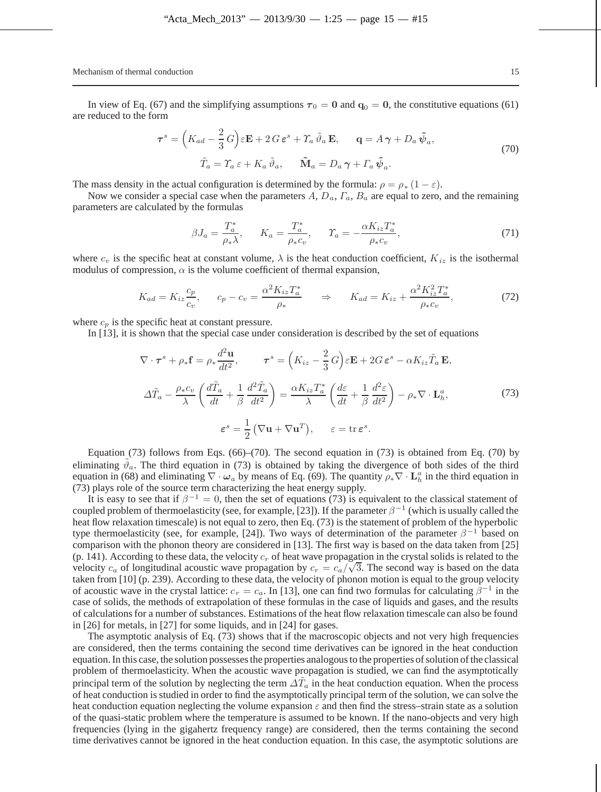In view of Eq. (67) and the simplifying assumptions  $\tau_0 = 0$  and  $\mathbf{q}_0 = 0$ , the constitutive equations (61) are reduced to the form

$$
\tau^{s} = \left(K_{ad} - \frac{2}{3}G\right)\varepsilon \mathbf{E} + 2G\varepsilon^{s} + \Upsilon_{a}\tilde{\vartheta}_{a}\mathbf{E}, \qquad \mathbf{q} = A\gamma + D_{a}\tilde{\psi}_{a},
$$
  

$$
\tilde{T}_{a} = \Upsilon_{a}\varepsilon + K_{a}\tilde{\vartheta}_{a}, \qquad \tilde{\mathbf{M}}_{a} = D_{a}\gamma + \Gamma_{a}\tilde{\psi}_{a}.
$$
 (70)

The mass density in the actual configuration is determined by the formula:  $\rho = \rho_* (1 - \varepsilon)$ .

Now we consider a special case when the parameters  $A, D_a, \Gamma_a, B_a$  are equal to zero, and the remaining parameters are calculated by the formulas

$$
\beta J_a = \frac{T_a^*}{\rho_* \lambda}, \qquad K_a = \frac{T_a^*}{\rho_* c_v}, \qquad \Upsilon_a = -\frac{\alpha K_{iz} T_a^*}{\rho_* c_v},\tag{71}
$$

where  $c_v$  is the specific heat at constant volume,  $\lambda$  is the heat conduction coefficient,  $K_{iz}$  is the isothermal modulus of compression,  $\alpha$  is the volume coefficient of thermal expansion,

$$
K_{ad} = K_{iz}\frac{c_p}{c_v}, \qquad c_p - c_v = \frac{\alpha^2 K_{iz} T_a^*}{\rho_*} \qquad \Rightarrow \qquad K_{ad} = K_{iz} + \frac{\alpha^2 K_{iz}^2 T_a^*}{\rho_* c_v},\tag{72}
$$

where  $c_p$  is the specific heat at constant pressure.

In [13], it is shown that the special case under consideration is described by the set of equations

$$
\nabla \cdot \boldsymbol{\tau}^{s} + \rho_{*} \mathbf{f} = \rho_{*} \frac{d^{2} \mathbf{u}}{dt^{2}}, \qquad \boldsymbol{\tau}^{s} = \left(K_{iz} - \frac{2}{3} G\right) \varepsilon \mathbf{E} + 2G \varepsilon^{s} - \alpha K_{iz} \tilde{T}_{a} \mathbf{E},
$$

$$
\Delta \tilde{T}_{a} - \frac{\rho_{*} c_{v}}{\lambda} \left(\frac{d \tilde{T}_{a}}{dt} + \frac{1}{\beta} \frac{d^{2} \tilde{T}_{a}}{dt^{2}}\right) = \frac{\alpha K_{iz} T_{a}^{*}}{\lambda} \left(\frac{d \varepsilon}{dt} + \frac{1}{\beta} \frac{d^{2} \varepsilon}{dt^{2}}\right) - \rho_{*} \nabla \cdot \mathbf{L}_{h}^{a}, \tag{73}
$$

$$
\varepsilon^{s} = \frac{1}{2} \left(\nabla \mathbf{u} + \nabla \mathbf{u}^{T}\right), \qquad \varepsilon = \text{tr} \,\varepsilon^{s}.
$$

Equation (73) follows from Eqs. (66)–(70). The second equation in (73) is obtained from Eq. (70) by eliminating  $\vartheta_a$ . The third equation in (73) is obtained by taking the divergence of both sides of the third equation in (68) and eliminating  $\nabla \cdot \omega_a$  by means of Eq. (69). The quantity  $\rho_* \nabla \cdot \mathbf{L}_h^a$  in the third equation in (73) plays role of the source term characterizing the heat energy supply.

It is easy to see that if  $\beta^{-1} = 0$ , then the set of equations (73) is equivalent to the classical statement of coupled problem of thermoelasticity (see, for example, [23]). If the parameter  $\beta^{-1}$  (which is usually called the heat flow relaxation timescale) is not equal to zero, then Eq. (73) is the statement of problem of the hyperbolic type thermoelasticity (see, for example, [24]). Two ways of determination of the parameter  $\beta^{-1}$  based on comparison with the phonon theory are considered in [13]. The first way is based on the data taken from [25] (p. 141). According to these data, the velocity  $c_r$  of heat wave propagation in the crystal solids is related to the velocity  $c_a$  of longitudinal acoustic wave propagation by  $c_r = c_a/\sqrt{3}$ . The second way is based on the data taken from [10] (p. 239). According to these data, the velocity of phonon motion is equal to the group velocity of acoustic wave in the crystal lattice:  $c_r = c_a$ . In [13], one can find two formulas for calculating  $\beta^{-1}$  in the case of solids, the methods of extrapolation of these formulas in the case of liquids and gases, and the results of calculations for a number of substances. Estimations of the heat flow relaxation timescale can also be found in [26] for metals, in [27] for some liquids, and in [24] for gases.

The asymptotic analysis of Eq. (73) shows that if the macroscopic objects and not very high frequencies are considered, then the terms containing the second time derivatives can be ignored in the heat conduction equation. In this case, the solution possesses the properties analogous to the properties of solution of the classical problem of thermoelasticity. When the acoustic wave propagation is studied, we can find the asymptotically principal term of the solution by neglecting the term  $\Delta T_a$  in the heat conduction equation. When the process of heat conduction is studied in order to find the asymptotically principal term of the solution, we can solve the heat conduction equation neglecting the volume expansion  $\varepsilon$  and then find the stress–strain state as a solution of the quasi-static problem where the temperature is assumed to be known. If the nano-objects and very high frequencies (lying in the gigahertz frequency range) are considered, then the terms containing the second time derivatives cannot be ignored in the heat conduction equation. In this case, the asymptotic solutions are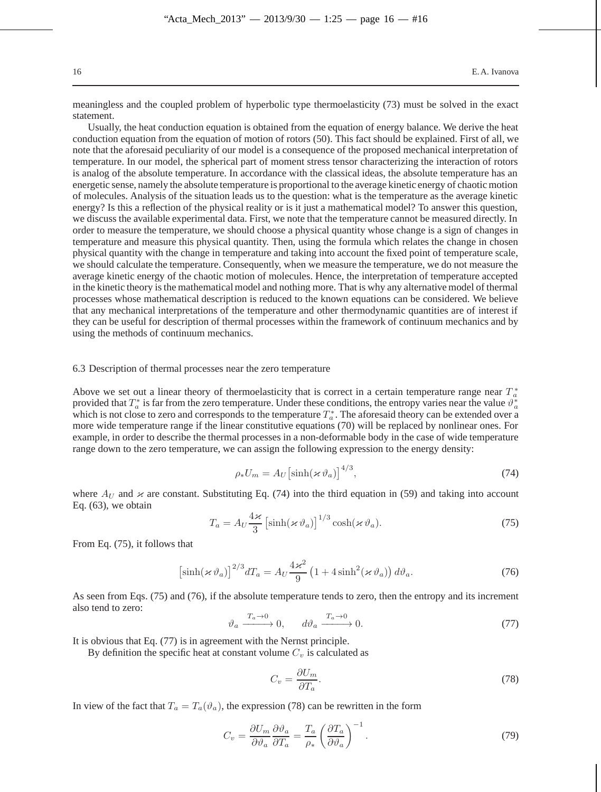meaningless and the coupled problem of hyperbolic type thermoelasticity (73) must be solved in the exact statement.

Usually, the heat conduction equation is obtained from the equation of energy balance. We derive the heat conduction equation from the equation of motion of rotors (50). This fact should be explained. First of all, we note that the aforesaid peculiarity of our model is a consequence of the proposed mechanical interpretation of temperature. In our model, the spherical part of moment stress tensor characterizing the interaction of rotors is analog of the absolute temperature. In accordance with the classical ideas, the absolute temperature has an energetic sense, namely the absolute temperature is proportional to the average kinetic energy of chaotic motion of molecules. Analysis of the situation leads us to the question: what is the temperature as the average kinetic energy? Is this a reflection of the physical reality or is it just a mathematical model? To answer this question, we discuss the available experimental data. First, we note that the temperature cannot be measured directly. In order to measure the temperature, we should choose a physical quantity whose change is a sign of changes in temperature and measure this physical quantity. Then, using the formula which relates the change in chosen physical quantity with the change in temperature and taking into account the fixed point of temperature scale, we should calculate the temperature. Consequently, when we measure the temperature, we do not measure the average kinetic energy of the chaotic motion of molecules. Hence, the interpretation of temperature accepted in the kinetic theory is the mathematical model and nothing more. That is why any alternative model of thermal processes whose mathematical description is reduced to the known equations can be considered. We believe that any mechanical interpretations of the temperature and other thermodynamic quantities are of interest if they can be useful for description of thermal processes within the framework of continuum mechanics and by using the methods of continuum mechanics.

#### 6.3 Description of thermal processes near the zero temperature

Above we set out a linear theory of thermoelasticity that is correct in a certain temperature range near  $T_a^*$ provided that  $T_a^*$  is far from the zero temperature. Under these conditions, the entropy varies near the value  $\vartheta_a^*$ which is not close to zero and corresponds to the temperature  $T_a^*$ . The aforesaid theory can be extended over a more wide temperature range if the linear constitutive equations (70) will be replaced by nonlinear ones. For example, in order to describe the thermal processes in a non-deformable body in the case of wide temperature range down to the zero temperature, we can assign the following expression to the energy density:

$$
\rho_* U_m = A_U \left[ \sinh(\varkappa \vartheta_a) \right]^{4/3},\tag{74}
$$

where  $A_U$  and  $\varkappa$  are constant. Substituting Eq. (74) into the third equation in (59) and taking into account Eq. (63), we obtain

$$
T_a = A_U \frac{4\kappa}{3} \left[ \sinh(\kappa \vartheta_a) \right]^{1/3} \cosh(\kappa \vartheta_a). \tag{75}
$$

From Eq. (75), it follows that

$$
\left[\sinh(\varkappa \vartheta_a)\right]^{2/3} dT_a = A_U \frac{4\varkappa^2}{9} \left(1 + 4\sinh^2(\varkappa \vartheta_a)\right) d\vartheta_a.
$$
 (76)

As seen from Eqs. (75) and (76), if the absolute temperature tends to zero, then the entropy and its increment also tend to zero:

$$
\vartheta_a \xrightarrow{T_a \to 0} 0, \qquad d\vartheta_a \xrightarrow{T_a \to 0} 0. \tag{77}
$$

It is obvious that Eq. (77) is in agreement with the Nernst principle.

By definition the specific heat at constant volume  $C_v$  is calculated as

$$
C_v = \frac{\partial U_m}{\partial T_a}.\tag{78}
$$

In view of the fact that  $T_a = T_a(\vartheta_a)$ , the expression (78) can be rewritten in the form

$$
C_v = \frac{\partial U_m}{\partial \vartheta_a} \frac{\partial \vartheta_a}{\partial T_a} = \frac{T_a}{\rho_*} \left( \frac{\partial T_a}{\partial \vartheta_a} \right)^{-1}.
$$
 (79)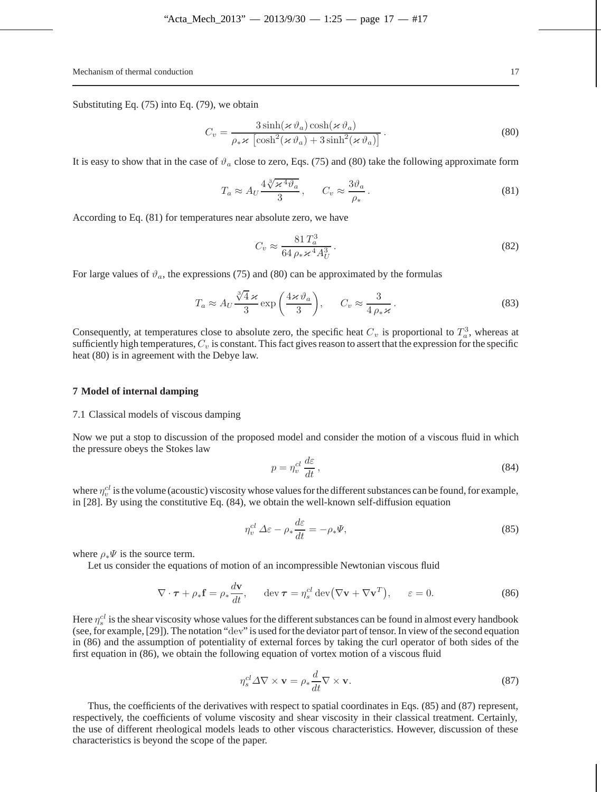Substituting Eq. (75) into Eq. (79), we obtain

$$
C_v = \frac{3\sinh(\varkappa \vartheta_a)\cosh(\varkappa \vartheta_a)}{\rho_*\varkappa \left[\cosh^2(\varkappa \vartheta_a) + 3\sinh^2(\varkappa \vartheta_a)\right]}.
$$
(80)

It is easy to show that in the case of  $\vartheta_a$  close to zero, Eqs. (75) and (80) take the following approximate form

$$
T_a \approx A_U \frac{4\sqrt[3]{\varkappa^4 \vartheta_a}}{3}, \qquad C_v \approx \frac{3\vartheta_a}{\rho_*}.
$$
\n(81)

According to Eq. (81) for temperatures near absolute zero, we have

$$
C_v \approx \frac{81 T_a^3}{64 \,\rho_* \varkappa^4 A_U^3} \,. \tag{82}
$$

For large values of  $\vartheta_a$ , the expressions (75) and (80) can be approximated by the formulas

$$
T_a \approx A_U \frac{\sqrt[3]{4} \times \infty}{3} \exp\left(\frac{4 \times \vartheta_a}{3}\right), \qquad C_v \approx \frac{3}{4 \rho_* \times}.
$$
 (83)

Consequently, at temperatures close to absolute zero, the specific heat  $C_v$  is proportional to  $T_a^3$ , whereas at sufficiently high temperatures,  $C_v$  is constant. This fact gives reason to assert that the expression for the specific heat (80) is in agreement with the Debye law.

#### **7 Model of internal damping**

#### 7.1 Classical models of viscous damping

Now we put a stop to discussion of the proposed model and consider the motion of a viscous fluid in which the pressure obeys the Stokes law

$$
p = \eta_v^{cl} \frac{d\varepsilon}{dt},\tag{84}
$$

where  $\eta_v^{cl}$  is the volume (acoustic) viscosity whose values for the different substances can be found, for example, in [28]. By using the constitutive Eq. (84), we obtain the well-known self-diffusion equation

$$
\eta_v^{cl} \Delta \varepsilon - \rho_* \frac{d\varepsilon}{dt} = -\rho_* \Psi,
$$
\n(85)

where  $\rho_* \Psi$  is the source term.

Let us consider the equations of motion of an incompressible Newtonian viscous fluid

$$
\nabla \cdot \boldsymbol{\tau} + \rho_* \mathbf{f} = \rho_* \frac{d\mathbf{v}}{dt}, \qquad \text{dev } \boldsymbol{\tau} = \eta_s^{cl} \operatorname{dev} (\nabla \mathbf{v} + \nabla \mathbf{v}^T), \qquad \varepsilon = 0. \tag{86}
$$

Here  $\eta_s^{cl}$  is the shear viscosity whose values for the different substances can be found in almost every handbook (see, for example, [29]). The notation "dev" is used for the deviator part of tensor. In view of the second equation in (86) and the assumption of potentiality of external forces by taking the curl operator of both sides of the first equation in (86), we obtain the following equation of vortex motion of a viscous fluid

$$
\eta_s^{cl} \Delta \nabla \times \mathbf{v} = \rho_* \frac{d}{dt} \nabla \times \mathbf{v}.
$$
 (87)

Thus, the coefficients of the derivatives with respect to spatial coordinates in Eqs. (85) and (87) represent, respectively, the coefficients of volume viscosity and shear viscosity in their classical treatment. Certainly, the use of different rheological models leads to other viscous characteristics. However, discussion of these characteristics is beyond the scope of the paper.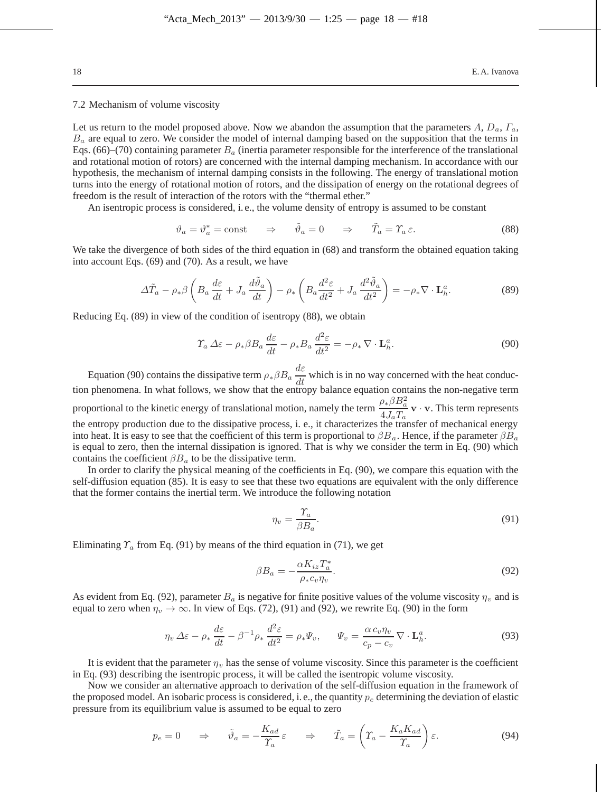#### 7.2 Mechanism of volume viscosity

Let us return to the model proposed above. Now we abandon the assumption that the parameters  $A, D_a, \Gamma_a$ ,  $B_a$  are equal to zero. We consider the model of internal damping based on the supposition that the terms in Eqs. (66)–(70) containing parameter  $B_a$  (inertia parameter responsible for the interference of the translational and rotational motion of rotors) are concerned with the internal damping mechanism. In accordance with our hypothesis, the mechanism of internal damping consists in the following. The energy of translational motion turns into the energy of rotational motion of rotors, and the dissipation of energy on the rotational degrees of freedom is the result of interaction of the rotors with the "thermal ether."

An isentropic process is considered, i. e., the volume density of entropy is assumed to be constant

$$
\vartheta_a = \vartheta_a^* = \text{const} \qquad \Rightarrow \qquad \tilde{\vartheta}_a = 0 \qquad \Rightarrow \qquad \tilde{T}_a = \Upsilon_a \,\varepsilon. \tag{88}
$$

We take the divergence of both sides of the third equation in (68) and transform the obtained equation taking into account Eqs. (69) and (70). As a result, we have

$$
\Delta \tilde{T}_a - \rho_* \beta \left( B_a \frac{d\varepsilon}{dt} + J_a \frac{d\tilde{\vartheta}_a}{dt} \right) - \rho_* \left( B_a \frac{d^2 \varepsilon}{dt^2} + J_a \frac{d^2 \tilde{\vartheta}_a}{dt^2} \right) = -\rho_* \nabla \cdot \mathbf{L}_h^a.
$$
 (89)

Reducing Eq. (89) in view of the condition of isentropy (88), we obtain

$$
\Upsilon_a \Delta \varepsilon - \rho_* \beta B_a \frac{d\varepsilon}{dt} - \rho_* B_a \frac{d^2 \varepsilon}{dt^2} = -\rho_* \nabla \cdot \mathbf{L}_h^a. \tag{90}
$$

Equation (90) contains the dissipative term  $\rho_* \beta B_a \frac{d\varepsilon}{dt}$  $\frac{dS}{dt}$  which is in no way concerned with the heat conduction phenomena. In what follows, we show that the entropy balance equation contains the non-negative term proportional to the kinetic energy of translational motion, namely the term  $\rho_{*} \beta B_{a}^{2}$  $\frac{\partial \varphi_{\ast} \rho_{D_a}}{\partial d_a T_a}$  **v** · **v**. This term represents the entropy production due to the dissipative process, i. e., it characterizes the transfer of mechanical energy into heat. It is easy to see that the coefficient of this term is proportional to  $\beta B_a$ . Hence, if the parameter  $\beta B_a$ is equal to zero, then the internal dissipation is ignored. That is why we consider the term in Eq. (90) which contains the coefficient  $\beta B_a$  to be the dissipative term.

In order to clarify the physical meaning of the coefficients in Eq. (90), we compare this equation with the self-diffusion equation (85). It is easy to see that these two equations are equivalent with the only difference that the former contains the inertial term. We introduce the following notation

$$
\eta_v = \frac{\Upsilon_a}{\beta B_a}.\tag{91}
$$

Eliminating  $\Upsilon_a$  from Eq. (91) by means of the third equation in (71), we get

$$
\beta B_a = -\frac{\alpha K_{iz} T_a^*}{\rho_* c_v \eta_v}.
$$
\n(92)

As evident from Eq. (92), parameter  $B_a$  is negative for finite positive values of the volume viscosity  $\eta_v$  and is equal to zero when  $\eta_v \to \infty$ . In view of Eqs. (72), (91) and (92), we rewrite Eq. (90) in the form

$$
\eta_v \,\Delta \varepsilon - \rho_* \,\frac{d\varepsilon}{dt} - \beta^{-1} \rho_* \,\frac{d^2 \varepsilon}{dt^2} = \rho_* \Psi_v, \qquad \Psi_v = \frac{\alpha \, c_v \eta_v}{c_p - c_v} \,\nabla \cdot \mathbf{L}_h^a. \tag{93}
$$

It is evident that the parameter  $\eta_v$  has the sense of volume viscosity. Since this parameter is the coefficient in Eq. (93) describing the isentropic process, it will be called the isentropic volume viscosity.

Now we consider an alternative approach to derivation of the self-diffusion equation in the framework of the proposed model. An isobaric process is considered, i.e., the quantity  $p_e$  determining the deviation of elastic pressure from its equilibrium value is assumed to be equal to zero

$$
p_e = 0 \qquad \Rightarrow \qquad \tilde{\vartheta}_a = -\frac{K_{ad}}{\Upsilon_a} \varepsilon \qquad \Rightarrow \qquad \tilde{T}_a = \left(\Upsilon_a - \frac{K_a K_{ad}}{\Upsilon_a}\right) \varepsilon. \tag{94}
$$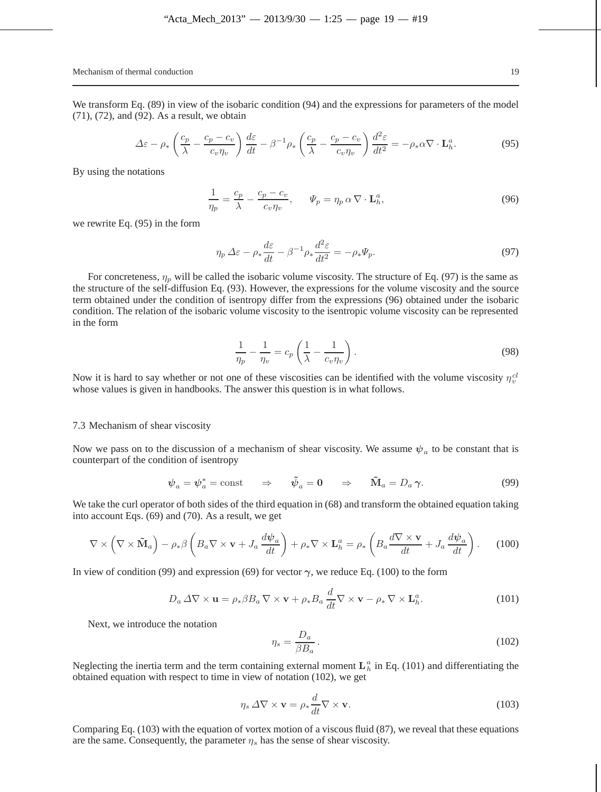We transform Eq. (89) in view of the isobaric condition (94) and the expressions for parameters of the model (71), (72), and (92). As a result, we obtain

$$
\Delta \varepsilon - \rho_* \left( \frac{c_p}{\lambda} - \frac{c_p - c_v}{c_v \eta_v} \right) \frac{d\varepsilon}{dt} - \beta^{-1} \rho_* \left( \frac{c_p}{\lambda} - \frac{c_p - c_v}{c_v \eta_v} \right) \frac{d^2 \varepsilon}{dt^2} = -\rho_* \alpha \nabla \cdot \mathbf{L}_h^a. \tag{95}
$$

By using the notations

$$
\frac{1}{\eta_p} = \frac{c_p}{\lambda} - \frac{c_p - c_v}{c_v \eta_v}, \qquad \Psi_p = \eta_p \, \alpha \, \nabla \cdot \mathbf{L}_h^a,\tag{96}
$$

we rewrite Eq. (95) in the form

$$
\eta_p \,\Delta \varepsilon - \rho_* \frac{d\varepsilon}{dt} - \beta^{-1} \rho_* \frac{d^2 \varepsilon}{dt^2} = -\rho_* \Psi_p. \tag{97}
$$

For concreteness,  $\eta_p$  will be called the isobaric volume viscosity. The structure of Eq. (97) is the same as the structure of the self-diffusion Eq. (93). However, the expressions for the volume viscosity and the source term obtained under the condition of isentropy differ from the expressions (96) obtained under the isobaric condition. The relation of the isobaric volume viscosity to the isentropic volume viscosity can be represented in the form

$$
\frac{1}{\eta_p} - \frac{1}{\eta_v} = c_p \left( \frac{1}{\lambda} - \frac{1}{c_v \eta_v} \right). \tag{98}
$$

Now it is hard to say whether or not one of these viscosities can be identified with the volume viscosity  $\eta_v^{cl}$ whose values is given in handbooks. The answer this question is in what follows.

#### 7.3 Mechanism of shear viscosity

Now we pass on to the discussion of a mechanism of shear viscosity. We assume  $\psi_a$  to be constant that is counterpart of the condition of isentropy

$$
\psi_a = \psi_a^* = \text{const} \qquad \Rightarrow \qquad \tilde{\psi}_a = \mathbf{0} \qquad \Rightarrow \qquad \tilde{\mathbf{M}}_a = D_a \gamma. \tag{99}
$$

We take the curl operator of both sides of the third equation in (68) and transform the obtained equation taking into account Eqs. (69) and (70). As a result, we get

$$
\nabla \times \left( \nabla \times \tilde{\mathbf{M}}_a \right) - \rho_* \beta \left( B_a \nabla \times \mathbf{v} + J_a \frac{d\psi_a}{dt} \right) + \rho_* \nabla \times \mathbf{L}_h^a = \rho_* \left( B_a \frac{d\nabla \times \mathbf{v}}{dt} + J_a \frac{d\psi_a}{dt} \right). \tag{100}
$$

In view of condition (99) and expression (69) for vector  $\gamma$ , we reduce Eq. (100) to the form

$$
D_a \Delta \nabla \times \mathbf{u} = \rho_* \beta B_a \nabla \times \mathbf{v} + \rho_* B_a \frac{d}{dt} \nabla \times \mathbf{v} - \rho_* \nabla \times \mathbf{L}_h^a.
$$
 (101)

Next, we introduce the notation

$$
\eta_s = \frac{D_a}{\beta B_a} \,. \tag{102}
$$

Neglecting the inertia term and the term containing external moment  $\mathbf{L}_h^a$  in Eq. (101) and differentiating the obtained equation with respect to time in view of notation (102), we get

$$
\eta_s \,\Delta \nabla \times \mathbf{v} = \rho_* \frac{d}{dt} \nabla \times \mathbf{v}.
$$
\n(103)

Comparing Eq. (103) with the equation of vortex motion of a viscous fluid (87), we reveal that these equations are the same. Consequently, the parameter  $\eta_s$  has the sense of shear viscosity.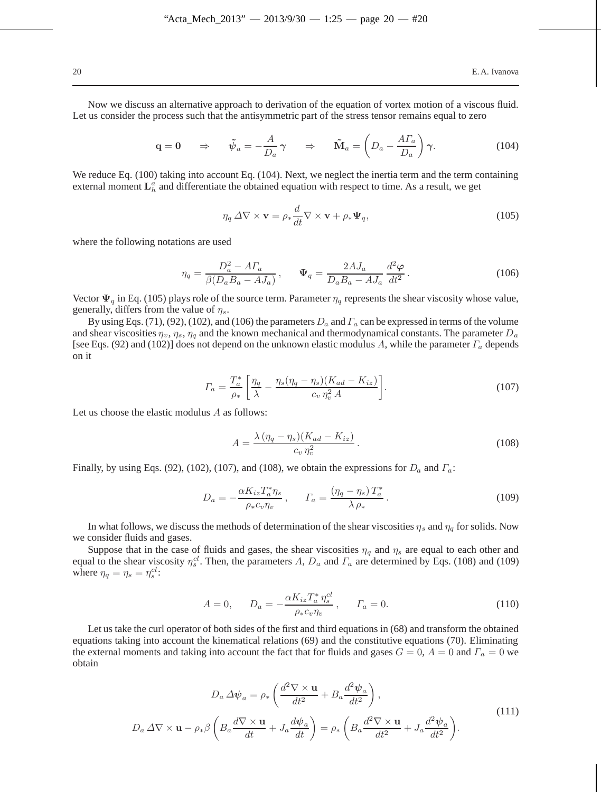Now we discuss an alternative approach to derivation of the equation of vortex motion of a viscous fluid. Let us consider the process such that the antisymmetric part of the stress tensor remains equal to zero

$$
\mathbf{q} = \mathbf{0} \qquad \Rightarrow \qquad \tilde{\psi}_a = -\frac{A}{D_a} \gamma \qquad \Rightarrow \qquad \tilde{\mathbf{M}}_a = \left( D_a - \frac{A\Gamma_a}{D_a} \right) \gamma. \tag{104}
$$

We reduce Eq. (100) taking into account Eq. (104). Next, we neglect the inertia term and the term containing external moment  $\mathbf{L}_h^a$  and differentiate the obtained equation with respect to time. As a result, we get

$$
\eta_q \,\Delta \nabla \times \mathbf{v} = \rho_* \frac{d}{dt} \nabla \times \mathbf{v} + \rho_* \Psi_q,\tag{105}
$$

where the following notations are used

$$
\eta_q = \frac{D_a^2 - A\Gamma_a}{\beta (D_a B_a - A J_a)}, \qquad \Psi_q = \frac{2A J_a}{D_a B_a - A J_a} \frac{d^2 \varphi}{dt^2}.
$$
\n(106)

Vector  $\Psi_q$  in Eq. (105) plays role of the source term. Parameter  $\eta_q$  represents the shear viscosity whose value, generally, differs from the value of  $\eta_s$ .

By using Eqs. (71), (92), (102), and (106) the parameters  $D_a$  and  $\Gamma_a$  can be expressed in terms of the volume and shear viscosities  $\eta_v$ ,  $\eta_s$ ,  $\eta_q$  and the known mechanical and thermodynamical constants. The parameter  $D_a$ [see Eqs. (92) and (102)] does not depend on the unknown elastic modulus A, while the parameter  $\Gamma_a$  depends on it

$$
\Gamma_a = \frac{T_a^*}{\rho_*} \left[ \frac{\eta_q}{\lambda} - \frac{\eta_s (\eta_q - \eta_s)(K_{ad} - K_{iz})}{c_v \eta_v^2 A} \right].
$$
\n(107)

Let us choose the elastic modulus A as follows:

$$
A = \frac{\lambda \left(\eta_q - \eta_s\right) \left(K_{ad} - K_{iz}\right)}{c_v \eta_v^2} \,. \tag{108}
$$

Finally, by using Eqs. (92), (102), (107), and (108), we obtain the expressions for  $D_a$  and  $\Gamma_a$ :

$$
D_a = -\frac{\alpha K_{iz} T_a^* \eta_s}{\rho_* c_v \eta_v}, \qquad \Gamma_a = \frac{(\eta_q - \eta_s) T_a^*}{\lambda \rho_*}.
$$
 (109)

In what follows, we discuss the methods of determination of the shear viscosities  $\eta_s$  and  $\eta_q$  for solids. Now we consider fluids and gases.

Suppose that in the case of fluids and gases, the shear viscosities  $\eta_q$  and  $\eta_s$  are equal to each other and equal to the shear viscosity  $\eta_s^{cl}$ . Then, the parameters A,  $D_a$  and  $\Gamma_a$  are determined by Eqs. (108) and (109) where  $\eta_q = \eta_s = \eta_s^{cl}$ :

$$
A = 0, \qquad D_a = -\frac{\alpha K_{iz} T_a^* \eta_s^{cl}}{\rho_* c_v \eta_v}, \qquad \Gamma_a = 0.
$$
 (110)

Let us take the curl operator of both sides of the first and third equations in (68) and transform the obtained equations taking into account the kinematical relations (69) and the constitutive equations (70). Eliminating the external moments and taking into account the fact that for fluids and gases  $G = 0$ ,  $A = 0$  and  $\Gamma_a = 0$  we obtain

$$
D_a \Delta \psi_a = \rho_* \left( \frac{d^2 \nabla \times \mathbf{u}}{dt^2} + B_a \frac{d^2 \psi_a}{dt^2} \right),
$$
  

$$
D_a \Delta \nabla \times \mathbf{u} - \rho_* \beta \left( B_a \frac{d \nabla \times \mathbf{u}}{dt} + J_a \frac{d \psi_a}{dt} \right) = \rho_* \left( B_a \frac{d^2 \nabla \times \mathbf{u}}{dt^2} + J_a \frac{d^2 \psi_a}{dt^2} \right).
$$
(111)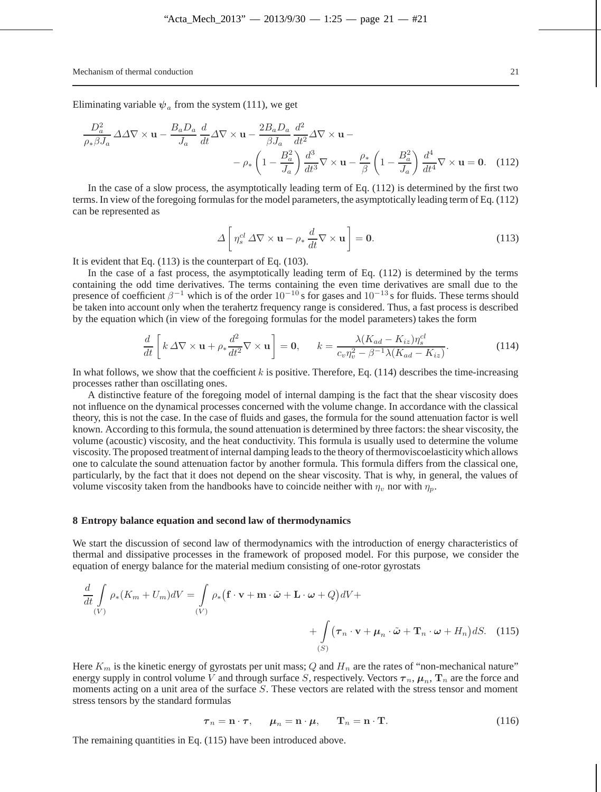Eliminating variable  $\psi_a$  from the system (111), we get

$$
\frac{D_a^2}{\rho_* \beta J_a} \Delta \Delta \nabla \times \mathbf{u} - \frac{B_a D_a}{J_a} \frac{d}{dt} \Delta \nabla \times \mathbf{u} - \frac{2B_a D_a}{\beta J_a} \frac{d^2}{dt^2} \Delta \nabla \times \mathbf{u} - \rho_* \left( 1 - \frac{B_a^2}{J_a} \right) \frac{d^3}{dt^3} \nabla \times \mathbf{u} - \frac{\rho_*}{\beta} \left( 1 - \frac{B_a^2}{J_a} \right) \frac{d^4}{dt^4} \nabla \times \mathbf{u} = \mathbf{0}.
$$
 (112)

In the case of a slow process, the asymptotically leading term of Eq. (112) is determined by the first two terms. In view of the foregoing formulas for the model parameters, the asymptotically leading term of Eq. (112) can be represented as

$$
\Delta \left[ \eta_s^{cl} \, \Delta \nabla \times \mathbf{u} - \rho_* \, \frac{d}{dt} \nabla \times \mathbf{u} \right] = \mathbf{0}.\tag{113}
$$

It is evident that Eq. (113) is the counterpart of Eq. (103).

In the case of a fast process, the asymptotically leading term of Eq. (112) is determined by the terms containing the odd time derivatives. The terms containing the even time derivatives are small due to the presence of coefficient  $\beta^{-1}$  which is of the order 10<sup>-10</sup> s for gases and 10<sup>-13</sup> s for fluids. These terms should be taken into account only when the terahertz frequency range is considered. Thus, a fast process is described by the equation which (in view of the foregoing formulas for the model parameters) takes the form

$$
\frac{d}{dt}\left[k\,\Delta\nabla\times\mathbf{u}+\rho_*\frac{d^2}{dt^2}\nabla\times\mathbf{u}\right]=\mathbf{0},\qquad k=\frac{\lambda(K_{ad}-K_{iz})\eta_s^{cl}}{c_v\eta_v^2-\beta^{-1}\lambda(K_{ad}-K_{iz})}.\tag{114}
$$

In what follows, we show that the coefficient k is positive. Therefore, Eq.  $(114)$  describes the time-increasing processes rather than oscillating ones.

A distinctive feature of the foregoing model of internal damping is the fact that the shear viscosity does not influence on the dynamical processes concerned with the volume change. In accordance with the classical theory, this is not the case. In the case of fluids and gases, the formula for the sound attenuation factor is well known. According to this formula, the sound attenuation is determined by three factors: the shear viscosity, the volume (acoustic) viscosity, and the heat conductivity. This formula is usually used to determine the volume viscosity. The proposed treatment of internal damping leads to the theory of thermoviscoelasticity which allows one to calculate the sound attenuation factor by another formula. This formula differs from the classical one, particularly, by the fact that it does not depend on the shear viscosity. That is why, in general, the values of volume viscosity taken from the handbooks have to coincide neither with  $\eta_v$  nor with  $\eta_p$ .

#### **8 Entropy balance equation and second law of thermodynamics**

We start the discussion of second law of thermodynamics with the introduction of energy characteristics of thermal and dissipative processes in the framework of proposed model. For this purpose, we consider the equation of energy balance for the material medium consisting of one-rotor gyrostats

$$
\frac{d}{dt} \int_{(V)} \rho_*(K_m + U_m) dV = \int_{(V)} \rho_* \left( \mathbf{f} \cdot \mathbf{v} + \mathbf{m} \cdot \tilde{\boldsymbol{\omega}} + \mathbf{L} \cdot \boldsymbol{\omega} + Q \right) dV +
$$
\n
$$
+ \int_{(S)} \left( \boldsymbol{\tau}_n \cdot \mathbf{v} + \boldsymbol{\mu}_n \cdot \tilde{\boldsymbol{\omega}} + \mathbf{T}_n \cdot \boldsymbol{\omega} + H_n \right) dS. \tag{115}
$$

Here  $K_m$  is the kinetic energy of gyrostats per unit mass; Q and  $H_n$  are the rates of "non-mechanical nature" energy supply in control volume V and through surface S, respectively. Vectors  $\tau_n$ ,  $\mu_n$ ,  $\mathbf{T}_n$  are the force and moments acting on a unit area of the surface S. These vectors are related with the stress tensor and moment stress tensors by the standard formulas

$$
\tau_n = \mathbf{n} \cdot \boldsymbol{\tau}, \qquad \boldsymbol{\mu}_n = \mathbf{n} \cdot \boldsymbol{\mu}, \qquad \mathbf{T}_n = \mathbf{n} \cdot \mathbf{T}.
$$
 (116)

The remaining quantities in Eq. (115) have been introduced above.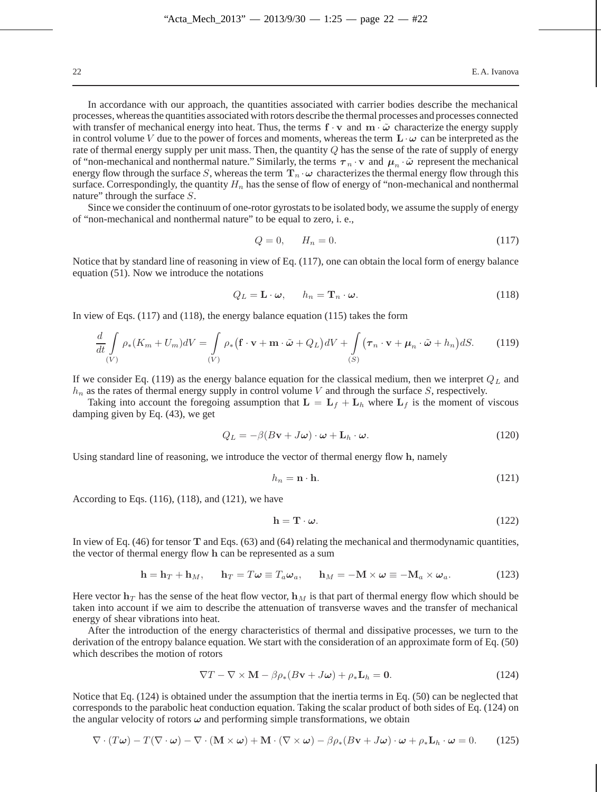In accordance with our approach, the quantities associated with carrier bodies describe the mechanical processes, whereas the quantities associated with rotors describe the thermal processes and processes connected with transfer of mechanical energy into heat. Thus, the terms  $f \cdot v$  and  $m \cdot \tilde{\omega}$  characterize the energy supply in control volume V due to the power of forces and moments, whereas the term  $\mathbf{L} \cdot \boldsymbol{\omega}$  can be interpreted as the rate of thermal energy supply per unit mass. Then, the quantity Q has the sense of the rate of supply of energy of "non-mechanical and nonthermal nature." Similarly, the terms  $\tau_n \cdot \mathbf{v}$  and  $\mu_n \cdot \tilde{\omega}$  represent the mechanical energy flow through the surface S, whereas the term  $\mathbf{T}_n \cdot \boldsymbol{\omega}$  characterizes the thermal energy flow through this surface. Correspondingly, the quantity  $H_n$  has the sense of flow of energy of "non-mechanical and nonthermal nature" through the surface  $S$ .

Since we consider the continuum of one-rotor gyrostats to be isolated body, we assume the supply of energy of "non-mechanical and nonthermal nature" to be equal to zero, i. e.,

$$
Q = 0, \t H_n = 0.
$$
\t(117)

Notice that by standard line of reasoning in view of Eq. (117), one can obtain the local form of energy balance equation (51). Now we introduce the notations

$$
Q_L = \mathbf{L} \cdot \boldsymbol{\omega}, \qquad h_n = \mathbf{T}_n \cdot \boldsymbol{\omega}.
$$
 (118)

In view of Eqs. (117) and (118), the energy balance equation (115) takes the form

$$
\frac{d}{dt} \int_{(V)} \rho_*(K_m + U_m) dV = \int_{(V)} \rho_* \left( \mathbf{f} \cdot \mathbf{v} + \mathbf{m} \cdot \tilde{\boldsymbol{\omega}} + Q_L \right) dV + \int_{(S)} \left( \boldsymbol{\tau}_n \cdot \mathbf{v} + \boldsymbol{\mu}_n \cdot \tilde{\boldsymbol{\omega}} + h_n \right) dS. \tag{119}
$$

If we consider Eq. (119) as the energy balance equation for the classical medium, then we interpret  $Q_L$  and  $h_n$  as the rates of thermal energy supply in control volume V and through the surface S, respectively.

Taking into account the foregoing assumption that  $\mathbf{L} = \mathbf{L}_f + \mathbf{L}_h$  where  $\mathbf{L}_f$  is the moment of viscous damping given by Eq. (43), we get

$$
Q_L = -\beta (B\mathbf{v} + J\boldsymbol{\omega}) \cdot \boldsymbol{\omega} + \mathbf{L}_h \cdot \boldsymbol{\omega}.
$$
 (120)

Using standard line of reasoning, we introduce the vector of thermal energy flow **h**, namely

$$
h_n = \mathbf{n} \cdot \mathbf{h}.\tag{121}
$$

According to Eqs.  $(116)$ ,  $(118)$ , and  $(121)$ , we have

$$
\mathbf{h} = \mathbf{T} \cdot \boldsymbol{\omega}.\tag{122}
$$

In view of Eq. (46) for tensor **T** and Eqs. (63) and (64) relating the mechanical and thermodynamic quantities, the vector of thermal energy flow **h** can be represented as a sum

$$
\mathbf{h} = \mathbf{h}_T + \mathbf{h}_M, \qquad \mathbf{h}_T = T\boldsymbol{\omega} \equiv T_a \boldsymbol{\omega}_a, \qquad \mathbf{h}_M = -\mathbf{M} \times \boldsymbol{\omega} \equiv -\mathbf{M}_a \times \boldsymbol{\omega}_a. \tag{123}
$$

Here vector  $\mathbf{h}_T$  has the sense of the heat flow vector,  $\mathbf{h}_M$  is that part of thermal energy flow which should be taken into account if we aim to describe the attenuation of transverse waves and the transfer of mechanical energy of shear vibrations into heat.

After the introduction of the energy characteristics of thermal and dissipative processes, we turn to the derivation of the entropy balance equation. We start with the consideration of an approximate form of Eq. (50) which describes the motion of rotors

$$
\nabla T - \nabla \times \mathbf{M} - \beta \rho_*(B\mathbf{v} + J\boldsymbol{\omega}) + \rho_* \mathbf{L}_h = \mathbf{0}.
$$
 (124)

Notice that Eq. (124) is obtained under the assumption that the inertia terms in Eq. (50) can be neglected that corresponds to the parabolic heat conduction equation. Taking the scalar product of both sides of Eq. (124) on the angular velocity of rotors  $\omega$  and performing simple transformations, we obtain

$$
\nabla \cdot (T\omega) - T(\nabla \cdot \omega) - \nabla \cdot (\mathbf{M} \times \omega) + \mathbf{M} \cdot (\nabla \times \omega) - \beta \rho_*(B\mathbf{v} + J\omega) \cdot \omega + \rho_* \mathbf{L}_h \cdot \omega = 0. \quad (125)
$$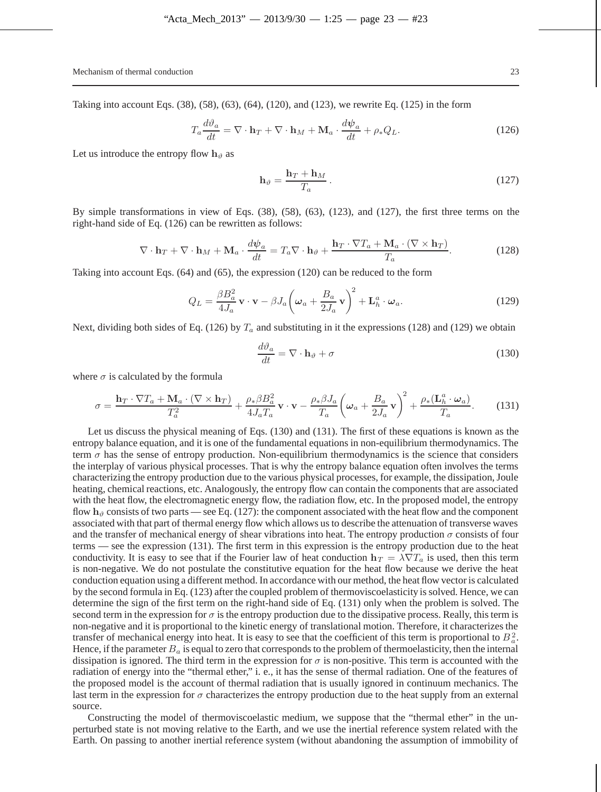Taking into account Eqs. (38), (58), (63), (64), (120), and (123), we rewrite Eq. (125) in the form

$$
T_a \frac{d\vartheta_a}{dt} = \nabla \cdot \mathbf{h}_T + \nabla \cdot \mathbf{h}_M + \mathbf{M}_a \cdot \frac{d\psi_a}{dt} + \rho_* Q_L.
$$
 (126)

Let us introduce the entropy flow  $h_{\vartheta}$  as

$$
\mathbf{h}_{\vartheta} = \frac{\mathbf{h}_T + \mathbf{h}_M}{T_a} \,. \tag{127}
$$

By simple transformations in view of Eqs. (38), (58), (63), (123), and (127), the first three terms on the right-hand side of Eq. (126) can be rewritten as follows:

$$
\nabla \cdot \mathbf{h}_T + \nabla \cdot \mathbf{h}_M + \mathbf{M}_a \cdot \frac{d\psi_a}{dt} = T_a \nabla \cdot \mathbf{h}_{\vartheta} + \frac{\mathbf{h}_T \cdot \nabla T_a + \mathbf{M}_a \cdot (\nabla \times \mathbf{h}_T)}{T_a}.
$$
 (128)

Taking into account Eqs. (64) and (65), the expression (120) can be reduced to the form

$$
Q_L = \frac{\beta B_a^2}{4J_a} \mathbf{v} \cdot \mathbf{v} - \beta J_a \left(\omega_a + \frac{B_a}{2J_a} \mathbf{v}\right)^2 + \mathbf{L}_h^a \cdot \omega_a.
$$
 (129)

Next, dividing both sides of Eq. (126) by  $T_a$  and substituting in it the expressions (128) and (129) we obtain

$$
\frac{d\vartheta_a}{dt} = \nabla \cdot \mathbf{h}_{\vartheta} + \sigma \tag{130}
$$

where  $\sigma$  is calculated by the formula

$$
\sigma = \frac{\mathbf{h}_T \cdot \nabla T_a + \mathbf{M}_a \cdot (\nabla \times \mathbf{h}_T)}{T_a^2} + \frac{\rho_* \beta B_a^2}{4J_a T_a} \mathbf{v} \cdot \mathbf{v} - \frac{\rho_* \beta J_a}{T_a} \left(\omega_a + \frac{B_a}{2J_a} \mathbf{v}\right)^2 + \frac{\rho_* (\mathbf{L}_h^a \cdot \omega_a)}{T_a}.
$$
 (131)

Let us discuss the physical meaning of Eqs. (130) and (131). The first of these equations is known as the entropy balance equation, and it is one of the fundamental equations in non-equilibrium thermodynamics. The term  $\sigma$  has the sense of entropy production. Non-equilibrium thermodynamics is the science that considers the interplay of various physical processes. That is why the entropy balance equation often involves the terms characterizing the entropy production due to the various physical processes, for example, the dissipation, Joule heating, chemical reactions, etc. Analogously, the entropy flow can contain the components that are associated with the heat flow, the electromagnetic energy flow, the radiation flow, etc. In the proposed model, the entropy flow  $h_{\vartheta}$  consists of two parts — see Eq. (127): the component associated with the heat flow and the component associated with that part of thermal energy flow which allows us to describe the attenuation of transverse waves and the transfer of mechanical energy of shear vibrations into heat. The entropy production  $\sigma$  consists of four terms — see the expression (131). The first term in this expression is the entropy production due to the heat conductivity. It is easy to see that if the Fourier law of heat conduction  $h_T = \lambda \nabla T_a$  is used, then this term is non-negative. We do not postulate the constitutive equation for the heat flow because we derive the heat conduction equation using a different method. In accordance with our method, the heat flow vector is calculated by the second formula in Eq. (123) after the coupled problem of thermoviscoelasticity is solved. Hence, we can determine the sign of the first term on the right-hand side of Eq. (131) only when the problem is solved. The second term in the expression for  $\sigma$  is the entropy production due to the dissipative process. Really, this term is non-negative and it is proportional to the kinetic energy of translational motion. Therefore, it characterizes the transfer of mechanical energy into heat. It is easy to see that the coefficient of this term is proportional to  $B_a^2$ . Hence, if the parameter  $B_a$  is equal to zero that corresponds to the problem of thermoelasticity, then the internal dissipation is ignored. The third term in the expression for  $\sigma$  is non-positive. This term is accounted with the radiation of energy into the "thermal ether," i. e., it has the sense of thermal radiation. One of the features of the proposed model is the account of thermal radiation that is usually ignored in continuum mechanics. The last term in the expression for  $\sigma$  characterizes the entropy production due to the heat supply from an external source.

Constructing the model of thermoviscoelastic medium, we suppose that the "thermal ether" in the unperturbed state is not moving relative to the Earth, and we use the inertial reference system related with the Earth. On passing to another inertial reference system (without abandoning the assumption of immobility of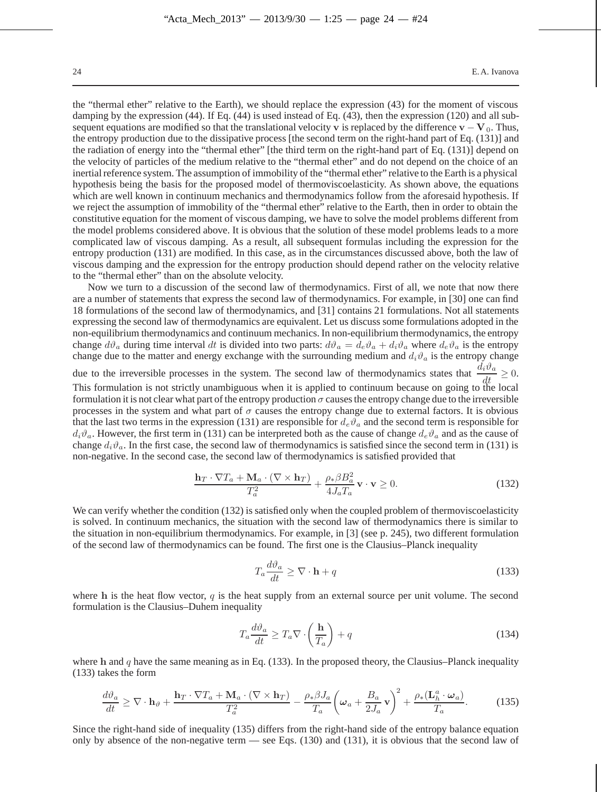the "thermal ether" relative to the Earth), we should replace the expression (43) for the moment of viscous damping by the expression (44). If Eq. (44) is used instead of Eq. (43), then the expression (120) and all subsequent equations are modified so that the translational velocity **v** is replaced by the difference  $\mathbf{v} - \mathbf{V}_0$ . Thus, the entropy production due to the dissipative process [the second term on the right-hand part of Eq. (131)] and the radiation of energy into the "thermal ether" [the third term on the right-hand part of Eq. (131)] depend on the velocity of particles of the medium relative to the "thermal ether" and do not depend on the choice of an inertial reference system. The assumption of immobility of the "thermal ether" relative to the Earth is a physical hypothesis being the basis for the proposed model of thermoviscoelasticity. As shown above, the equations which are well known in continuum mechanics and thermodynamics follow from the aforesaid hypothesis. If we reject the assumption of immobility of the "thermal ether" relative to the Earth, then in order to obtain the constitutive equation for the moment of viscous damping, we have to solve the model problems different from the model problems considered above. It is obvious that the solution of these model problems leads to a more complicated law of viscous damping. As a result, all subsequent formulas including the expression for the entropy production (131) are modified. In this case, as in the circumstances discussed above, both the law of viscous damping and the expression for the entropy production should depend rather on the velocity relative to the "thermal ether" than on the absolute velocity.

Now we turn to a discussion of the second law of thermodynamics. First of all, we note that now there are a number of statements that express the second law of thermodynamics. For example, in [30] one can find 18 formulations of the second law of thermodynamics, and [31] contains 21 formulations. Not all statements expressing the second law of thermodynamics are equivalent. Let us discuss some formulations adopted in the non-equilibrium thermodynamics and continuum mechanics. In non-equilibrium thermodynamics, the entropy change  $d\theta_a$  during time interval dt is divided into two parts:  $d\theta_a = d_e \theta_a + d_i \theta_a$  where  $d_e \theta_a$  is the entropy change due to the matter and energy exchange with the surrounding medium and  $d_i \vartheta_a$  is the entropy change due to the irreversible processes in the system. The second law of thermodynamics states that  $\frac{d_i \vartheta_a}{dt} \ge 0$ . This formulation is not strictly unambiguous when it is applied to continuum because on going to the local formulation it is not clear what part of the entropy production  $\sigma$  causes the entropy change due to the irreversible processes in the system and what part of  $\sigma$  causes the entropy change due to external factors. It is obvious that the last two terms in the expression (131) are responsible for  $d_e \vartheta_a$  and the second term is responsible for  $d_i \vartheta_a$ . However, the first term in (131) can be interpreted both as the cause of change  $d_e \vartheta_a$  and as the cause of change  $d_i \vartheta_a$ . In the first case, the second law of thermodynamics is satisfied since the second term in (131) is non-negative. In the second case, the second law of thermodynamics is satisfied provided that

$$
\frac{\mathbf{h}_T \cdot \nabla T_a + \mathbf{M}_a \cdot (\nabla \times \mathbf{h}_T)}{T_a^2} + \frac{\rho_* \beta B_a^2}{4J_a T_a} \mathbf{v} \cdot \mathbf{v} \ge 0.
$$
 (132)

We can verify whether the condition (132) is satisfied only when the coupled problem of thermoviscoelasticity is solved. In continuum mechanics, the situation with the second law of thermodynamics there is similar to the situation in non-equilibrium thermodynamics. For example, in [3] (see p. 245), two different formulation of the second law of thermodynamics can be found. The first one is the Clausius–Planck inequality

$$
T_a \frac{d\vartheta_a}{dt} \ge \nabla \cdot \mathbf{h} + q \tag{133}
$$

where **h** is the heat flow vector,  $q$  is the heat supply from an external source per unit volume. The second formulation is the Clausius–Duhem inequality

$$
T_a \frac{d\vartheta_a}{dt} \ge T_a \nabla \cdot \left(\frac{\mathbf{h}}{T_a}\right) + q \tag{134}
$$

where **h** and q have the same meaning as in Eq. (133). In the proposed theory, the Clausius–Planck inequality (133) takes the form

$$
\frac{d\vartheta_a}{dt} \ge \nabla \cdot \mathbf{h}_{\vartheta} + \frac{\mathbf{h}_T \cdot \nabla T_a + \mathbf{M}_a \cdot (\nabla \times \mathbf{h}_T)}{T_a^2} - \frac{\rho_* \beta J_a}{T_a} \left(\omega_a + \frac{B_a}{2J_a} \mathbf{v}\right)^2 + \frac{\rho_* (\mathbf{L}_h^a \cdot \omega_a)}{T_a}.\tag{135}
$$

Since the right-hand side of inequality (135) differs from the right-hand side of the entropy balance equation only by absence of the non-negative term — see Eqs. (130) and (131), it is obvious that the second law of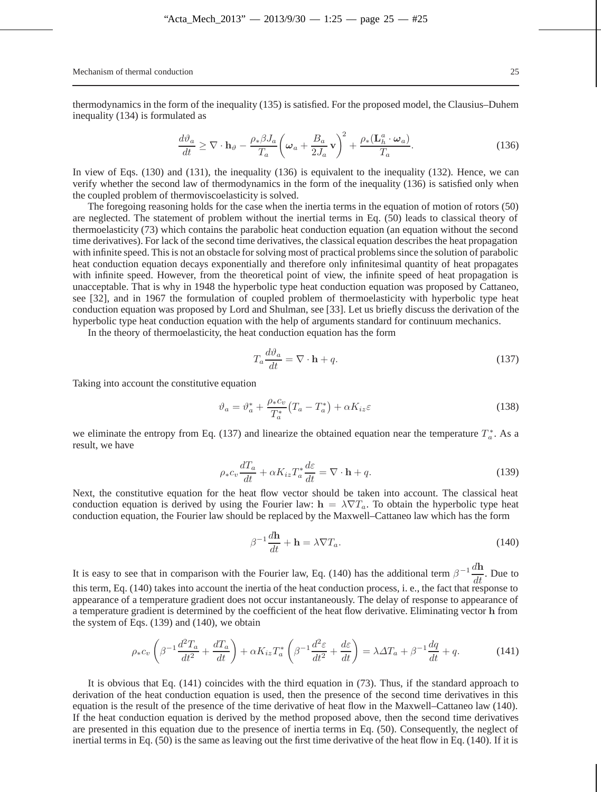thermodynamics in the form of the inequality (135) is satisfied. For the proposed model, the Clausius–Duhem inequality (134) is formulated as

$$
\frac{d\vartheta_a}{dt} \ge \nabla \cdot \mathbf{h}_{\vartheta} - \frac{\rho_* \beta J_a}{T_a} \left( \omega_a + \frac{B_a}{2J_a} \mathbf{v} \right)^2 + \frac{\rho_* (\mathbf{L}_h^a \cdot \omega_a)}{T_a}.
$$
\n(136)

In view of Eqs. (130) and (131), the inequality (136) is equivalent to the inequality (132). Hence, we can verify whether the second law of thermodynamics in the form of the inequality (136) is satisfied only when the coupled problem of thermoviscoelasticity is solved.

The foregoing reasoning holds for the case when the inertia terms in the equation of motion of rotors (50) are neglected. The statement of problem without the inertial terms in Eq. (50) leads to classical theory of thermoelasticity (73) which contains the parabolic heat conduction equation (an equation without the second time derivatives). For lack of the second time derivatives, the classical equation describes the heat propagation with infinite speed. This is not an obstacle for solving most of practical problems since the solution of parabolic heat conduction equation decays exponentially and therefore only infinitesimal quantity of heat propagates with infinite speed. However, from the theoretical point of view, the infinite speed of heat propagation is unacceptable. That is why in 1948 the hyperbolic type heat conduction equation was proposed by Cattaneo, see [32], and in 1967 the formulation of coupled problem of thermoelasticity with hyperbolic type heat conduction equation was proposed by Lord and Shulman, see [33]. Let us briefly discuss the derivation of the hyperbolic type heat conduction equation with the help of arguments standard for continuum mechanics.

In the theory of thermoelasticity, the heat conduction equation has the form

$$
T_a \frac{d\vartheta_a}{dt} = \nabla \cdot \mathbf{h} + q. \tag{137}
$$

Taking into account the constitutive equation

$$
\vartheta_a = \vartheta_a^* + \frac{\rho_* c_v}{T_a^*} (T_a - T_a^*) + \alpha K_{iz} \varepsilon \tag{138}
$$

we eliminate the entropy from Eq. (137) and linearize the obtained equation near the temperature  $T_a^*$ . As a result, we have

$$
\rho_* c_v \frac{dT_a}{dt} + \alpha K_{iz} T_a^* \frac{d\varepsilon}{dt} = \nabla \cdot \mathbf{h} + q. \tag{139}
$$

Next, the constitutive equation for the heat flow vector should be taken into account. The classical heat conduction equation is derived by using the Fourier law:  $\mathbf{h} = \lambda \nabla T_a$ . To obtain the hyperbolic type heat conduction equation, the Fourier law should be replaced by the Maxwell–Cattaneo law which has the form

$$
\beta^{-1} \frac{d\mathbf{h}}{dt} + \mathbf{h} = \lambda \nabla T_a.
$$
\n(140)

It is easy to see that in comparison with the Fourier law, Eq. (140) has the additional term  $\beta^{-1} \frac{d\mathbf{h}}{dt}$ . Due to this term, Eq. (140) takes into account the inertia of the heat conduction process, i. e., the fact that response to appearance of a temperature gradient does not occur instantaneously. The delay of response to appearance of a temperature gradient is determined by the coefficient of the heat flow derivative. Eliminating vector **h** from the system of Eqs. (139) and (140), we obtain

$$
\rho_* c_v \left( \beta^{-1} \frac{d^2 T_a}{dt^2} + \frac{d T_a}{dt} \right) + \alpha K_{iz} T_a^* \left( \beta^{-1} \frac{d^2 \varepsilon}{dt^2} + \frac{d \varepsilon}{dt} \right) = \lambda \Delta T_a + \beta^{-1} \frac{dq}{dt} + q. \tag{141}
$$

It is obvious that Eq. (141) coincides with the third equation in (73). Thus, if the standard approach to derivation of the heat conduction equation is used, then the presence of the second time derivatives in this equation is the result of the presence of the time derivative of heat flow in the Maxwell–Cattaneo law (140). If the heat conduction equation is derived by the method proposed above, then the second time derivatives are presented in this equation due to the presence of inertia terms in Eq. (50). Consequently, the neglect of inertial terms in Eq. (50) is the same as leaving out the first time derivative of the heat flow in Eq. (140). If it is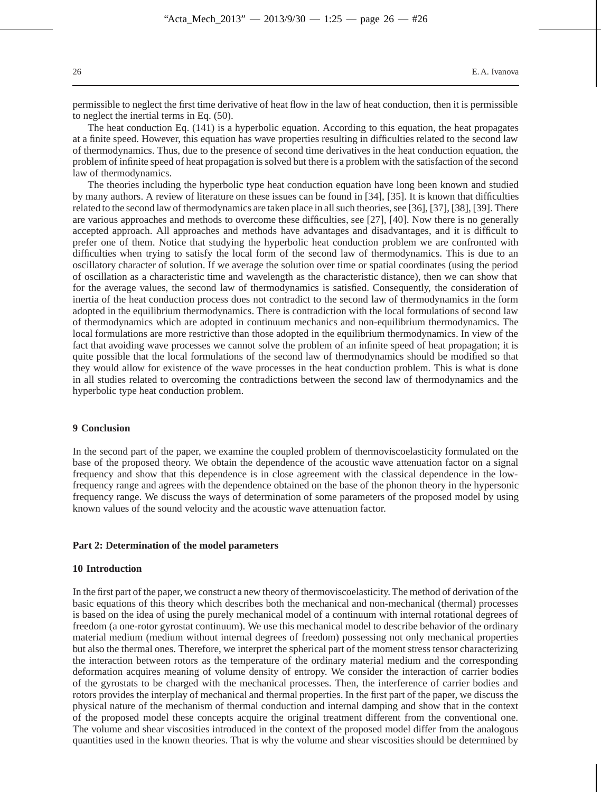#### 26 E.A. Ivanova

permissible to neglect the first time derivative of heat flow in the law of heat conduction, then it is permissible to neglect the inertial terms in Eq. (50).

The heat conduction Eq. (141) is a hyperbolic equation. According to this equation, the heat propagates at a finite speed. However, this equation has wave properties resulting in difficulties related to the second law of thermodynamics. Thus, due to the presence of second time derivatives in the heat conduction equation, the problem of infinite speed of heat propagation is solved but there is a problem with the satisfaction of the second law of thermodynamics.

The theories including the hyperbolic type heat conduction equation have long been known and studied by many authors. A review of literature on these issues can be found in [34], [35]. It is known that difficulties related to the second law of thermodynamics are taken place in all such theories, see [36], [37], [38], [39]. There are various approaches and methods to overcome these difficulties, see [27], [40]. Now there is no generally accepted approach. All approaches and methods have advantages and disadvantages, and it is difficult to prefer one of them. Notice that studying the hyperbolic heat conduction problem we are confronted with difficulties when trying to satisfy the local form of the second law of thermodynamics. This is due to an oscillatory character of solution. If we average the solution over time or spatial coordinates (using the period of oscillation as a characteristic time and wavelength as the characteristic distance), then we can show that for the average values, the second law of thermodynamics is satisfied. Consequently, the consideration of inertia of the heat conduction process does not contradict to the second law of thermodynamics in the form adopted in the equilibrium thermodynamics. There is contradiction with the local formulations of second law of thermodynamics which are adopted in continuum mechanics and non-equilibrium thermodynamics. The local formulations are more restrictive than those adopted in the equilibrium thermodynamics. In view of the fact that avoiding wave processes we cannot solve the problem of an infinite speed of heat propagation; it is quite possible that the local formulations of the second law of thermodynamics should be modified so that they would allow for existence of the wave processes in the heat conduction problem. This is what is done in all studies related to overcoming the contradictions between the second law of thermodynamics and the hyperbolic type heat conduction problem.

### **9 Conclusion**

In the second part of the paper, we examine the coupled problem of thermoviscoelasticity formulated on the base of the proposed theory. We obtain the dependence of the acoustic wave attenuation factor on a signal frequency and show that this dependence is in close agreement with the classical dependence in the lowfrequency range and agrees with the dependence obtained on the base of the phonon theory in the hypersonic frequency range. We discuss the ways of determination of some parameters of the proposed model by using known values of the sound velocity and the acoustic wave attenuation factor.

#### **Part 2: Determination of the model parameters**

### **10 Introduction**

In the first part of the paper, we construct a new theory of thermoviscoelasticity. The method of derivation of the basic equations of this theory which describes both the mechanical and non-mechanical (thermal) processes is based on the idea of using the purely mechanical model of a continuum with internal rotational degrees of freedom (a one-rotor gyrostat continuum). We use this mechanical model to describe behavior of the ordinary material medium (medium without internal degrees of freedom) possessing not only mechanical properties but also the thermal ones. Therefore, we interpret the spherical part of the moment stress tensor characterizing the interaction between rotors as the temperature of the ordinary material medium and the corresponding deformation acquires meaning of volume density of entropy. We consider the interaction of carrier bodies of the gyrostats to be charged with the mechanical processes. Then, the interference of carrier bodies and rotors provides the interplay of mechanical and thermal properties. In the first part of the paper, we discuss the physical nature of the mechanism of thermal conduction and internal damping and show that in the context of the proposed model these concepts acquire the original treatment different from the conventional one. The volume and shear viscosities introduced in the context of the proposed model differ from the analogous quantities used in the known theories. That is why the volume and shear viscosities should be determined by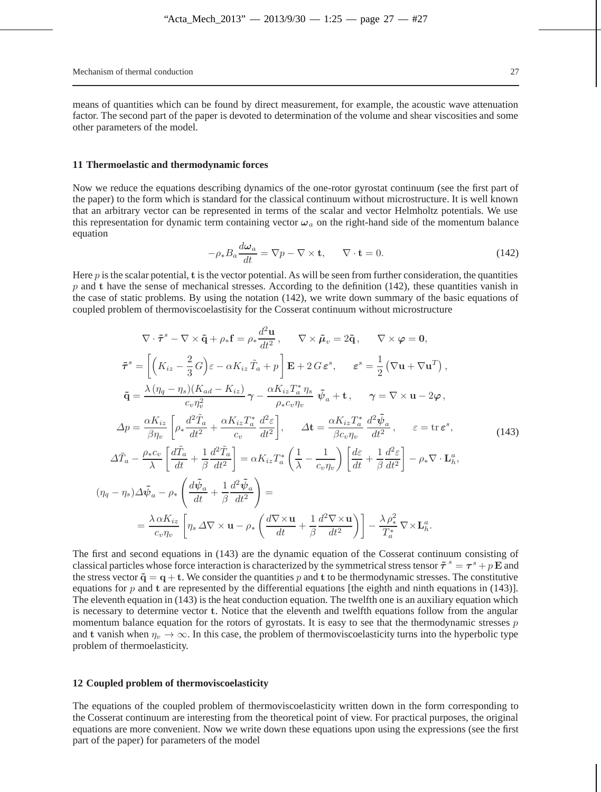means of quantities which can be found by direct measurement, for example, the acoustic wave attenuation factor. The second part of the paper is devoted to determination of the volume and shear viscosities and some other parameters of the model.

#### **11 Thermoelastic and thermodynamic forces**

Now we reduce the equations describing dynamics of the one-rotor gyrostat continuum (see the first part of the paper) to the form which is standard for the classical continuum without microstructure. It is well known that an arbitrary vector can be represented in terms of the scalar and vector Helmholtz potentials. We use this representation for dynamic term containing vector  $\omega_a$  on the right-hand side of the momentum balance equation

$$
-\rho_* B_a \frac{d\omega_a}{dt} = \nabla p - \nabla \times \mathbf{t}, \qquad \nabla \cdot \mathbf{t} = 0.
$$
 (142)

Here  $p$  is the scalar potential,  $t$  is the vector potential. As will be seen from further consideration, the quantities p and **t** have the sense of mechanical stresses. According to the definition (142), these quantities vanish in the case of static problems. By using the notation (142), we write down summary of the basic equations of coupled problem of thermoviscoelastisity for the Cosserat continuum without microstructure

$$
\nabla \cdot \tilde{\tau}^{s} - \nabla \times \tilde{\mathbf{q}} + \rho_{*} \mathbf{f} = \rho_{*} \frac{d^{2} \mathbf{u}}{dt^{2}}, \qquad \nabla \times \tilde{\mu}_{v} = 2\tilde{\mathbf{q}}, \qquad \nabla \times \varphi = 0,
$$
\n
$$
\tilde{\tau}^{s} = \left[ \left( K_{iz} - \frac{2}{3} G \right) \varepsilon - \alpha K_{iz} \tilde{T}_{a} + p \right] \mathbf{E} + 2 G \varepsilon^{s}, \qquad \varepsilon^{s} = \frac{1}{2} \left( \nabla \mathbf{u} + \nabla \mathbf{u}^{T} \right),
$$
\n
$$
\tilde{\mathbf{q}} = \frac{\lambda \left( \eta_{q} - \eta_{s} \right) \left( K_{ad} - K_{iz} \right)}{c_{v} \eta_{v}^{2}} \gamma - \frac{\alpha K_{iz} T_{a}^{*} \eta_{s}}{\rho_{*} c_{v} \eta_{v}} \tilde{\psi}_{a} + \mathbf{t}, \qquad \gamma = \nabla \times \mathbf{u} - 2 \varphi,
$$
\n
$$
\Delta p = \frac{\alpha K_{iz}}{\beta \eta_{v}} \left[ \rho_{*} \frac{d^{2} \tilde{T}_{a}}{dt^{2}} + \frac{\alpha K_{iz} T_{a}^{*}}{c_{v}} \frac{d^{2} \varepsilon}{dt^{2}} \right], \qquad \Delta \mathbf{t} = \frac{\alpha K_{iz} T_{a}^{*}}{\beta c_{v} \eta_{v}} \frac{d^{2} \tilde{\psi}_{a}}{dt^{2}}, \qquad \varepsilon = \text{tr} \, \varepsilon^{s},
$$
\n
$$
\Delta \tilde{T}_{a} - \frac{\rho_{*} c_{v}}{\lambda} \left[ \frac{d \tilde{T}_{a}}{dt} + \frac{1}{\beta} \frac{d^{2} \tilde{T}_{a}}{dt^{2}} \right] = \alpha K_{iz} T_{a}^{*} \left( \frac{1}{\lambda} - \frac{1}{c_{v} \eta_{v}} \right) \left[ \frac{d \varepsilon}{dt} + \frac{1}{\beta} \frac{d^{2} \varepsilon}{dt^{2}} \right] - \rho_{*} \nabla \cdot \mathbf{L}_{h}^{a},
$$
\n
$$
(\eta
$$

The first and second equations in (143) are the dynamic equation of the Cosserat continuum consisting of classical particles whose force interaction is characterized by the symmetrical stress tensor  $\tilde{\tau}^s = \tau^s + p \mathbf{E}$  and the stress vector  $\tilde{\mathbf{q}} = \mathbf{q} + \mathbf{t}$ . We consider the quantities p and **t** to be thermodynamic stresses. The constitutive equations for p and **t** are represented by the differential equations [the eighth and ninth equations in (143)]. The eleventh equation in (143) is the heat conduction equation. The twelfth one is an auxiliary equation which is necessary to determine vector **t**. Notice that the eleventh and twelfth equations follow from the angular momentum balance equation for the rotors of gyrostats. It is easy to see that the thermodynamic stresses  $p$ and **t** vanish when  $\eta_v \to \infty$ . In this case, the problem of thermoviscoelasticity turns into the hyperbolic type problem of thermoelasticity.

#### **12 Coupled problem of thermoviscoelasticity**

The equations of the coupled problem of thermoviscoelasticity written down in the form corresponding to the Cosserat continuum are interesting from the theoretical point of view. For practical purposes, the original equations are more convenient. Now we write down these equations upon using the expressions (see the first part of the paper) for parameters of the model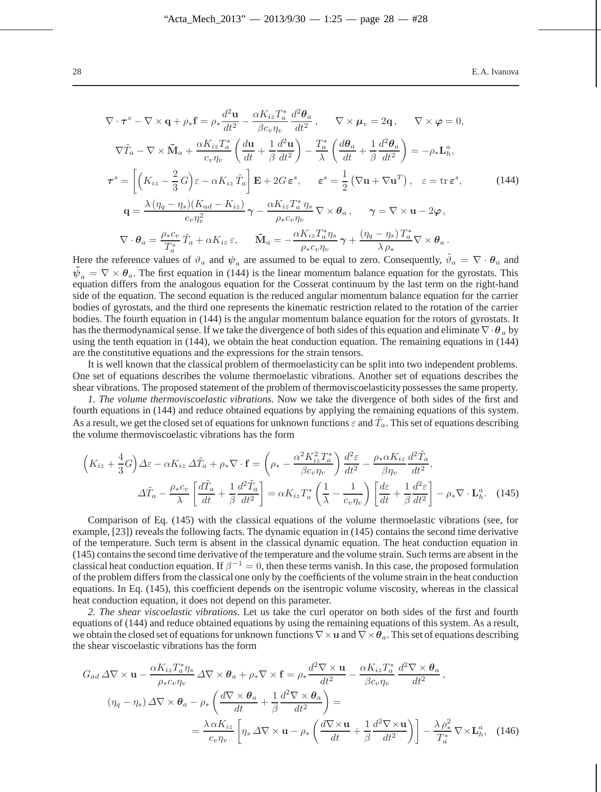$$
\nabla \cdot \boldsymbol{\tau}^{s} - \nabla \times \mathbf{q} + \rho_{*} \mathbf{f} = \rho_{*} \frac{d^{2} \mathbf{u}}{dt^{2}} - \frac{\alpha K_{iz} T_{a}^{*}}{\beta c_{v} \eta_{v}} \frac{d^{2} \boldsymbol{\theta}_{a}}{dt^{2}}, \qquad \nabla \times \boldsymbol{\mu}_{v} = 2\mathbf{q}, \qquad \nabla \times \boldsymbol{\varphi} = 0,
$$
\n
$$
\nabla \tilde{T}_{a} - \nabla \times \tilde{\mathbf{M}}_{a} + \frac{\alpha K_{iz} T_{a}^{*}}{c_{v} \eta_{v}} \left( \frac{d \mathbf{u}}{dt} + \frac{1}{\beta} \frac{d^{2} \mathbf{u}}{dt^{2}} \right) - \frac{T_{a}^{*}}{\lambda} \left( \frac{d \boldsymbol{\theta}_{a}}{dt} + \frac{1}{\beta} \frac{d^{2} \boldsymbol{\theta}_{a}}{dt^{2}} \right) = -\rho_{*} \mathbf{L}_{h}^{a},
$$
\n
$$
\boldsymbol{\tau}^{s} = \left[ \left( K_{iz} - \frac{2}{3} G \right) \varepsilon - \alpha K_{iz} \tilde{T}_{a} \right] \mathbf{E} + 2G \, \varepsilon^{s}, \qquad \varepsilon^{s} = \frac{1}{2} \left( \nabla \mathbf{u} + \nabla \mathbf{u}^{T} \right), \quad \varepsilon = \text{tr} \, \varepsilon^{s}, \qquad (144)
$$
\n
$$
\mathbf{q} = \frac{\lambda \left( \eta_{q} - \eta_{s} \right) \left( K_{ad} - K_{iz} \right)}{c_{v} \eta_{v}^{2}} \, \boldsymbol{\gamma} - \frac{\alpha K_{iz} T_{a}^{*} \eta_{s}}{\rho_{*} c_{v} \eta_{v}} \, \nabla \times \boldsymbol{\theta}_{a}, \qquad \boldsymbol{\gamma} = \nabla \times \mathbf{u} - 2\boldsymbol{\varphi} \, ,
$$
\n
$$
\nabla \cdot \boldsymbol{\theta}_{a} = \frac{\rho_{*} c_{v}}{T_{a}^{*}} \tilde{T}_{a} + \alpha K_{iz} \, \varepsilon, \qquad \tilde{\mathbf{M}}_{a} = -\frac{\alpha K_{iz} T_{a}^{*}
$$

Here the reference values of  $\vartheta_a$  and  $\psi_a$  are assumed to be equal to zero. Consequently,  $\tilde{\vartheta}_a = \nabla \cdot \theta_a$  and  $\tilde{\psi}_a = \nabla \times \theta_a$ . The first equation in (144) is the linear momentum balance equation for the gyrostats. This equation differs from the analogous equation for the Cosserat continuum by the last term on the right-hand side of the equation. The second equation is the reduced angular momentum balance equation for the carrier bodies of gyrostats, and the third one represents the kinematic restriction related to the rotation of the carrier bodies. The fourth equation in (144) is the angular momentum balance equation for the rotors of gyrostats. It has the thermodynamical sense. If we take the divergence of both sides of this equation and eliminate ∇·*θ* <sup>a</sup> by using the tenth equation in (144), we obtain the heat conduction equation. The remaining equations in (144) are the constitutive equations and the expressions for the strain tensors.

It is well known that the classical problem of thermoelasticity can be split into two independent problems. One set of equations describes the volume thermoelastic vibrations. Another set of equations describes the shear vibrations. The proposed statement of the problem of thermoviscoelasticity possesses the same property.

*1. The volume thermoviscoelastic vibrations.* Now we take the divergence of both sides of the first and fourth equations in (144) and reduce obtained equations by applying the remaining equations of this system. As a result, we get the closed set of equations for unknown functions  $\varepsilon$  and  $T_a$ . This set of equations describing the volume thermoviscoelastic vibrations has the form

$$
\left(K_{iz} + \frac{4}{3}G\right)\Delta\varepsilon - \alpha K_{iz}\,\Delta\tilde{T}_a + \rho_*\nabla\cdot\mathbf{f} = \left(\rho_* - \frac{\alpha^2 K_{iz}^2 T_a^*}{\beta c_v \eta_v}\right)\frac{d^2\varepsilon}{dt^2} - \frac{\rho_*\alpha K_{iz}}{\beta \eta_v}\frac{d^2\tilde{T}_a}{dt^2},
$$
\n
$$
\Delta\tilde{T}_a - \frac{\rho_*c_v}{\lambda}\left[\frac{d\tilde{T}_a}{dt} + \frac{1}{\beta}\frac{d^2\tilde{T}_a}{dt^2}\right] = \alpha K_{iz}T_a^*\left(\frac{1}{\lambda} - \frac{1}{c_v\eta_v}\right)\left[\frac{d\varepsilon}{dt} + \frac{1}{\beta}\frac{d^2\varepsilon}{dt^2}\right] - \rho_*\nabla\cdot\mathbf{L}_h^a. \tag{145}
$$

Comparison of Eq. (145) with the classical equations of the volume thermoelastic vibrations (see, for example, [23]) reveals the following facts. The dynamic equation in (145) contains the second time derivative of the temperature. Such term is absent in the classical dynamic equation. The heat conduction equation in (145) contains the second time derivative of the temperature and the volume strain. Such terms are absent in the classical heat conduction equation. If  $\beta^{-1} = 0$ , then these terms vanish. In this case, the proposed formulation of the problem differs from the classical one only by the coefficients of the volume strain in the heat conduction equations. In Eq. (145), this coefficient depends on the isentropic volume viscosity, whereas in the classical heat conduction equation, it does not depend on this parameter.

*2. The shear viscoelastic vibrations.* Let us take the curl operator on both sides of the first and fourth equations of (144) and reduce obtained equations by using the remaining equations of this system. As a result, we obtain the closed set of equations for unknown functions  $\nabla \times \mathbf{u}$  and  $\nabla \times \hat{\theta}_a$ . This set of equations describing the shear viscoelastic vibrations has the form

$$
G_{ad} \Delta \nabla \times \mathbf{u} - \frac{\alpha K_{iz} T_a^* \eta_s}{\rho_* c_v \eta_v} \Delta \nabla \times \boldsymbol{\theta}_a + \rho_* \nabla \times \mathbf{f} = \rho_* \frac{d^2 \nabla \times \mathbf{u}}{dt^2} - \frac{\alpha K_{iz} T_a^*}{\beta c_v \eta_v} \frac{d^2 \nabla \times \boldsymbol{\theta}_a}{dt^2},
$$
  
\n
$$
(\eta_q - \eta_s) \Delta \nabla \times \boldsymbol{\theta}_a - \rho_* \left( \frac{d \nabla \times \boldsymbol{\theta}_a}{dt} + \frac{1}{\beta} \frac{d^2 \nabla \times \boldsymbol{\theta}_a}{dt^2} \right) =
$$
  
\n
$$
= \frac{\lambda \alpha K_{iz}}{c_v \eta_v} \left[ \eta_s \Delta \nabla \times \mathbf{u} - \rho_* \left( \frac{d \nabla \times \mathbf{u}}{dt} + \frac{1}{\beta} \frac{d^2 \nabla \times \mathbf{u}}{dt^2} \right) \right] - \frac{\lambda \rho_*^2}{T_a^*} \nabla \times \mathbf{L}_h^a, \quad (146)
$$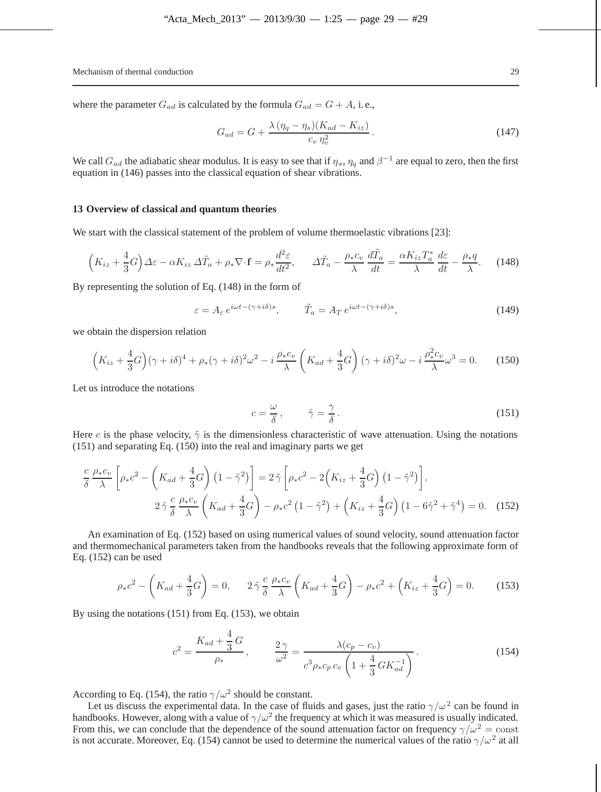where the parameter  $G_{ad}$  is calculated by the formula  $G_{ad} = G + A$ , i.e.,

$$
G_{ad} = G + \frac{\lambda (\eta_q - \eta_s)(K_{ad} - K_{iz})}{c_v \eta_v^2}.
$$
 (147)

We call  $G_{ad}$  the adiabatic shear modulus. It is easy to see that if  $\eta_s$ ,  $\eta_q$  and  $\beta^{-1}$  are equal to zero, then the first equation in (146) passes into the classical equation of shear vibrations.

#### **13 Overview of classical and quantum theories**

We start with the classical statement of the problem of volume thermoelastic vibrations [23]:

$$
\left(K_{iz} + \frac{4}{3}G\right)\Delta\varepsilon - \alpha K_{iz}\,\Delta\tilde{T}_a + \rho_*\nabla\cdot\mathbf{f} = \rho_*\frac{d^2\varepsilon}{dt^2}, \qquad \Delta\tilde{T}_a - \frac{\rho_*c_v}{\lambda}\,\frac{d\tilde{T}_a}{dt} = \frac{\alpha K_{iz}T_a^*}{\lambda}\,\frac{d\varepsilon}{dt} - \frac{\rho_*q}{\lambda}.\tag{148}
$$

By representing the solution of Eq. (148) in the form of

$$
\varepsilon = A_{\varepsilon} e^{i\omega t - (\gamma + i\delta)s}, \qquad \tilde{T}_a = A_T e^{i\omega t - (\gamma + i\delta)s}, \qquad (149)
$$

we obtain the dispersion relation

$$
\left(K_{iz} + \frac{4}{3}G\right)(\gamma + i\delta)^4 + \rho_*(\gamma + i\delta)^2\omega^2 - i\frac{\rho_*c_v}{\lambda}\left(K_{ad} + \frac{4}{3}G\right)(\gamma + i\delta)^2\omega - i\frac{\rho_*^2c_v}{\lambda}\omega^3 = 0. \tag{150}
$$

Let us introduce the notations

$$
c = \frac{\omega}{\delta}, \qquad \tilde{\gamma} = \frac{\gamma}{\delta}.
$$
 (151)

Here c is the phase velocity,  $\tilde{\gamma}$  is the dimensionless characteristic of wave attenuation. Using the notations (151) and separating Eq. (150) into the real and imaginary parts we get

$$
\frac{c}{\delta} \frac{\rho_* c_v}{\lambda} \left[ \rho_* c^2 - \left( K_{ad} + \frac{4}{3} G \right) \left( 1 - \tilde{\gamma}^2 \right) \right] = 2 \tilde{\gamma} \left[ \rho_* c^2 - 2 \left( K_{iz} + \frac{4}{3} G \right) \left( 1 - \tilde{\gamma}^2 \right) \right],
$$
  

$$
2 \tilde{\gamma} \frac{c}{\delta} \frac{\rho_* c_v}{\lambda} \left( K_{ad} + \frac{4}{3} G \right) - \rho_* c^2 \left( 1 - \tilde{\gamma}^2 \right) + \left( K_{iz} + \frac{4}{3} G \right) \left( 1 - 6 \tilde{\gamma}^2 + \tilde{\gamma}^4 \right) = 0. \quad (152)
$$

An examination of Eq. (152) based on using numerical values of sound velocity, sound attenuation factor and thermomechanical parameters taken from the handbooks reveals that the following approximate form of Eq. (152) can be used

$$
\rho_* c^2 - \left(K_{ad} + \frac{4}{3}G\right) = 0, \qquad 2\,\tilde{\gamma}\,\frac{c}{\delta} \,\frac{\rho_* c_v}{\lambda} \left(K_{ad} + \frac{4}{3}G\right) - \rho_* c^2 + \left(K_{iz} + \frac{4}{3}G\right) = 0. \tag{153}
$$

By using the notations (151) from Eq. (153), we obtain

$$
c^{2} = \frac{K_{ad} + \frac{4}{3}G}{\rho_{*}}, \qquad \frac{2\gamma}{\omega^{2}} = \frac{\lambda(c_{p} - c_{v})}{c^{3}\rho_{*}c_{p}c_{v}\left(1 + \frac{4}{3}G K_{ad}^{-1}\right)}.
$$
 (154)

According to Eq. (154), the ratio  $\gamma/\omega^2$  should be constant.

Let us discuss the experimental data. In the case of fluids and gases, just the ratio  $\gamma/\omega^2$  can be found in handbooks. However, along with a value of  $\gamma/\omega^2$  the frequency at which it was measured is usually indicated. From this, we can conclude that the dependence of the sound attenuation factor on frequency  $\gamma/\omega^2 = \text{const}$ is not accurate. Moreover, Eq. (154) cannot be used to determine the numerical values of the ratio  $\gamma/\omega^2$  at all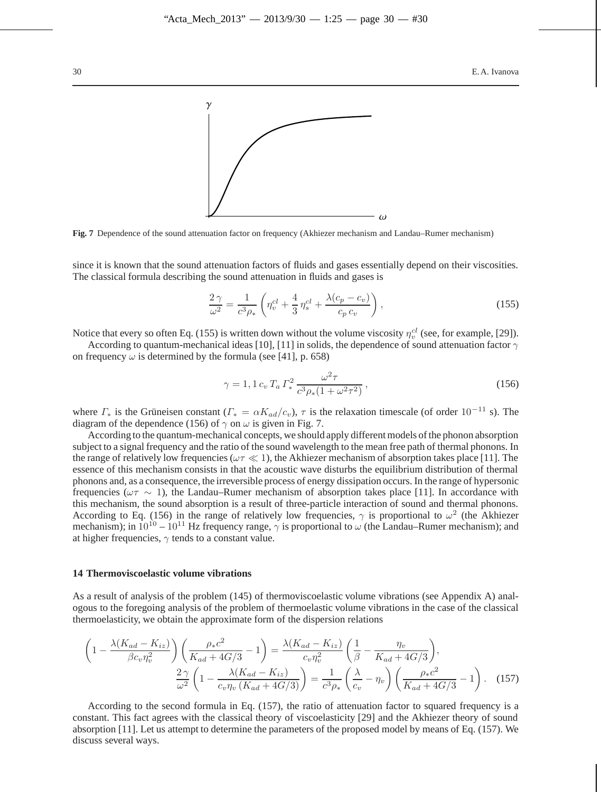

**Fig. 7** Dependence of the sound attenuation factor on frequency (Akhiezer mechanism and Landau–Rumer mechanism)

since it is known that the sound attenuation factors of fluids and gases essentially depend on their viscosities. The classical formula describing the sound attenuation in fluids and gases is

$$
\frac{2\,\gamma}{\omega^2} = \frac{1}{c^3 \rho_*} \left( \eta_v^{cl} + \frac{4}{3} \eta_s^{cl} + \frac{\lambda (c_p - c_v)}{c_p \, c_v} \right),\tag{155}
$$

Notice that every so often Eq. (155) is written down without the volume viscosity  $\eta_v^{cl}$  (see, for example, [29]).

According to quantum-mechanical ideas [10], [11] in solids, the dependence of sound attenuation factor  $\gamma$ on frequency  $\omega$  is determined by the formula (see [41], p. 658)

$$
\gamma = 1, 1 \, c_v \, T_a \, \Gamma_*^2 \, \frac{\omega^2 \tau}{c^3 \rho_*(1 + \omega^2 \tau^2)}\,,\tag{156}
$$

where  $\Gamma_*$  is the Grüneisen constant ( $\Gamma_* = \alpha K_{ad}/c_v$ ),  $\tau$  is the relaxation timescale (of order 10<sup>-11</sup> s). The diagram of the dependence (156) of  $\gamma$  on  $\omega$  is given in Fig. 7.

According to the quantum-mechanical concepts, we should apply different models of the phonon absorption subject to a signal frequency and the ratio of the sound wavelength to the mean free path of thermal phonons. In the range of relatively low frequencies ( $\omega \tau \ll 1$ ), the Akhiezer mechanism of absorption takes place [11]. The essence of this mechanism consists in that the acoustic wave disturbs the equilibrium distribution of thermal phonons and, as a consequence, the irreversible process of energy dissipation occurs. In the range of hypersonic frequencies ( $\omega \tau \sim 1$ ), the Landau–Rumer mechanism of absorption takes place [11]. In accordance with this mechanism, the sound absorption is a result of three-particle interaction of sound and thermal phonons. According to Eq. (156) in the range of relatively low frequencies,  $\gamma$  is proportional to  $\omega^2$  (the Akhiezer mechanism); in  $10^{10} - 10^{11}$  Hz frequency range,  $\gamma$  is proportional to  $\omega$  (the Landau–Rumer mechanism); and at higher frequencies,  $\gamma$  tends to a constant value.

#### **14 Thermoviscoelastic volume vibrations**

As a result of analysis of the problem (145) of thermoviscoelastic volume vibrations (see Appendix A) analogous to the foregoing analysis of the problem of thermoelastic volume vibrations in the case of the classical thermoelasticity, we obtain the approximate form of the dispersion relations

$$
\left(1 - \frac{\lambda(K_{ad} - K_{iz})}{\beta c_v \eta_v^2}\right) \left(\frac{\rho_* c^2}{K_{ad} + 4G/3} - 1\right) = \frac{\lambda(K_{ad} - K_{iz})}{c_v \eta_v^2} \left(\frac{1}{\beta} - \frac{\eta_v}{K_{ad} + 4G/3}\right),
$$

$$
\frac{2\gamma}{\omega^2} \left(1 - \frac{\lambda(K_{ad} - K_{iz})}{c_v \eta_v (K_{ad} + 4G/3)}\right) = \frac{1}{c^3 \rho_*} \left(\frac{\lambda}{c_v} - \eta_v\right) \left(\frac{\rho_* c^2}{K_{ad} + 4G/3} - 1\right). \quad (157)
$$

According to the second formula in Eq. (157), the ratio of attenuation factor to squared frequency is a constant. This fact agrees with the classical theory of viscoelasticity [29] and the Akhiezer theory of sound absorption [11]. Let us attempt to determine the parameters of the proposed model by means of Eq. (157). We discuss several ways.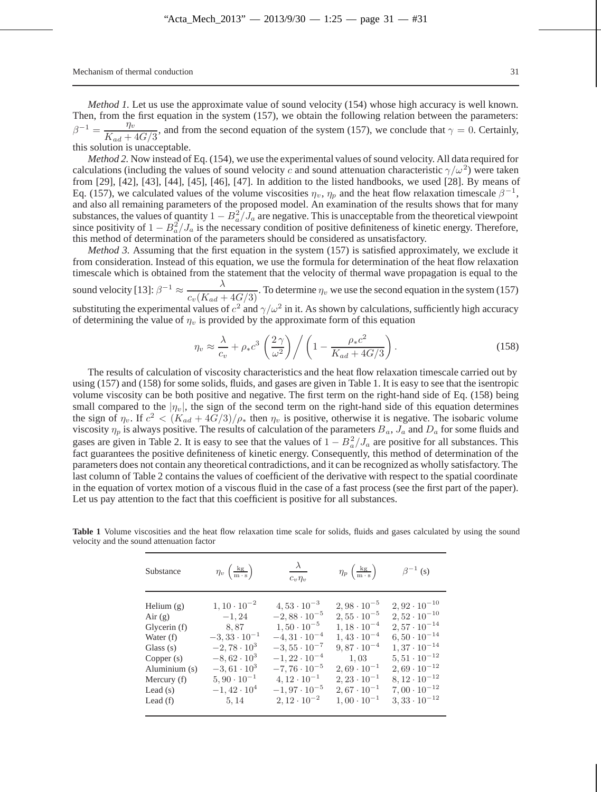*Method 1.* Let us use the approximate value of sound velocity (154) whose high accuracy is well known. Then, from the first equation in the system (157), we obtain the following relation between the parameters:  $\beta^{-1} = \frac{\eta_v}{\eta_v}$  $\frac{Hv}{K_{ad} + 4G/3}$ , and from the second equation of the system (157), we conclude that  $\gamma = 0$ . Certainly, this solution is unacceptable.

*Method 2.* Now instead of Eq. (154), we use the experimental values of sound velocity. All data required for calculations (including the values of sound velocity c and sound attenuation characteristic  $\gamma/\omega^2$ ) were taken from [29], [42], [43], [44], [45], [46], [47]. In addition to the listed handbooks, we used [28]. By means of Eq. (157), we calculated values of the volume viscosities  $\eta_v$ ,  $\eta_p$  and the heat flow relaxation timescale  $\beta^{-1}$ , and also all remaining parameters of the proposed model. An examination of the results shows that for many substances, the values of quantity  $1 - B_a^2 / J_a$  are negative. This is unacceptable from the theoretical viewpoint since positivity of  $1 - B_a^2/J_a$  is the necessary condition of positive definiteness of kinetic energy. Therefore, this method of determination of the parameters should be considered as unsatisfactory.

*Method 3.* Assuming that the first equation in the system (157) is satisfied approximately, we exclude it from consideration. Instead of this equation, we use the formula for determination of the heat flow relaxation timescale which is obtained from the statement that the velocity of thermal wave propagation is equal to the sound velocity [13]:  $\beta^{-1} \approx \frac{\lambda}{c_v(K_{ad} + 4G/3)}$ . To determine  $\eta_v$  we use the second equation in the system (157) substituting the experimental values of  $c^2$  and  $\gamma/\omega^2$  in it. As shown by calculations, sufficiently high accuracy of determining the value of  $\eta_v$  is provided by the approximate form of this equation

$$
\eta_v \approx \frac{\lambda}{c_v} + \rho_* c^3 \left(\frac{2\gamma}{\omega^2}\right) \bigg/ \left(1 - \frac{\rho_* c^2}{K_{ad} + 4G/3}\right). \tag{158}
$$

The results of calculation of viscosity characteristics and the heat flow relaxation timescale carried out by using (157) and (158) for some solids, fluids, and gases are given in Table 1. It is easy to see that the isentropic volume viscosity can be both positive and negative. The first term on the right-hand side of Eq. (158) being small compared to the  $|\eta_v|$ , the sign of the second term on the right-hand side of this equation determines the sign of  $\eta_v$ . If  $c^2 < (K_{ad} + 4G/3)/\rho_*$  then  $\eta_v$  is positive, otherwise it is negative. The isobaric volume viscosity  $\eta_p$  is always positive. The results of calculation of the parameters  $B_a$ ,  $J_a$  and  $D_a$  for some fluids and gases are given in Table 2. It is easy to see that the values of  $1 - B_a^2/J_a$  are positive for all substances. This fact guarantees the positive definiteness of kinetic energy. Consequently, this method of determination of the parameters does not contain any theoretical contradictions, and it can be recognized as wholly satisfactory. The last column of Table 2 contains the values of coefficient of the derivative with respect to the spatial coordinate in the equation of vortex motion of a viscous fluid in the case of a fast process (see the first part of the paper). Let us pay attention to the fact that this coefficient is positive for all substances.

| Substance     | $\eta_v\left(\frac{\text{kg}}{\text{m} \cdot \text{s}}\right)$ | $\lambda$<br>$c_v \eta_v$ | $\eta_p\left(\frac{\text{kg}}{\text{m}\cdot\text{s}}\right)$ | $\beta^{-1}\left( s\right)$ |
|---------------|----------------------------------------------------------------|---------------------------|--------------------------------------------------------------|-----------------------------|
| Helium $(g)$  | $1, 10 \cdot 10^{-2}$                                          | $4,53 \cdot 10^{-3}$      | $2,98 \cdot 10^{-5}$                                         | $2,92 \cdot 10^{-10}$       |
| Air(g)        | $-1, 24$                                                       | $-2,88 \cdot 10^{-5}$     | $2,55 \cdot 10^{-5}$                                         | $2,52\cdot10^{-10}$         |
| Glycerin (f)  | 8,87                                                           | $1,50 \cdot 10^{-5}$      | $1, 18 \cdot 10^{-4}$                                        | $2,57 \cdot 10^{-14}$       |
| Water $(f)$   | $-3,33 \cdot 10^{-1}$                                          | $-4,31 \cdot 10^{-4}$     | $1,43 \cdot 10^{-4}$                                         | $6,50 \cdot 10^{-14}$       |
| Glass $(s)$   | $-2,78 \cdot 10^3$                                             | $-3,55 \cdot 10^{-7}$     | $9,87 \cdot 10^{-4}$                                         | $1,37 \cdot 10^{-14}$       |
| Copper $(s)$  | $-8,62 \cdot 10^3$                                             | $-1, 22 \cdot 10^{-4}$    | 1,03                                                         | $5,51 \cdot 10^{-12}$       |
| Aluminium (s) | $-3,61 \cdot 10^3$                                             | $-7,76 \cdot 10^{-5}$     | $2,69 \cdot 10^{-1}$                                         | $2,69 \cdot 10^{-12}$       |
| Mercury (f)   | $5,90 \cdot 10^{-1}$                                           | $4, 12 \cdot 10^{-1}$     | $2, 23 \cdot 10^{-1}$                                        | $8, 12 \cdot 10^{-12}$      |
| Lead $(s)$    | $-1, 42 \cdot 10^4$                                            | $-1,97 \cdot 10^{-5}$     | $2,67 \cdot 10^{-1}$                                         | $7,00 \cdot 10^{-12}$       |
| Lead $(f)$    | 5, 14                                                          | $2, 12 \cdot 10^{-2}$     | $1,00 \cdot 10^{-1}$                                         | $3,33 \cdot 10^{-12}$       |

**Table 1** Volume viscosities and the heat flow relaxation time scale for solids, fluids and gases calculated by using the sound velocity and the sound attenuation factor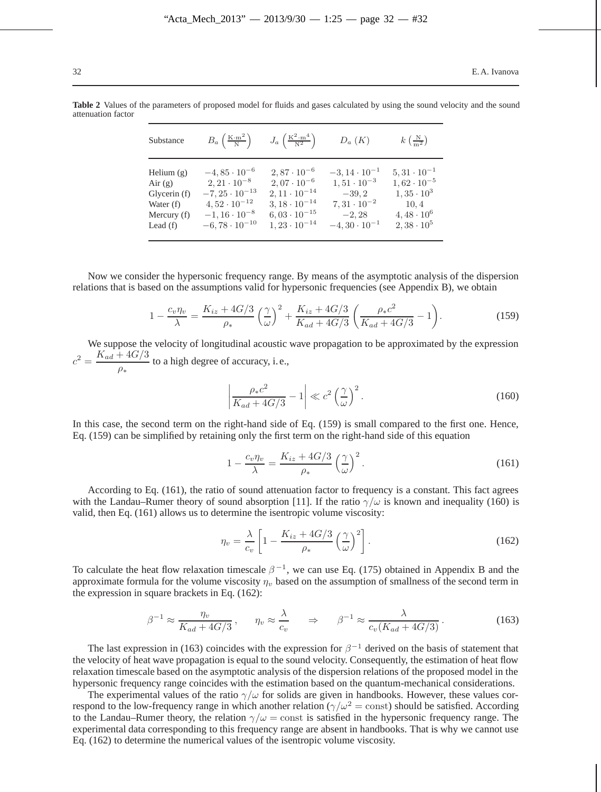| Table 2 Values of the parameters of proposed model for fluids and gases calculated by using the sound velocity and the sound |  |  |  |  |  |  |
|------------------------------------------------------------------------------------------------------------------------------|--|--|--|--|--|--|
| attenuation factor                                                                                                           |  |  |  |  |  |  |

| Substance    | $B_a\left(\frac{K\cdot m^2}{N}\right)$ | $J_a\left(\frac{K^2 \cdot m^4}{N^2}\right)$ | $D_a(K)$               | $k\left(\frac{\text{N}}{\text{m}^2}\right)$ |
|--------------|----------------------------------------|---------------------------------------------|------------------------|---------------------------------------------|
| Helium $(g)$ | $-4,85 \cdot 10^{-6}$                  | $2,87 \cdot 10^{-6}$                        | $-3, 14 \cdot 10^{-1}$ | $5,31 \cdot 10^{-1}$                        |
| Air(g)       | $2, 21 \cdot 10^{-8}$                  | $2,07 \cdot 10^{-6}$                        | $1,51 \cdot 10^{-3}$   | $1,62\cdot10^{-5}$                          |
| Glycerin (f) | $-7, 25 \cdot 10^{-13}$                | $2, 11 \cdot 10^{-14}$                      | $-39, 2$               | $1,35 \cdot 10^3$                           |
| Water $(f)$  | $4,52\cdot 10^{-12}$                   | $3, 18 \cdot 10^{-14}$                      | $7,31 \cdot 10^{-2}$   | 10, 4                                       |
| Mercury (f)  | $-1, 16 \cdot 10^{-8}$                 | $6,03\cdot10^{-15}$                         | $-2, 28$               | $4,48 \cdot 10^6$                           |
| Lead $(f)$   | $-6,78\cdot10^{-10}$                   | $1,23 \cdot 10^{-14}$                       | $-4,30 \cdot 10^{-1}$  | $2,38 \cdot 10^5$                           |

Now we consider the hypersonic frequency range. By means of the asymptotic analysis of the dispersion relations that is based on the assumptions valid for hypersonic frequencies (see Appendix B), we obtain

$$
1 - \frac{c_v \eta_v}{\lambda} = \frac{K_{iz} + 4G/3}{\rho_*} \left(\frac{\gamma}{\omega}\right)^2 + \frac{K_{iz} + 4G/3}{K_{ad} + 4G/3} \left(\frac{\rho_* c^2}{K_{ad} + 4G/3} - 1\right).
$$
 (159)

We suppose the velocity of longitudinal acoustic wave propagation to be approximated by the expression  $c^2 = \frac{K_{ad} + 4G/3}{4}$  $\frac{1}{\rho^*}$  to a high degree of accuracy, i.e.,

$$
\left| \frac{\rho_* c^2}{K_{ad} + 4G/3} - 1 \right| \ll c^2 \left( \frac{\gamma}{\omega} \right)^2.
$$
\n(160)

In this case, the second term on the right-hand side of Eq. (159) is small compared to the first one. Hence, Eq. (159) can be simplified by retaining only the first term on the right-hand side of this equation

$$
1 - \frac{c_v \eta_v}{\lambda} = \frac{K_{iz} + 4G/3}{\rho_*} \left(\frac{\gamma}{\omega}\right)^2.
$$
 (161)

According to Eq. (161), the ratio of sound attenuation factor to frequency is a constant. This fact agrees with the Landau–Rumer theory of sound absorption [11]. If the ratio  $\gamma/\omega$  is known and inequality (160) is valid, then Eq. (161) allows us to determine the isentropic volume viscosity:

$$
\eta_v = \frac{\lambda}{c_v} \left[ 1 - \frac{K_{iz} + 4G/3}{\rho_*} \left( \frac{\gamma}{\omega} \right)^2 \right].
$$
\n(162)

To calculate the heat flow relaxation timescale  $\beta^{-1}$ , we can use Eq. (175) obtained in Appendix B and the approximate formula for the volume viscosity  $\eta_v$  based on the assumption of smallness of the second term in the expression in square brackets in Eq. (162):

$$
\beta^{-1} \approx \frac{\eta_v}{K_{ad} + 4G/3}, \qquad \eta_v \approx \frac{\lambda}{c_v} \qquad \Rightarrow \qquad \beta^{-1} \approx \frac{\lambda}{c_v(K_{ad} + 4G/3)}.
$$
 (163)

The last expression in (163) coincides with the expression for  $\beta^{-1}$  derived on the basis of statement that the velocity of heat wave propagation is equal to the sound velocity. Consequently, the estimation of heat flow relaxation timescale based on the asymptotic analysis of the dispersion relations of the proposed model in the hypersonic frequency range coincides with the estimation based on the quantum-mechanical considerations.

The experimental values of the ratio  $\gamma/\omega$  for solids are given in handbooks. However, these values correspond to the low-frequency range in which another relation ( $\gamma/\omega^2$  = const) should be satisfied. According to the Landau–Rumer theory, the relation  $\gamma/\omega = \text{const}$  is satisfied in the hypersonic frequency range. The experimental data corresponding to this frequency range are absent in handbooks. That is why we cannot use Eq. (162) to determine the numerical values of the isentropic volume viscosity.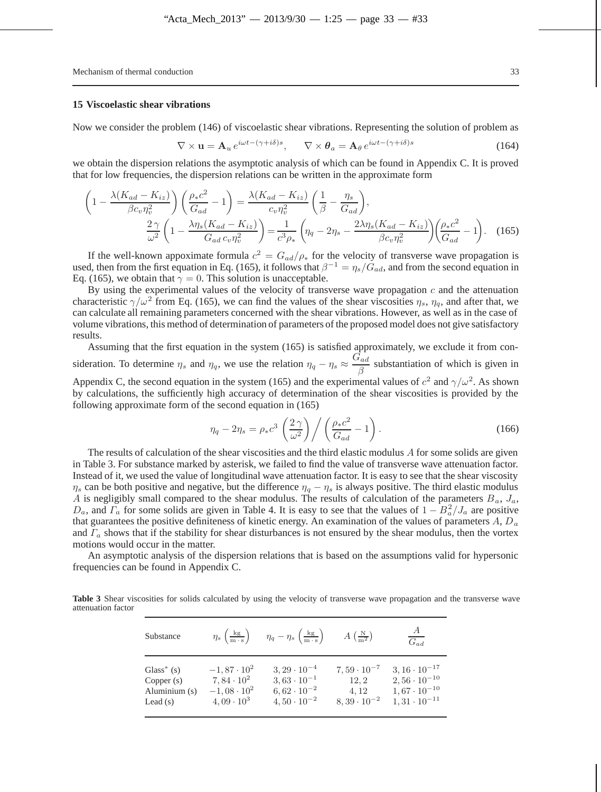### **15 Viscoelastic shear vibrations**

Now we consider the problem (146) of viscoelastic shear vibrations. Representing the solution of problem as

$$
\nabla \times \mathbf{u} = \mathbf{A}_u e^{i\omega t - (\gamma + i\delta)s}, \qquad \nabla \times \boldsymbol{\theta}_a = \mathbf{A}_\theta e^{i\omega t - (\gamma + i\delta)s}
$$
(164)

we obtain the dispersion relations the asymptotic analysis of which can be found in Appendix C. It is proved that for low frequencies, the dispersion relations can be written in the approximate form

$$
\left(1 - \frac{\lambda(K_{ad} - K_{iz})}{\beta c_v \eta_v^2}\right) \left(\frac{\rho_* c^2}{G_{ad}} - 1\right) = \frac{\lambda(K_{ad} - K_{iz})}{c_v \eta_v^2} \left(\frac{1}{\beta} - \frac{\eta_s}{G_{ad}}\right),
$$
  

$$
\frac{2\gamma}{\omega^2} \left(1 - \frac{\lambda \eta_s(K_{ad} - K_{iz})}{G_{ad} c_v \eta_v^2}\right) = \frac{1}{c^3 \rho_*} \left(\eta_q - 2\eta_s - \frac{2\lambda \eta_s(K_{ad} - K_{iz})}{\beta c_v \eta_v^2}\right) \left(\frac{\rho_* c^2}{G_{ad}} - 1\right).
$$
 (165)

If the well-known appoximate formula  $c^2 = G_{ad}/\rho_*$  for the velocity of transverse wave propagation is used, then from the first equation in Eq. (165), it follows that  $\beta^{-1} = \eta_s/G_{ad}$ , and from the second equation in Eq. (165), we obtain that  $\gamma = 0$ . This solution is unacceptable.

By using the experimental values of the velocity of transverse wave propagation  $c$  and the attenuation characteristic  $\gamma/\omega^2$  from Eq. (165), we can find the values of the shear viscosities  $\eta_s$ ,  $\eta_q$ , and after that, we can calculate all remaining parameters concerned with the shear vibrations. However, as well as in the case of volume vibrations, this method of determination of parameters of the proposed model does not give satisfactory results.

Assuming that the first equation in the system (165) is satisfied approximately, we exclude it from consideration. To determine  $\eta_s$  and  $\eta_q$ , we use the relation  $\eta_q - \eta_s \approx \frac{G_{ad}}{\beta}$  substantiation of which is given in Appendix C, the second equation in the system (165) and the experimental values of  $c^2$  and  $\gamma/\omega^2$ . As shown by calculations, the sufficiently high accuracy of determination of the shear viscosities is provided by the following approximate form of the second equation in (165)

$$
\eta_q - 2\eta_s = \rho_* c^3 \left(\frac{2\gamma}{\omega^2}\right) \bigg/ \left(\frac{\rho_* c^2}{G_{ad}} - 1\right). \tag{166}
$$

The results of calculation of the shear viscosities and the third elastic modulus A for some solids are given in Table 3. For substance marked by asterisk, we failed to find the value of transverse wave attenuation factor. Instead of it, we used the value of longitudinal wave attenuation factor. It is easy to see that the shear viscosity  $\eta_s$  can be both positive and negative, but the difference  $\eta_q - \eta_s$  is always positive. The third elastic modulus A is negligibly small compared to the shear modulus. The results of calculation of the parameters  $B_a$ ,  $J_a$ ,  $D_a$ , and  $\overline{\Gamma}_a$  for some solids are given in Table 4. It is easy to see that the values of  $1 - B_a^2/J_a$  are positive that guarantees the positive definiteness of kinetic energy. An examination of the values of parameters  $A, D_a$ and  $\Gamma_a$  shows that if the stability for shear disturbances is not ensured by the shear modulus, then the vortex motions would occur in the matter.

An asymptotic analysis of the dispersion relations that is based on the assumptions valid for hypersonic frequencies can be found in Appendix C.

**Table 3** Shear viscosities for solids calculated by using the velocity of transverse wave propagation and the transverse wave attenuation factor

| Substance                | $\eta_s\left(\frac{\text{kg}}{\text{m}\cdot\text{s}}\right)$ | $\eta_q - \eta_s \left(\frac{\text{kg}}{\text{m} \cdot \text{s}}\right)$ | $A\left(\frac{\text{N}}{\text{m}^2}\right)$ | А<br>$\frac{1}{G_{ad}}$ |
|--------------------------|--------------------------------------------------------------|--------------------------------------------------------------------------|---------------------------------------------|-------------------------|
| Glass <sup>*</sup> $(s)$ | $-1,87 \cdot 10^2$                                           | $3, 29 \cdot 10^{-4}$                                                    | $7,59 \cdot 10^{-7}$                        | $3, 16 \cdot 10^{-17}$  |
| Copper $(s)$             | $7,84 \cdot 10^2$                                            | $3,63 \cdot 10^{-1}$                                                     | 12.2                                        | $2,56 \cdot 10^{-10}$   |
| Aluminium (s)            | $-1,08 \cdot 10^{2}$                                         | $6,62 \cdot 10^{-2}$                                                     | 4.12                                        | $1,67 \cdot 10^{-10}$   |
| Lead $(s)$               | $4,09 \cdot 10^3$                                            | $4,50 \cdot 10^{-2}$                                                     | $8,39 \cdot 10^{-2}$                        | $1,31 \cdot 10^{-11}$   |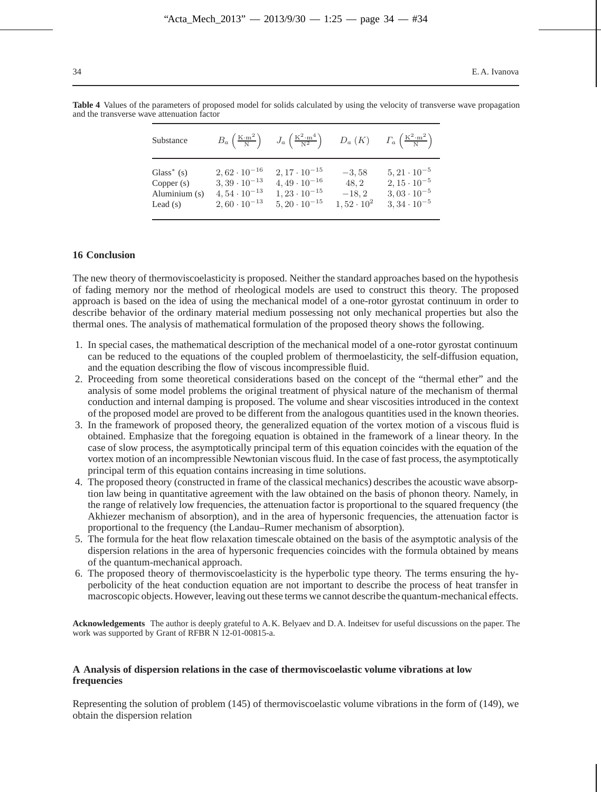| Substance              | $B_a\left(\frac{K \cdot m^2}{N}\right)$ | $J_a\left(\frac{{\rm K}^2\cdot {\rm m}^4}{{\rm N}^2}\right)$ |                   | $D_a(K)$ $\Gamma_a\left(\frac{K^2 \cdot m^2}{N}\right)$ |
|------------------------|-----------------------------------------|--------------------------------------------------------------|-------------------|---------------------------------------------------------|
| Glass <sup>*</sup> (s) | $2,62\cdot 10^{-16}$                    | $2, 17 \cdot 10^{-15}$                                       | $-3,58$           | $5, 21 \cdot 10^{-5}$                                   |
| Copper $(s)$           | $3,39 \cdot 10^{-13}$                   | $4,49 \cdot 10^{-16}$                                        | 48.2              | $2, 15 \cdot 10^{-5}$                                   |
| Aluminium (s)          | $4,54 \cdot 10^{-13}$                   | $1, 23 \cdot 10^{-15}$                                       | $-18, 2$          | $3,03 \cdot 10^{-5}$                                    |
| Lead $(s)$             | $2,60 \cdot 10^{-13}$                   | $5, 20 \cdot 10^{-15}$                                       | $1,52 \cdot 10^2$ | $3,34 \cdot 10^{-5}$                                    |

**Table 4** Values of the parameters of proposed model for solids calculated by using the velocity of transverse wave propagation and the transverse wave attenuation factor

# **16 Conclusion**

The new theory of thermoviscoelasticity is proposed. Neither the standard approaches based on the hypothesis of fading memory nor the method of rheological models are used to construct this theory. The proposed approach is based on the idea of using the mechanical model of a one-rotor gyrostat continuum in order to describe behavior of the ordinary material medium possessing not only mechanical properties but also the thermal ones. The analysis of mathematical formulation of the proposed theory shows the following.

- 1. In special cases, the mathematical description of the mechanical model of a one-rotor gyrostat continuum can be reduced to the equations of the coupled problem of thermoelasticity, the self-diffusion equation, and the equation describing the flow of viscous incompressible fluid.
- 2. Proceeding from some theoretical considerations based on the concept of the "thermal ether" and the analysis of some model problems the original treatment of physical nature of the mechanism of thermal conduction and internal damping is proposed. The volume and shear viscosities introduced in the context of the proposed model are proved to be different from the analogous quantities used in the known theories.
- 3. In the framework of proposed theory, the generalized equation of the vortex motion of a viscous fluid is obtained. Emphasize that the foregoing equation is obtained in the framework of a linear theory. In the case of slow process, the asymptotically principal term of this equation coincides with the equation of the vortex motion of an incompressible Newtonian viscous fluid. In the case of fast process, the asymptotically principal term of this equation contains increasing in time solutions.
- 4. The proposed theory (constructed in frame of the classical mechanics) describes the acoustic wave absorption law being in quantitative agreement with the law obtained on the basis of phonon theory. Namely, in the range of relatively low frequencies, the attenuation factor is proportional to the squared frequency (the Akhiezer mechanism of absorption), and in the area of hypersonic frequencies, the attenuation factor is proportional to the frequency (the Landau–Rumer mechanism of absorption).
- 5. The formula for the heat flow relaxation timescale obtained on the basis of the asymptotic analysis of the dispersion relations in the area of hypersonic frequencies coincides with the formula obtained by means of the quantum-mechanical approach.
- 6. The proposed theory of thermoviscoelasticity is the hyperbolic type theory. The terms ensuring the hyperbolicity of the heat conduction equation are not important to describe the process of heat transfer in macroscopic objects. However, leaving out these terms we cannot describe the quantum-mechanical effects.

**Acknowledgements** The author is deeply grateful to A.K. Belyaev and D.A. Indeitsev for useful discussions on the paper. The work was supported by Grant of RFBR N 12-01-00815-a.

# **A Analysis of dispersion relations in the case of thermoviscoelastic volume vibrations at low frequencies**

Representing the solution of problem (145) of thermoviscoelastic volume vibrations in the form of (149), we obtain the dispersion relation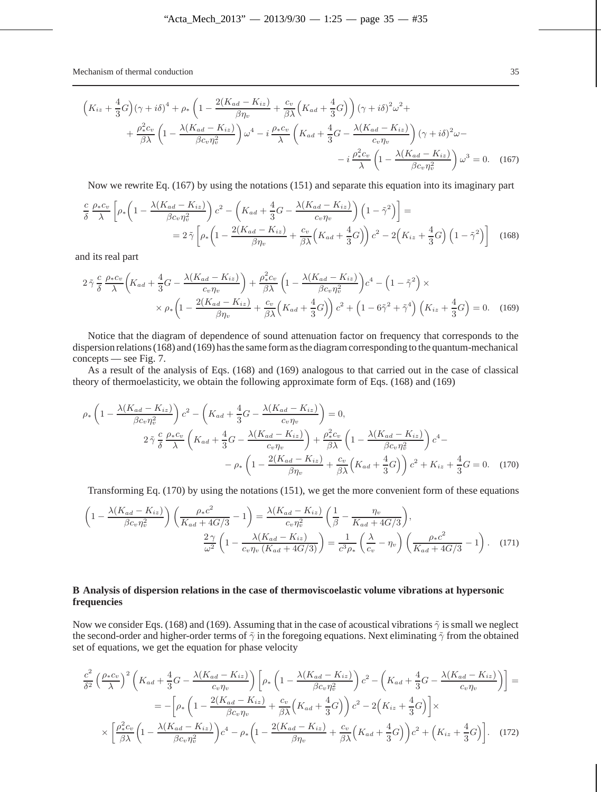$$
\left(K_{iz} + \frac{4}{3}G\right)(\gamma + i\delta)^4 + \rho_* \left(1 - \frac{2(K_{ad} - K_{iz})}{\beta \eta_v} + \frac{c_v}{\beta \lambda} \left(K_{ad} + \frac{4}{3}G\right)\right)(\gamma + i\delta)^2 \omega^2 +
$$
  
+ 
$$
\frac{\rho_*^2 c_v}{\beta \lambda} \left(1 - \frac{\lambda(K_{ad} - K_{iz})}{\beta c_v \eta_v^2}\right) \omega^4 - i \frac{\rho_* c_v}{\lambda} \left(K_{ad} + \frac{4}{3}G - \frac{\lambda(K_{ad} - K_{iz})}{c_v \eta_v}\right)(\gamma + i\delta)^2 \omega -
$$
  
- 
$$
i \frac{\rho_*^2 c_v}{\lambda} \left(1 - \frac{\lambda(K_{ad} - K_{iz})}{\beta c_v \eta_v^2}\right) \omega^3 = 0. \quad (167)
$$

Now we rewrite Eq. (167) by using the notations (151) and separate this equation into its imaginary part

$$
\frac{c}{\delta} \frac{\rho_* c_v}{\lambda} \left[ \rho_* \left( 1 - \frac{\lambda (K_{ad} - K_{iz})}{\beta c_v \eta_v^2} \right) c^2 - \left( K_{ad} + \frac{4}{3} G - \frac{\lambda (K_{ad} - K_{iz})}{c_v \eta_v} \right) \left( 1 - \tilde{\gamma}^2 \right) \right] =
$$
  
= 
$$
2 \tilde{\gamma} \left[ \rho_* \left( 1 - \frac{2(K_{ad} - K_{iz})}{\beta \eta_v} + \frac{c_v}{\beta \lambda} \left( K_{ad} + \frac{4}{3} G \right) \right) c^2 - 2 \left( K_{iz} + \frac{4}{3} G \right) \left( 1 - \tilde{\gamma}^2 \right) \right]
$$
(168)

and its real part

$$
2\tilde{\gamma}\frac{c}{\delta}\frac{\rho_{*}c_{v}}{\lambda}\left(K_{ad}+\frac{4}{3}G-\frac{\lambda(K_{ad}-K_{iz})}{c_{v}\eta_{v}}\right)+\frac{\rho_{*}^{2}c_{v}}{\beta\lambda}\left(1-\frac{\lambda(K_{ad}-K_{iz})}{\beta c_{v}\eta_{v}^{2}}\right)c^{4}-\left(1-\tilde{\gamma}^{2}\right)\times\n\times\rho_{*}\left(1-\frac{2(K_{ad}-K_{iz})}{\beta\eta_{v}}+\frac{c_{v}}{\beta\lambda}\left(K_{ad}+\frac{4}{3}G\right)\right)c^{2}+\left(1-6\tilde{\gamma}^{2}+\tilde{\gamma}^{4}\right)\left(K_{iz}+\frac{4}{3}G\right)=0.
$$
 (169)

Notice that the diagram of dependence of sound attenuation factor on frequency that corresponds to the dispersion relations (168) and (169) has the same form as the diagram corresponding to the quantum-mechanical concepts — see Fig. 7.

As a result of the analysis of Eqs. (168) and (169) analogous to that carried out in the case of classical theory of thermoelasticity, we obtain the following approximate form of Eqs. (168) and (169)

$$
\rho_* \left( 1 - \frac{\lambda(K_{ad} - K_{iz})}{\beta c_v \eta_v^2} \right) c^2 - \left( K_{ad} + \frac{4}{3} G - \frac{\lambda(K_{ad} - K_{iz})}{c_v \eta_v} \right) = 0,
$$
  

$$
2 \tilde{\gamma} \frac{c}{\delta} \frac{\rho_* c_v}{\lambda} \left( K_{ad} + \frac{4}{3} G - \frac{\lambda(K_{ad} - K_{iz})}{c_v \eta_v} \right) + \frac{\rho_*^2 c_v}{\beta \lambda} \left( 1 - \frac{\lambda(K_{ad} - K_{iz})}{\beta c_v \eta_v^2} \right) c^4 -
$$
  

$$
- \rho_* \left( 1 - \frac{2(K_{ad} - K_{iz})}{\beta \eta_v} + \frac{c_v}{\beta \lambda} \left( K_{ad} + \frac{4}{3} G \right) \right) c^2 + K_{iz} + \frac{4}{3} G = 0.
$$
 (170)

Transforming Eq. (170) by using the notations (151), we get the more convenient form of these equations

$$
\left(1 - \frac{\lambda(K_{ad} - K_{iz})}{\beta c_v \eta_v^2}\right) \left(\frac{\rho_* c^2}{K_{ad} + 4G/3} - 1\right) = \frac{\lambda(K_{ad} - K_{iz})}{c_v \eta_v^2} \left(\frac{1}{\beta} - \frac{\eta_v}{K_{ad} + 4G/3}\right),
$$

$$
\frac{2\gamma}{\omega^2} \left(1 - \frac{\lambda(K_{ad} - K_{iz})}{c_v \eta_v (K_{ad} + 4G/3)}\right) = \frac{1}{c^3 \rho_*} \left(\frac{\lambda}{c_v} - \eta_v\right) \left(\frac{\rho_* c^2}{K_{ad} + 4G/3} - 1\right). \tag{171}
$$

# **B Analysis of dispersion relations in the case of thermoviscoelastic volume vibrations at hypersonic frequencies**

Now we consider Eqs. (168) and (169). Assuming that in the case of acoustical vibrations  $\tilde{\gamma}$  is small we neglect the second-order and higher-order terms of  $\tilde{\gamma}$  in the foregoing equations. Next eliminating  $\tilde{\gamma}$  from the obtained set of equations, we get the equation for phase velocity

$$
\frac{c^2}{\delta^2} \left(\frac{\rho_* c_v}{\lambda}\right)^2 \left(K_{ad} + \frac{4}{3}G - \frac{\lambda(K_{ad} - K_{iz})}{c_v \eta_v}\right) \left[\rho_* \left(1 - \frac{\lambda(K_{ad} - K_{iz})}{\beta c_v \eta_v^2}\right) c^2 - \left(K_{ad} + \frac{4}{3}G - \frac{\lambda(K_{ad} - K_{iz})}{c_v \eta_v}\right)\right] =
$$
\n
$$
= -\left[\rho_* \left(1 - \frac{2(K_{ad} - K_{iz})}{\beta c_v \eta_v} + \frac{c_v}{\beta \lambda} \left(K_{ad} + \frac{4}{3}G\right)\right) c^2 - 2\left(K_{iz} + \frac{4}{3}G\right)\right] \times
$$
\n
$$
\times \left[\frac{\rho_*^2 c_v}{\beta \lambda} \left(1 - \frac{\lambda(K_{ad} - K_{iz})}{\beta c_v \eta_v^2}\right) c^4 - \rho_* \left(1 - \frac{2(K_{ad} - K_{iz})}{\beta \eta_v} + \frac{c_v}{\beta \lambda} \left(K_{ad} + \frac{4}{3}G\right)\right) c^2 + \left(K_{iz} + \frac{4}{3}G\right)\right].
$$
\n(172)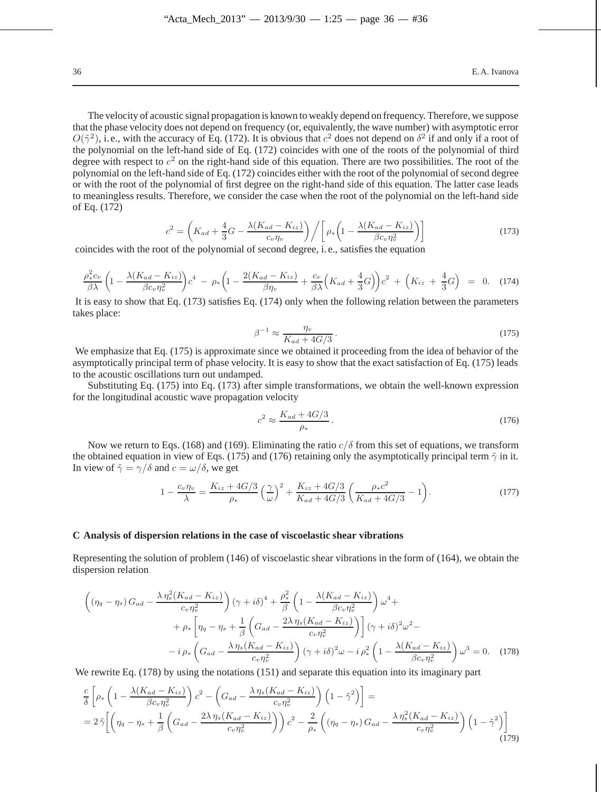The velocity of acoustic signal propagation is known to weakly depend on frequency. Therefore, we suppose that the phase velocity does not depend on frequency (or, equivalently, the wave number) with asymptotic error  $O(\tilde{\gamma}^2)$ , i.e., with the accuracy of Eq. (172). It is obvious that  $c^2$  does not depend on  $\delta^2$  if and only if a root of the polynomial on the left-hand side of Eq. (172) coincides with one of the roots of the polynomial of third degree with respect to  $c<sup>2</sup>$  on the right-hand side of this equation. There are two possibilities. The root of the polynomial on the left-hand side of Eq. (172) coincides either with the root of the polynomial of second degree or with the root of the polynomial of first degree on the right-hand side of this equation. The latter case leads to meaningless results. Therefore, we consider the case when the root of the polynomial on the left-hand side of Eq. (172)

$$
c^2 = \left(K_{ad} + \frac{4}{3}G - \frac{\lambda(K_{ad} - K_{iz})}{c_v \eta_v}\right) / \left[\rho_* \left(1 - \frac{\lambda(K_{ad} - K_{iz})}{\beta c_v \eta_v^2}\right)\right]
$$
(173)

coincides with the root of the polynomial of second degree, i. e., satisfies the equation

$$
\frac{\rho_{*}^{2}c_{v}}{\beta\lambda}\left(1-\frac{\lambda(K_{ad}-K_{iz})}{\beta c_{v}\eta_{v}^{2}}\right)c^{4} - \rho_{*}\left(1-\frac{2(K_{ad}-K_{iz})}{\beta\eta_{v}}+\frac{c_{v}}{\beta\lambda}\left(K_{ad}+\frac{4}{3}G\right)\right)c^{2} + \left(K_{iz}+\frac{4}{3}G\right) = 0. \quad (174)
$$

It is easy to show that Eq. (173) satisfies Eq. (174) only when the following relation between the parameters takes place:

$$
\beta^{-1} \approx \frac{\eta_v}{K_{ad} + 4G/3} \,. \tag{175}
$$

We emphasize that Eq. (175) is approximate since we obtained it proceeding from the idea of behavior of the asymptotically principal term of phase velocity. It is easy to show that the exact satisfaction of Eq. (175) leads to the acoustic oscillations turn out undamped.

Substituting Eq. (175) into Eq. (173) after simple transformations, we obtain the well-known expression for the longitudinal acoustic wave propagation velocity

$$
c^2 \approx \frac{K_{ad} + 4G/3}{\rho_*} \,. \tag{176}
$$

Now we return to Eqs. (168) and (169). Eliminating the ratio  $c/\delta$  from this set of equations, we transform the obtained equation in view of Eqs. (175) and (176) retaining only the asymptotically principal term  $\tilde{\gamma}$  in it. In view of  $\tilde{\gamma} = \gamma/\delta$  and  $c = \omega/\delta$ , we get

$$
1 - \frac{c_v \eta_v}{\lambda} = \frac{K_{iz} + 4G/3}{\rho_*} \left(\frac{\gamma}{\omega}\right)^2 + \frac{K_{iz} + 4G/3}{K_{ad} + 4G/3} \left(\frac{\rho_* c^2}{K_{ad} + 4G/3} - 1\right).
$$
 (177)

#### **C Analysis of dispersion relations in the case of viscoelastic shear vibrations**

Representing the solution of problem (146) of viscoelastic shear vibrations in the form of (164), we obtain the dispersion relation

$$
\left( (\eta_q - \eta_s) G_{ad} - \frac{\lambda \eta_s^2 (K_{ad} - K_{iz})}{c_v \eta_v^2} \right) (\gamma + i\delta)^4 + \frac{\rho_*^2}{\beta} \left( 1 - \frac{\lambda (K_{ad} - K_{iz})}{\beta c_v \eta_v^2} \right) \omega^4 + + \rho_* \left[ \eta_q - \eta_s + \frac{1}{\beta} \left( G_{ad} - \frac{2\lambda \eta_s (K_{ad} - K_{iz})}{c_v \eta_v^2} \right) \right] (\gamma + i\delta)^2 \omega^2 - - i \rho_* \left( G_{ad} - \frac{\lambda \eta_s (K_{ad} - K_{iz})}{c_v \eta_v^2} \right) (\gamma + i\delta)^2 \omega - i \rho_*^2 \left( 1 - \frac{\lambda (K_{ad} - K_{iz})}{\beta c_v \eta_v^2} \right) \omega^3 = 0. \quad (178)
$$

We rewrite Eq. (178) by using the notations (151) and separate this equation into its imaginary part

$$
\frac{c}{\delta} \left[ \rho_* \left( 1 - \frac{\lambda (K_{ad} - K_{iz})}{\beta c_v \eta_v^2} \right) c^2 - \left( G_{ad} - \frac{\lambda \eta_s (K_{ad} - K_{iz})}{c_v \eta_v^2} \right) \left( 1 - \tilde{\gamma}^2 \right) \right] =
$$
\n
$$
= 2 \tilde{\gamma} \left[ \left( \eta_q - \eta_s + \frac{1}{\beta} \left( G_{ad} - \frac{2\lambda \eta_s (K_{ad} - K_{iz})}{c_v \eta_v^2} \right) \right) c^2 - \frac{2}{\rho_*} \left( \left( \eta_q - \eta_s \right) G_{ad} - \frac{\lambda \eta_s^2 (K_{ad} - K_{iz})}{c_v \eta_v^2} \right) \left( 1 - \tilde{\gamma}^2 \right) \right]
$$
\n(179)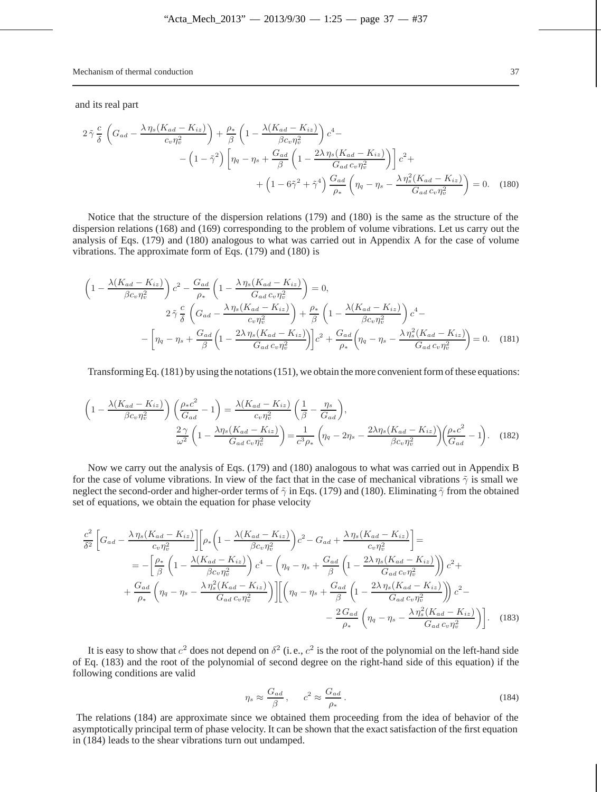and its real part

$$
2\tilde{\gamma}\frac{c}{\delta}\left(G_{ad}-\frac{\lambda\eta_{s}(K_{ad}-K_{iz})}{c_{v}\eta_{v}^{2}}\right)+\frac{\rho_{*}}{\beta}\left(1-\frac{\lambda(K_{ad}-K_{iz})}{\beta c_{v}\eta_{v}^{2}}\right)c^{4}-
$$

$$
-\left(1-\tilde{\gamma}^{2}\right)\left[\eta_{q}-\eta_{s}+\frac{G_{ad}}{\beta}\left(1-\frac{2\lambda\eta_{s}(K_{ad}-K_{iz})}{G_{ad}c_{v}\eta_{v}^{2}}\right)\right]c^{2}+
$$

$$
+\left(1-\tilde{\gamma}^{2}+\tilde{\gamma}^{4}\right)\frac{G_{ad}}{\rho_{*}}\left(\eta_{q}-\eta_{s}-\frac{\lambda\eta_{s}^{2}(K_{ad}-K_{iz})}{G_{ad}c_{v}\eta_{v}^{2}}\right)=0.
$$
 (180)

Notice that the structure of the dispersion relations (179) and (180) is the same as the structure of the dispersion relations (168) and (169) corresponding to the problem of volume vibrations. Let us carry out the analysis of Eqs. (179) and (180) analogous to what was carried out in Appendix A for the case of volume vibrations. The approximate form of Eqs. (179) and (180) is

$$
\left(1 - \frac{\lambda(K_{ad} - K_{iz})}{\beta c_v \eta_v^2}\right) c^2 - \frac{G_{ad}}{\rho_*} \left(1 - \frac{\lambda \eta_s(K_{ad} - K_{iz})}{G_{ad} c_v \eta_v^2}\right) = 0,
$$
  

$$
2 \tilde{\gamma} \frac{c}{\delta} \left(G_{ad} - \frac{\lambda \eta_s(K_{ad} - K_{iz})}{c_v \eta_v^2}\right) + \frac{\rho_*}{\beta} \left(1 - \frac{\lambda(K_{ad} - K_{iz})}{\beta c_v \eta_v^2}\right) c^4 - \left[\eta_q - \eta_s + \frac{G_{ad}}{\beta} \left(1 - \frac{2\lambda \eta_s(K_{ad} - K_{iz})}{G_{ad} c_v \eta_v^2}\right)\right] c^2 + \frac{G_{ad}}{\rho_*} \left(\eta_q - \eta_s - \frac{\lambda \eta_s^2(K_{ad} - K_{iz})}{G_{ad} c_v \eta_v^2}\right) = 0.
$$
 (181)

Transforming Eq. (181) by using the notations (151), we obtain the more convenient form of these equations:

$$
\left(1 - \frac{\lambda(K_{ad} - K_{iz})}{\beta c_v \eta_v^2}\right) \left(\frac{\rho_* c^2}{G_{ad}} - 1\right) = \frac{\lambda(K_{ad} - K_{iz})}{c_v \eta_v^2} \left(\frac{1}{\beta} - \frac{\eta_s}{G_{ad}}\right),
$$
  

$$
\frac{2\gamma}{\omega^2} \left(1 - \frac{\lambda \eta_s(K_{ad} - K_{iz})}{G_{ad} c_v \eta_v^2}\right) = \frac{1}{c^3 \rho_*} \left(\eta_q - 2\eta_s - \frac{2\lambda \eta_s(K_{ad} - K_{iz})}{\beta c_v \eta_v^2}\right) \left(\frac{\rho_* c^2}{G_{ad}} - 1\right).
$$
 (182)

Now we carry out the analysis of Eqs. (179) and (180) analogous to what was carried out in Appendix B for the case of volume vibrations. In view of the fact that in the case of mechanical vibrations  $\tilde{\gamma}$  is small we neglect the second-order and higher-order terms of  $\tilde{\gamma}$  in Eqs. (179) and (180). Eliminating  $\tilde{\gamma}$  from the obtained set of equations, we obtain the equation for phase velocity

$$
\frac{c^2}{\delta^2} \left[ G_{ad} - \frac{\lambda \eta_s (K_{ad} - K_{iz})}{c_v \eta_v^2} \right] \left[ \rho_* \left( 1 - \frac{\lambda (K_{ad} - K_{iz})}{\beta c_v \eta_v^2} \right) c^2 - G_{ad} + \frac{\lambda \eta_s (K_{ad} - K_{iz})}{c_v \eta_v^2} \right] =
$$
\n
$$
= -\left[ \frac{\rho_*}{\beta} \left( 1 - \frac{\lambda (K_{ad} - K_{iz})}{\beta c_v \eta_v^2} \right) c^4 - \left( \eta_q - \eta_s + \frac{G_{ad}}{\beta} \left( 1 - \frac{2\lambda \eta_s (K_{ad} - K_{iz})}{G_{ad} c_v \eta_v^2} \right) \right) c^2 +
$$
\n
$$
+ \frac{G_{ad}}{\rho_*} \left( \eta_q - \eta_s - \frac{\lambda \eta_s^2 (K_{ad} - K_{iz})}{G_{ad} c_v \eta_v^2} \right) \right] \left[ \left( \eta_q - \eta_s + \frac{G_{ad}}{\beta} \left( 1 - \frac{2\lambda \eta_s (K_{ad} - K_{iz})}{G_{ad} c_v \eta_v^2} \right) \right) c^2 -
$$
\n
$$
- \frac{2G_{ad}}{\rho_*} \left( \eta_q - \eta_s - \frac{\lambda \eta_s^2 (K_{ad} - K_{iz})}{G_{ad} c_v \eta_v^2} \right) \right]. \tag{183}
$$

It is easy to show that  $c^2$  does not depend on  $\delta^2$  (i.e.,  $c^2$  is the root of the polynomial on the left-hand side of Eq. (183) and the root of the polynomial of second degree on the right-hand side of this equation) if the following conditions are valid

$$
\eta_s \approx \frac{G_{ad}}{\beta}, \qquad c^2 \approx \frac{G_{ad}}{\rho_*} \,. \tag{184}
$$

The relations (184) are approximate since we obtained them proceeding from the idea of behavior of the asymptotically principal term of phase velocity. It can be shown that the exact satisfaction of the first equation in (184) leads to the shear vibrations turn out undamped.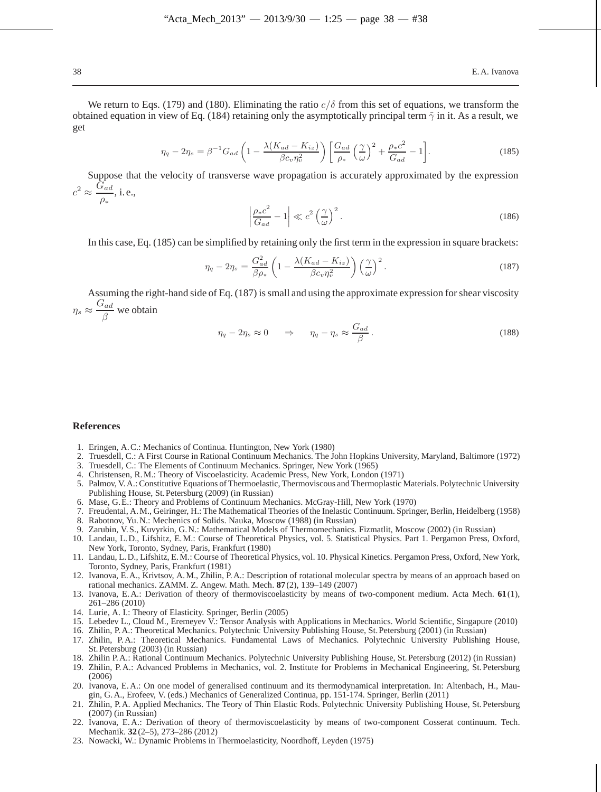We return to Eqs. (179) and (180). Eliminating the ratio  $c/\delta$  from this set of equations, we transform the obtained equation in view of Eq. (184) retaining only the asymptotically principal term  $\tilde{\gamma}$  in it. As a result, we get

$$
\eta_q - 2\eta_s = \beta^{-1} G_{ad} \left( 1 - \frac{\lambda (K_{ad} - K_{iz})}{\beta c_v \eta_v^2} \right) \left[ \frac{G_{ad}}{\rho_*} \left( \frac{\gamma}{\omega} \right)^2 + \frac{\rho_* c^2}{G_{ad}} - 1 \right]. \tag{185}
$$

Suppose that the velocity of transverse wave propagation is accurately approximated by the expression  $c^2 \approx \frac{\dot{G}_{ad}}{\rho_*}$ , i.e.,

$$
\left|\frac{\rho_* c^2}{G_{ad}} - 1\right| \ll c^2 \left(\frac{\gamma}{\omega}\right)^2.
$$
\n(186)

In this case, Eq. (185) can be simplified by retaining only the first term in the expression in square brackets:

$$
\eta_q - 2\eta_s = \frac{G_{ad}^2}{\beta \rho_*} \left( 1 - \frac{\lambda (K_{ad} - K_{iz})}{\beta c_v \eta_v^2} \right) \left(\frac{\gamma}{\omega}\right)^2.
$$
 (187)

Assuming the right-hand side of Eq. (187) is small and using the approximate expression for shear viscosity  $\eta_s \approx \frac{G_{ad}}{\beta}$  we obtain

$$
\eta_q - 2\eta_s \approx 0 \quad \Rightarrow \quad \eta_q - \eta_s \approx \frac{G_{ad}}{\beta} \,. \tag{188}
$$

# **References**

- 1. Eringen, A.C.: Mechanics of Continua. Huntington, New York (1980)
- 2. Truesdell, C.: A First Course in Rational Continuum Mechanics. The John Hopkins University, Maryland, Baltimore (1972) 3. Truesdell, C.: The Elements of Continuum Mechanics. Springer, New York (1965)
- 4. Christensen, R.M.: Theory of Viscoelasticity. Academic Press, New York, London (1971)
- 5. Palmov, V.A.: Constitutive Equations of Thermoelastic, Thermoviscous and Thermoplastic Materials. Polytechnic University Publishing House, St.Petersburg (2009) (in Russian)
- 6. Mase, G.E.: Theory and Problems of Continuum Mechanics. McGray-Hill, New York (1970)
- 7. Freudental, A.M., Geiringer, H.: The Mathematical Theories of the Inelastic Continuum. Springer, Berlin, Heidelberg (1958)
- 8. Rabotnov, Yu.N.: Mechenics of Solids. Nauka, Moscow (1988) (in Russian)
- 9. Zarubin, V.S., Kuvyrkin, G.N.: Mathematical Models of Thermomechanics. Fizmatlit, Moscow (2002) (in Russian)
- 10. Landau, L.D., Lifshitz, E.M.: Course of Theoretical Physics, vol. 5. Statistical Physics. Part 1. Pergamon Press, Oxford, New York, Toronto, Sydney, Paris, Frankfurt (1980)
- 11. Landau, L.D., Lifshitz, E.M.: Course of Theoretical Physics, vol. 10. Physical Kinetics. Pergamon Press, Oxford, New York, Toronto, Sydney, Paris, Frankfurt (1981)
- 12. Ivanova, E.A., Krivtsov, A.M., Zhilin, P.A.: Description of rotational molecular spectra by means of an approach based on rational mechanics. ZAMM. Z. Angew. Math. Mech. **87**(2), 139–149 (2007)
- 13. Ivanova, E.A.: Derivation of theory of thermoviscoelasticity by means of two-component medium. Acta Mech. **61**(1), 261–286 (2010)
- 14. Lurie, A. I.: Theory of Elasticity. Springer, Berlin (2005)
- 15. Lebedev L., Cloud M., Eremeyev V.: Tensor Analysis with Applications in Mechanics. World Scientific, Singapure (2010)
- 16. Zhilin, P.A.: Theoretical Mechanics. Polytechnic University Publishing House, St.Petersburg (2001) (in Russian)
- 17. Zhilin, P.A.: Theoretical Mechanics. Fundamental Laws of Mechanics. Polytechnic University Publishing House, St.Petersburg (2003) (in Russian)
- 18. Zhilin P.A.: Rational Continuum Mechanics. Polytechnic University Publishing House, St.Petersburg (2012) (in Russian)
- 19. Zhilin, P.A.: Advanced Problems in Mechanics, vol. 2. Institute for Problems in Mechanical Engineering, St.Petersburg (2006)
- 20. Ivanova, E.A.: On one model of generalised continuum and its thermodynamical interpretation. In: Altenbach, H., Maugin, G.A., Erofeev, V. (eds.) Mechanics of Generalized Continua, pp. 151-174. Springer, Berlin (2011)
- 21. Zhilin, P.A. Applied Mechanics. The Teory of Thin Elastic Rods. Polytechnic University Publishing House, St.Petersburg (2007) (in Russian)
- 22. Ivanova, E.A.: Derivation of theory of thermoviscoelasticity by means of two-component Cosserat continuum. Tech. Mechanik. **32**(2–5), 273–286 (2012)
- 23. Nowacki, W.: Dynamic Problems in Thermoelasticity, Noordhoff, Leyden (1975)